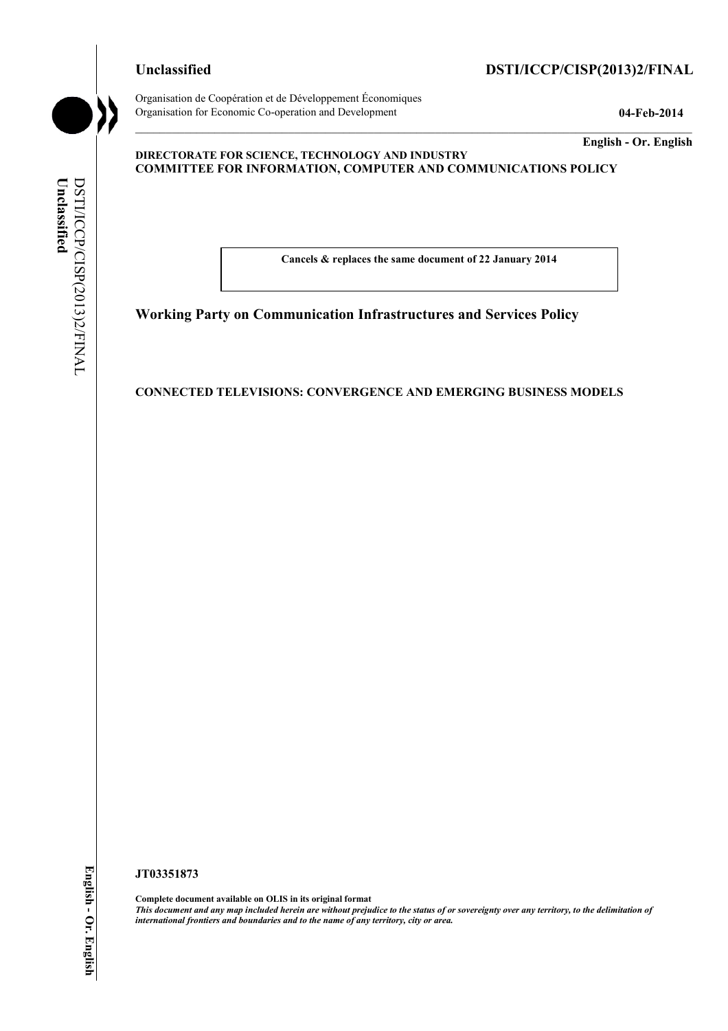Organisation de Coopération et de Développement Économiques Organisation for Economic Co-operation and Development **04-Feb-2014** 

# **Unclassified DSTI/ICCP/CISP(2013)2/FINAL**

**English - Or. English** 

### **DIRECTORATE FOR SCIENCE, TECHNOLOGY AND INDUSTRY COMMITTEE FOR INFORMATION, COMPUTER AND COMMUNICATIONS POLICY**

**Cancels & replaces the same document of 22 January 2014** 

# **Working Party on Communication Infrastructures and Services Policy**

### **CONNECTED TELEVISIONS: CONVERGENCE AND EMERGING BUSINESS MODELS**

**JT03351873** 

**Complete document available on OLIS in its original format** *This document and any map included herein are without prejudice to the status of or sovereignty over any territory, to the delimitation of international frontiers and boundaries and to the name of any territory, city or area.*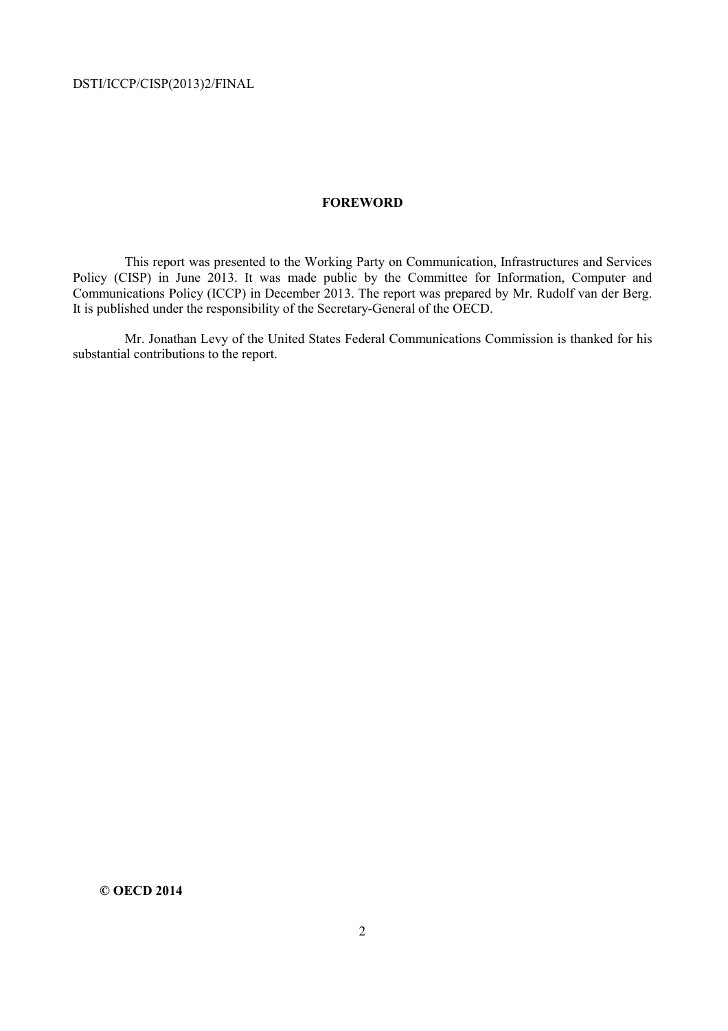### **FOREWORD**

 This report was presented to the Working Party on Communication, Infrastructures and Services Policy (CISP) in June 2013. It was made public by the Committee for Information, Computer and Communications Policy (ICCP) in December 2013. The report was prepared by Mr. Rudolf van der Berg. It is published under the responsibility of the Secretary-General of the OECD.

 Mr. Jonathan Levy of the United States Federal Communications Commission is thanked for his substantial contributions to the report.

**© OECD 2014**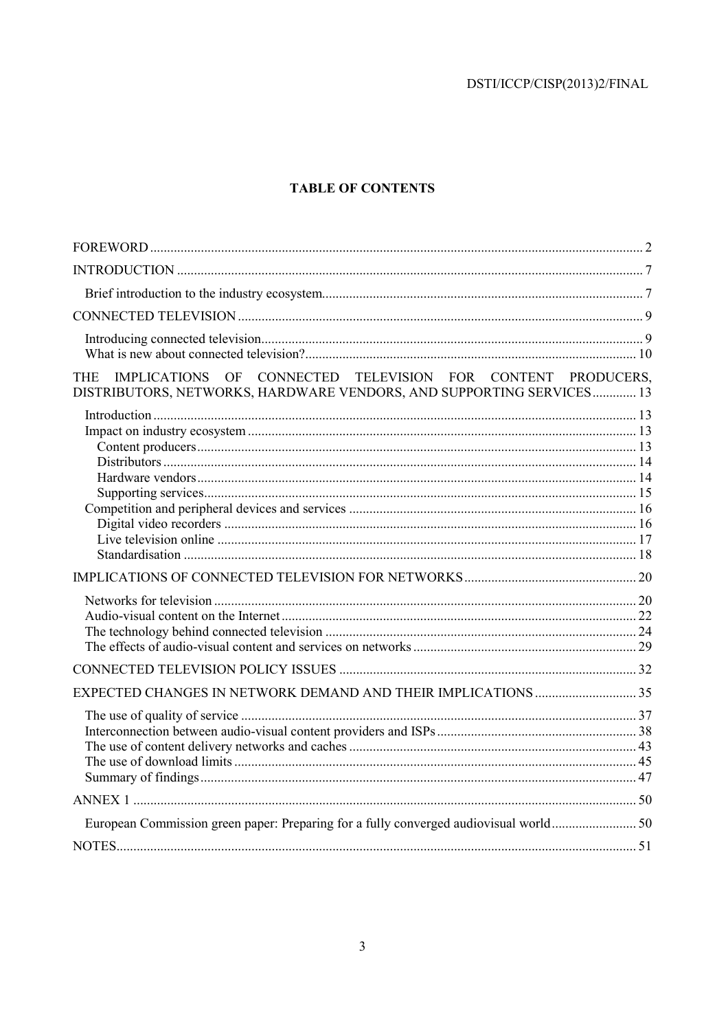# **TABLE OF CONTENTS**

| IMPLICATIONS OF CONNECTED TELEVISION FOR CONTENT PRODUCERS,<br><b>THE</b><br>DISTRIBUTORS, NETWORKS, HARDWARE VENDORS, AND SUPPORTING SERVICES 13 |  |
|---------------------------------------------------------------------------------------------------------------------------------------------------|--|
|                                                                                                                                                   |  |
|                                                                                                                                                   |  |
|                                                                                                                                                   |  |
|                                                                                                                                                   |  |
|                                                                                                                                                   |  |
|                                                                                                                                                   |  |
|                                                                                                                                                   |  |
|                                                                                                                                                   |  |
|                                                                                                                                                   |  |
|                                                                                                                                                   |  |
|                                                                                                                                                   |  |
|                                                                                                                                                   |  |
|                                                                                                                                                   |  |
|                                                                                                                                                   |  |
|                                                                                                                                                   |  |
|                                                                                                                                                   |  |
|                                                                                                                                                   |  |
|                                                                                                                                                   |  |
|                                                                                                                                                   |  |
|                                                                                                                                                   |  |
|                                                                                                                                                   |  |
|                                                                                                                                                   |  |
|                                                                                                                                                   |  |
|                                                                                                                                                   |  |
|                                                                                                                                                   |  |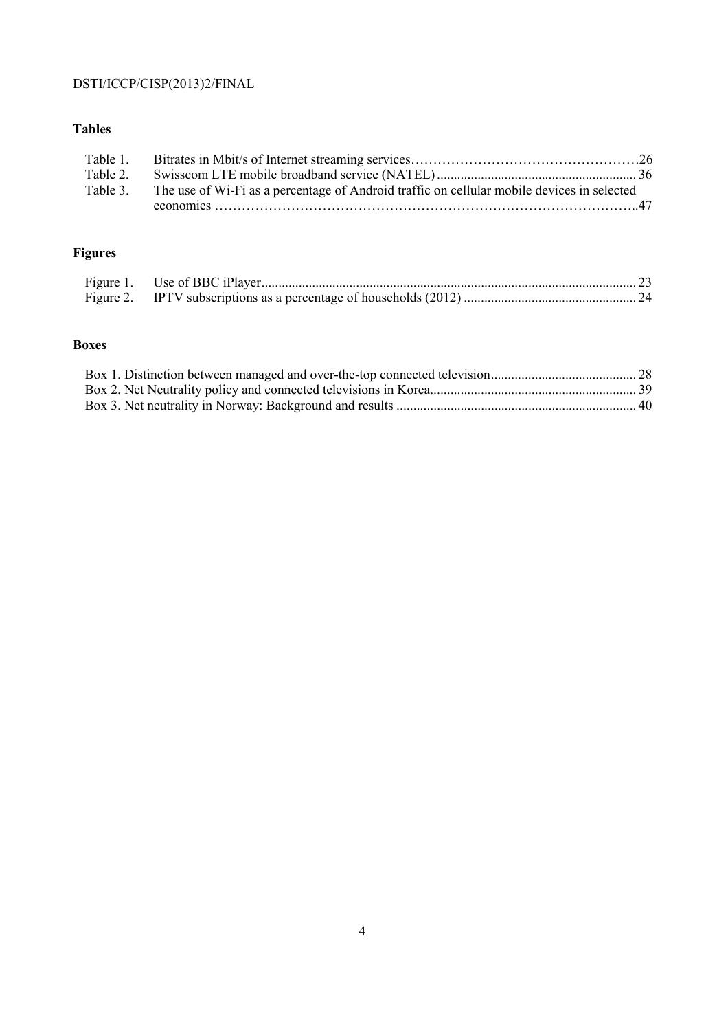# **Tables**

| Table 1. |                                                                                            |  |
|----------|--------------------------------------------------------------------------------------------|--|
| Table 2. |                                                                                            |  |
| Table 3. | The use of Wi-Fi as a percentage of Android traffic on cellular mobile devices in selected |  |
|          |                                                                                            |  |

# **Figures**

# **Boxes**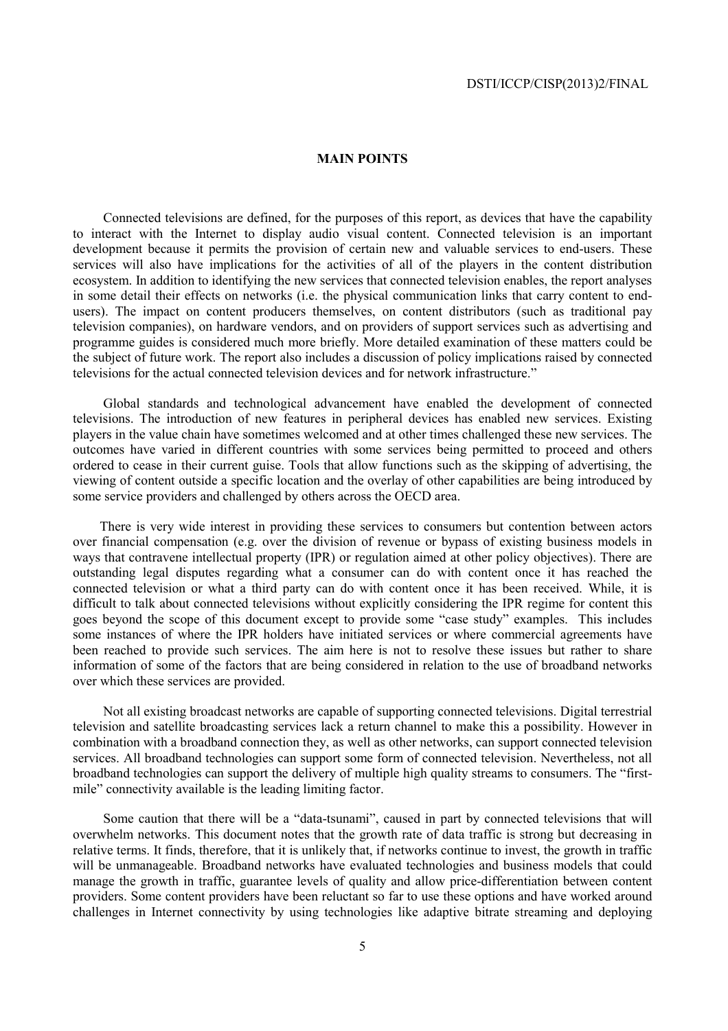### **MAIN POINTS**

 Connected televisions are defined, for the purposes of this report, as devices that have the capability to interact with the Internet to display audio visual content. Connected television is an important development because it permits the provision of certain new and valuable services to end-users. These services will also have implications for the activities of all of the players in the content distribution ecosystem. In addition to identifying the new services that connected television enables, the report analyses in some detail their effects on networks (i.e. the physical communication links that carry content to endusers). The impact on content producers themselves, on content distributors (such as traditional pay television companies), on hardware vendors, and on providers of support services such as advertising and programme guides is considered much more briefly. More detailed examination of these matters could be the subject of future work. The report also includes a discussion of policy implications raised by connected televisions for the actual connected television devices and for network infrastructure."

 Global standards and technological advancement have enabled the development of connected televisions. The introduction of new features in peripheral devices has enabled new services. Existing players in the value chain have sometimes welcomed and at other times challenged these new services. The outcomes have varied in different countries with some services being permitted to proceed and others ordered to cease in their current guise. Tools that allow functions such as the skipping of advertising, the viewing of content outside a specific location and the overlay of other capabilities are being introduced by some service providers and challenged by others across the OECD area.

There is very wide interest in providing these services to consumers but contention between actors over financial compensation (e.g. over the division of revenue or bypass of existing business models in ways that contravene intellectual property (IPR) or regulation aimed at other policy objectives). There are outstanding legal disputes regarding what a consumer can do with content once it has reached the connected television or what a third party can do with content once it has been received. While, it is difficult to talk about connected televisions without explicitly considering the IPR regime for content this goes beyond the scope of this document except to provide some "case study" examples. This includes some instances of where the IPR holders have initiated services or where commercial agreements have been reached to provide such services. The aim here is not to resolve these issues but rather to share information of some of the factors that are being considered in relation to the use of broadband networks over which these services are provided.

 Not all existing broadcast networks are capable of supporting connected televisions. Digital terrestrial television and satellite broadcasting services lack a return channel to make this a possibility. However in combination with a broadband connection they, as well as other networks, can support connected television services. All broadband technologies can support some form of connected television. Nevertheless, not all broadband technologies can support the delivery of multiple high quality streams to consumers. The "firstmile" connectivity available is the leading limiting factor.

 Some caution that there will be a "data-tsunami", caused in part by connected televisions that will overwhelm networks. This document notes that the growth rate of data traffic is strong but decreasing in relative terms. It finds, therefore, that it is unlikely that, if networks continue to invest, the growth in traffic will be unmanageable. Broadband networks have evaluated technologies and business models that could manage the growth in traffic, guarantee levels of quality and allow price-differentiation between content providers. Some content providers have been reluctant so far to use these options and have worked around challenges in Internet connectivity by using technologies like adaptive bitrate streaming and deploying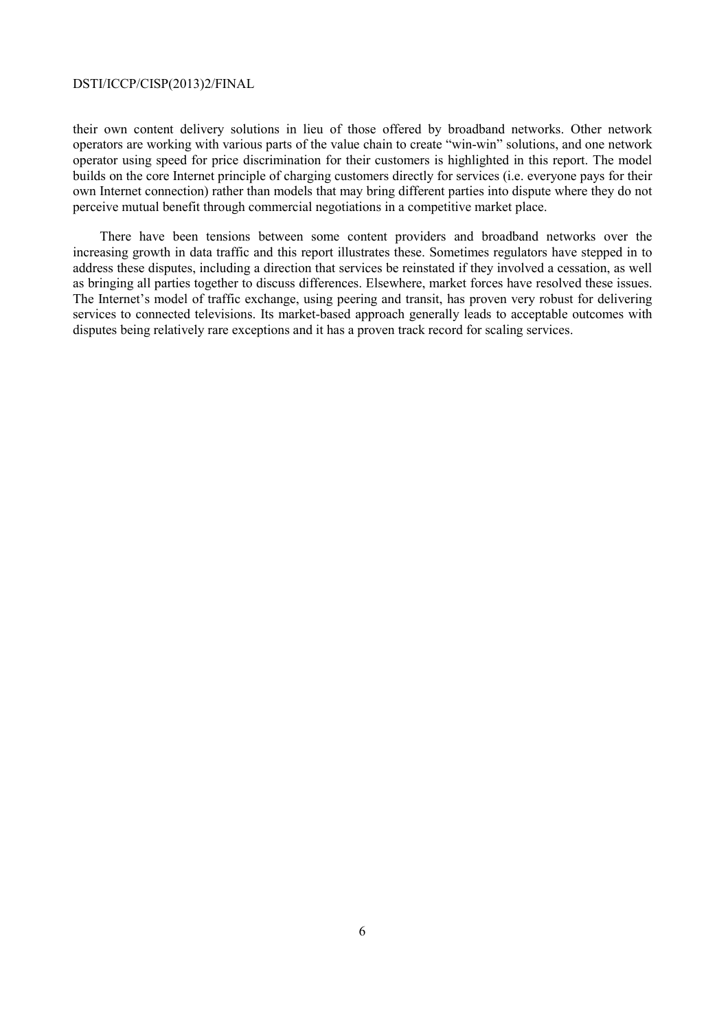their own content delivery solutions in lieu of those offered by broadband networks. Other network operators are working with various parts of the value chain to create "win-win" solutions, and one network operator using speed for price discrimination for their customers is highlighted in this report. The model builds on the core Internet principle of charging customers directly for services (i.e. everyone pays for their own Internet connection) rather than models that may bring different parties into dispute where they do not perceive mutual benefit through commercial negotiations in a competitive market place.

There have been tensions between some content providers and broadband networks over the increasing growth in data traffic and this report illustrates these. Sometimes regulators have stepped in to address these disputes, including a direction that services be reinstated if they involved a cessation, as well as bringing all parties together to discuss differences. Elsewhere, market forces have resolved these issues. The Internet's model of traffic exchange, using peering and transit, has proven very robust for delivering services to connected televisions. Its market-based approach generally leads to acceptable outcomes with disputes being relatively rare exceptions and it has a proven track record for scaling services.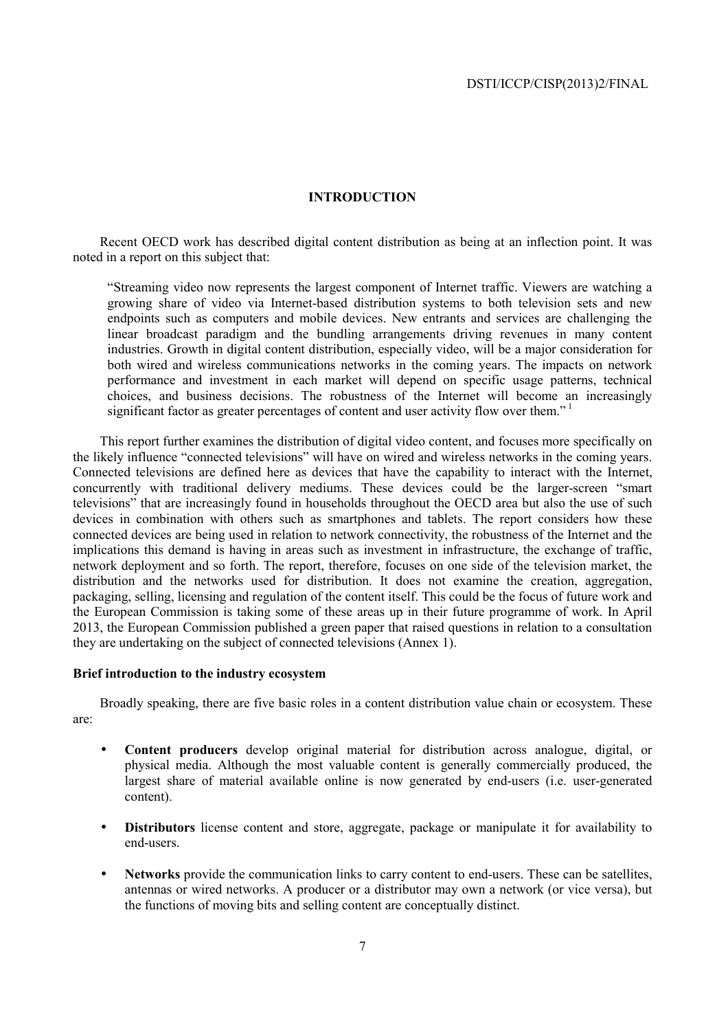### **INTRODUCTION**

Recent OECD work has described digital content distribution as being at an inflection point. It was noted in a report on this subject that:

"Streaming video now represents the largest component of Internet traffic. Viewers are watching a growing share of video via Internet-based distribution systems to both television sets and new endpoints such as computers and mobile devices. New entrants and services are challenging the linear broadcast paradigm and the bundling arrangements driving revenues in many content industries. Growth in digital content distribution, especially video, will be a major consideration for both wired and wireless communications networks in the coming years. The impacts on network performance and investment in each market will depend on specific usage patterns, technical choices, and business decisions. The robustness of the Internet will become an increasingly significant factor as greater percentages of content and user activity flow over them."

This report further examines the distribution of digital video content, and focuses more specifically on the likely influence "connected televisions" will have on wired and wireless networks in the coming years. Connected televisions are defined here as devices that have the capability to interact with the Internet, concurrently with traditional delivery mediums. These devices could be the larger-screen "smart" televisions" that are increasingly found in households throughout the OECD area but also the use of such devices in combination with others such as smartphones and tablets. The report considers how these connected devices are being used in relation to network connectivity, the robustness of the Internet and the implications this demand is having in areas such as investment in infrastructure, the exchange of traffic, network deployment and so forth. The report, therefore, focuses on one side of the television market, the distribution and the networks used for distribution. It does not examine the creation, aggregation, packaging, selling, licensing and regulation of the content itself. This could be the focus of future work and the European Commission is taking some of these areas up in their future programme of work. In April 2013, the European Commission published a green paper that raised questions in relation to a consultation they are undertaking on the subject of connected televisions (Annex 1).

### **Brief introduction to the industry ecosystem**

Broadly speaking, there are five basic roles in a content distribution value chain or ecosystem. These are:

- **Content producers** develop original material for distribution across analogue, digital, or physical media. Although the most valuable content is generally commercially produced, the largest share of material available online is now generated by end-users (i.e. user-generated content).
- **Distributors** license content and store, aggregate, package or manipulate it for availability to end-users.
- **Networks** provide the communication links to carry content to end-users. These can be satellites, antennas or wired networks. A producer or a distributor may own a network (or vice versa), but the functions of moving bits and selling content are conceptually distinct.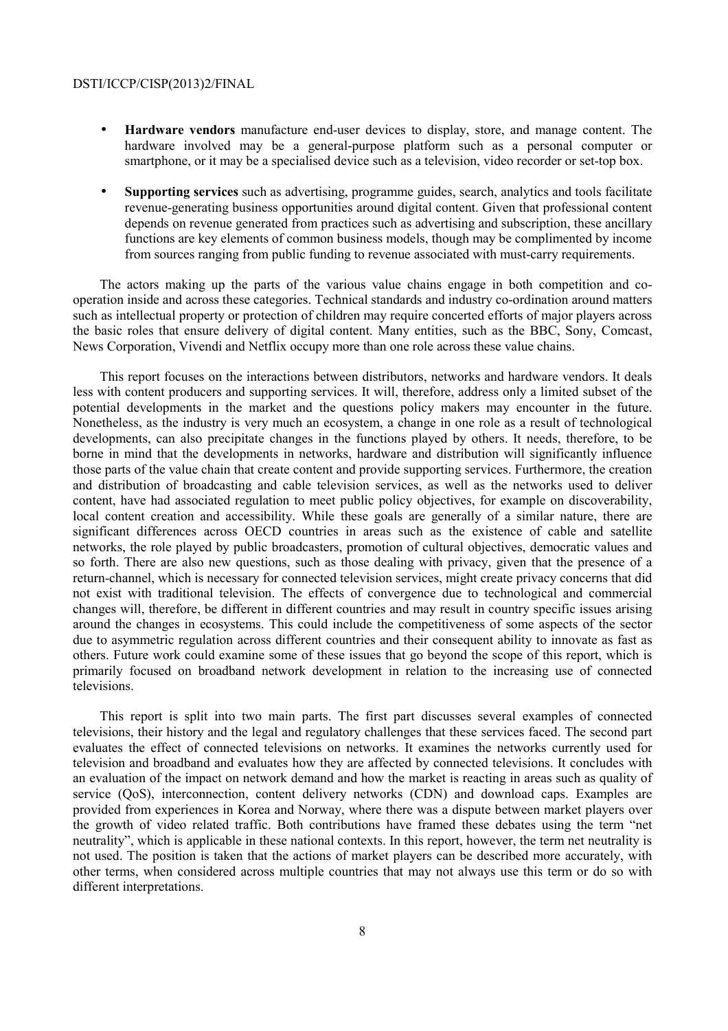- **Hardware vendors** manufacture end-user devices to display, store, and manage content. The hardware involved may be a general-purpose platform such as a personal computer or smartphone, or it may be a specialised device such as a television, video recorder or set-top box.
- **Supporting services** such as advertising, programme guides, search, analytics and tools facilitate revenue-generating business opportunities around digital content. Given that professional content depends on revenue generated from practices such as advertising and subscription, these ancillary functions are key elements of common business models, though may be complimented by income from sources ranging from public funding to revenue associated with must-carry requirements.

The actors making up the parts of the various value chains engage in both competition and cooperation inside and across these categories. Technical standards and industry co-ordination around matters such as intellectual property or protection of children may require concerted efforts of major players across the basic roles that ensure delivery of digital content. Many entities, such as the BBC, Sony, Comcast, News Corporation, Vivendi and Netflix occupy more than one role across these value chains.

This report focuses on the interactions between distributors, networks and hardware vendors. It deals less with content producers and supporting services. It will, therefore, address only a limited subset of the potential developments in the market and the questions policy makers may encounter in the future. Nonetheless, as the industry is very much an ecosystem, a change in one role as a result of technological developments, can also precipitate changes in the functions played by others. It needs, therefore, to be borne in mind that the developments in networks, hardware and distribution will significantly influence those parts of the value chain that create content and provide supporting services. Furthermore, the creation and distribution of broadcasting and cable television services, as well as the networks used to deliver content, have had associated regulation to meet public policy objectives, for example on discoverability, local content creation and accessibility. While these goals are generally of a similar nature, there are significant differences across OECD countries in areas such as the existence of cable and satellite networks, the role played by public broadcasters, promotion of cultural objectives, democratic values and so forth. There are also new questions, such as those dealing with privacy, given that the presence of a return-channel, which is necessary for connected television services, might create privacy concerns that did not exist with traditional television. The effects of convergence due to technological and commercial changes will, therefore, be different in different countries and may result in country specific issues arising around the changes in ecosystems. This could include the competitiveness of some aspects of the sector due to asymmetric regulation across different countries and their consequent ability to innovate as fast as others. Future work could examine some of these issues that go beyond the scope of this report, which is primarily focused on broadband network development in relation to the increasing use of connected televisions.

This report is split into two main parts. The first part discusses several examples of connected televisions, their history and the legal and regulatory challenges that these services faced. The second part evaluates the effect of connected televisions on networks. It examines the networks currently used for television and broadband and evaluates how they are affected by connected televisions. It concludes with an evaluation of the impact on network demand and how the market is reacting in areas such as quality of service (QoS), interconnection, content delivery networks (CDN) and download caps. Examples are provided from experiences in Korea and Norway, where there was a dispute between market players over the growth of video related traffic. Both contributions have framed these debates using the term "net neutrality", which is applicable in these national contexts. In this report, however, the term net neutrality is not used. The position is taken that the actions of market players can be described more accurately, with other terms, when considered across multiple countries that may not always use this term or do so with different interpretations.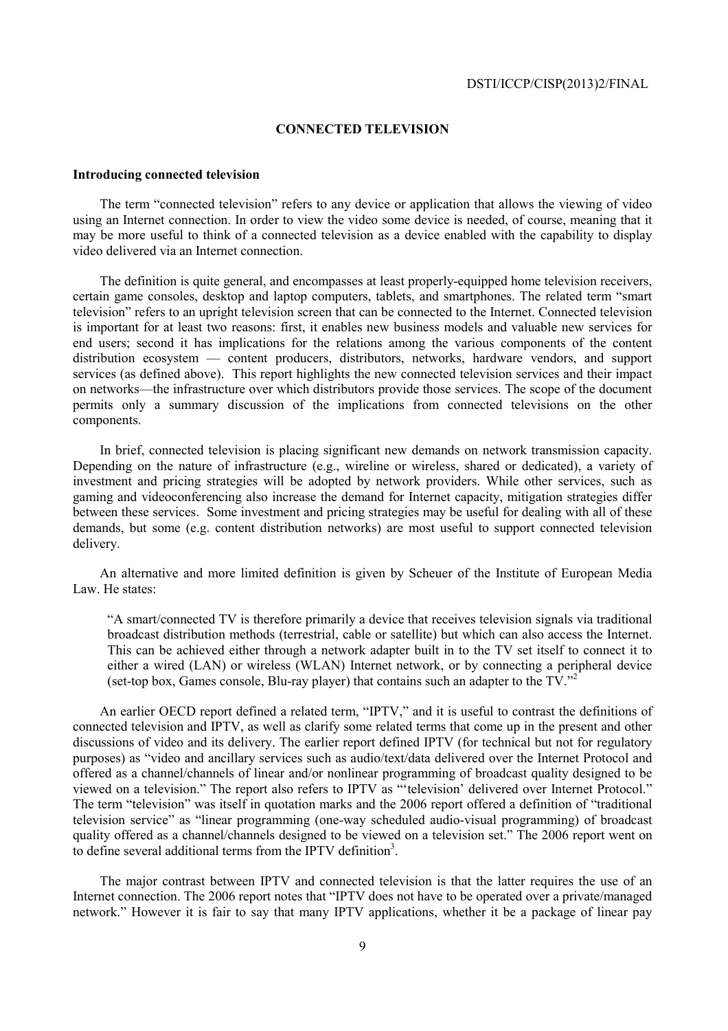### **CONNECTED TELEVISION**

### **Introducing connected television**

The term "connected television" refers to any device or application that allows the viewing of video using an Internet connection. In order to view the video some device is needed, of course, meaning that it may be more useful to think of a connected television as a device enabled with the capability to display video delivered via an Internet connection.

The definition is quite general, and encompasses at least properly-equipped home television receivers, certain game consoles, desktop and laptop computers, tablets, and smartphones. The related term "smart television" refers to an upright television screen that can be connected to the Internet. Connected television is important for at least two reasons: first, it enables new business models and valuable new services for end users; second it has implications for the relations among the various components of the content distribution ecosystem — content producers, distributors, networks, hardware vendors, and support services (as defined above). This report highlights the new connected television services and their impact on networks—the infrastructure over which distributors provide those services. The scope of the document permits only a summary discussion of the implications from connected televisions on the other components.

In brief, connected television is placing significant new demands on network transmission capacity. Depending on the nature of infrastructure (e.g., wireline or wireless, shared or dedicated), a variety of investment and pricing strategies will be adopted by network providers. While other services, such as gaming and videoconferencing also increase the demand for Internet capacity, mitigation strategies differ between these services. Some investment and pricing strategies may be useful for dealing with all of these demands, but some (e.g. content distribution networks) are most useful to support connected television delivery.

An alternative and more limited definition is given by Scheuer of the Institute of European Media Law. He states:

"A smart/connected TV is therefore primarily a device that receives television signals via traditional broadcast distribution methods (terrestrial, cable or satellite) but which can also access the Internet. This can be achieved either through a network adapter built in to the TV set itself to connect it to either a wired (LAN) or wireless (WLAN) Internet network, or by connecting a peripheral device (set-top box, Games console, Blu-ray player) that contains such an adapter to the TV."2

An earlier OECD report defined a related term, "IPTV," and it is useful to contrast the definitions of connected television and IPTV, as well as clarify some related terms that come up in the present and other discussions of video and its delivery. The earlier report defined IPTV (for technical but not for regulatory purposes) as "video and ancillary services such as audio/text/data delivered over the Internet Protocol and offered as a channel/channels of linear and/or nonlinear programming of broadcast quality designed to be viewed on a television." The report also refers to IPTV as "'television' delivered over Internet Protocol." The term "television" was itself in quotation marks and the 2006 report offered a definition of "traditional television service" as "linear programming (one-way scheduled audio-visual programming) of broadcast quality offered as a channel/channels designed to be viewed on a television set." The 2006 report went on to define several additional terms from the IPTV definition<sup>3</sup>.

The major contrast between IPTV and connected television is that the latter requires the use of an Internet connection. The 2006 report notes that "IPTV does not have to be operated over a private/managed network." However it is fair to say that many IPTV applications, whether it be a package of linear pay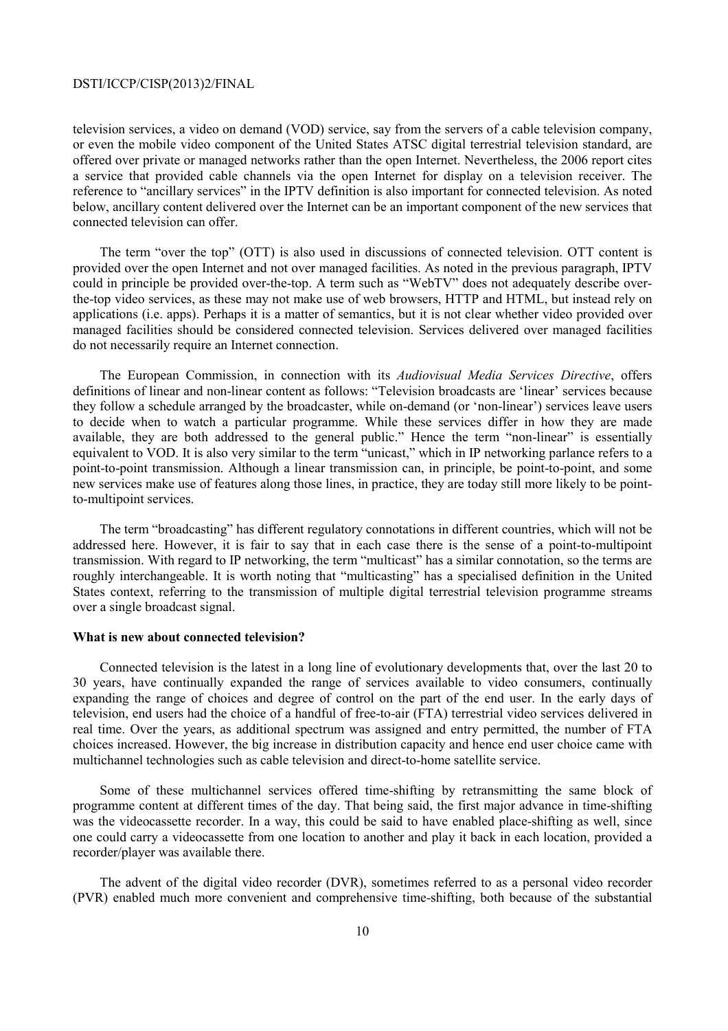television services, a video on demand (VOD) service, say from the servers of a cable television company, or even the mobile video component of the United States ATSC digital terrestrial television standard, are offered over private or managed networks rather than the open Internet. Nevertheless, the 2006 report cites a service that provided cable channels via the open Internet for display on a television receiver. The reference to "ancillary services" in the IPTV definition is also important for connected television. As noted below, ancillary content delivered over the Internet can be an important component of the new services that connected television can offer.

The term "over the top" (OTT) is also used in discussions of connected television. OTT content is provided over the open Internet and not over managed facilities. As noted in the previous paragraph, IPTV could in principle be provided over-the-top. A term such as "WebTV" does not adequately describe overthe-top video services, as these may not make use of web browsers, HTTP and HTML, but instead rely on applications (i.e. apps). Perhaps it is a matter of semantics, but it is not clear whether video provided over managed facilities should be considered connected television. Services delivered over managed facilities do not necessarily require an Internet connection.

The European Commission, in connection with its *Audiovisual Media Services Directive*, offers definitions of linear and non-linear content as follows: "Television broadcasts are 'linear' services because they follow a schedule arranged by the broadcaster, while on-demand (or 'non-linear') services leave users to decide when to watch a particular programme. While these services differ in how they are made available, they are both addressed to the general public." Hence the term "non-linear" is essentially equivalent to VOD. It is also very similar to the term "unicast," which in IP networking parlance refers to a point-to-point transmission. Although a linear transmission can, in principle, be point-to-point, and some new services make use of features along those lines, in practice, they are today still more likely to be pointto-multipoint services.

The term "broadcasting" has different regulatory connotations in different countries, which will not be addressed here. However, it is fair to say that in each case there is the sense of a point-to-multipoint transmission. With regard to IP networking, the term "multicast" has a similar connotation, so the terms are roughly interchangeable. It is worth noting that "multicasting" has a specialised definition in the United States context, referring to the transmission of multiple digital terrestrial television programme streams over a single broadcast signal.

### **What is new about connected television?**

Connected television is the latest in a long line of evolutionary developments that, over the last 20 to 30 years, have continually expanded the range of services available to video consumers, continually expanding the range of choices and degree of control on the part of the end user. In the early days of television, end users had the choice of a handful of free-to-air (FTA) terrestrial video services delivered in real time. Over the years, as additional spectrum was assigned and entry permitted, the number of FTA choices increased. However, the big increase in distribution capacity and hence end user choice came with multichannel technologies such as cable television and direct-to-home satellite service.

Some of these multichannel services offered time-shifting by retransmitting the same block of programme content at different times of the day. That being said, the first major advance in time-shifting was the videocassette recorder. In a way, this could be said to have enabled place-shifting as well, since one could carry a videocassette from one location to another and play it back in each location, provided a recorder/player was available there.

The advent of the digital video recorder (DVR), sometimes referred to as a personal video recorder (PVR) enabled much more convenient and comprehensive time-shifting, both because of the substantial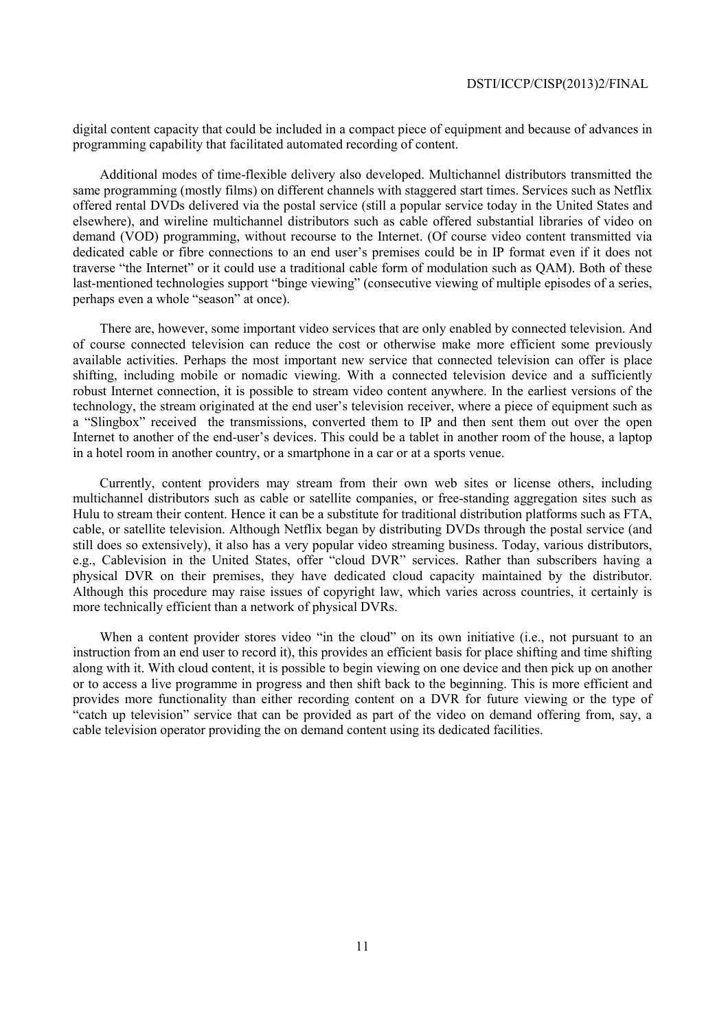digital content capacity that could be included in a compact piece of equipment and because of advances in programming capability that facilitated automated recording of content.

Additional modes of time-flexible delivery also developed. Multichannel distributors transmitted the same programming (mostly films) on different channels with staggered start times. Services such as Netflix offered rental DVDs delivered via the postal service (still a popular service today in the United States and elsewhere), and wireline multichannel distributors such as cable offered substantial libraries of video on demand (VOD) programming, without recourse to the Internet. (Of course video content transmitted via dedicated cable or fibre connections to an end user's premises could be in IP format even if it does not traverse "the Internet" or it could use a traditional cable form of modulation such as QAM). Both of these last-mentioned technologies support "binge viewing" (consecutive viewing of multiple episodes of a series, perhaps even a whole "season" at once).

There are, however, some important video services that are only enabled by connected television. And of course connected television can reduce the cost or otherwise make more efficient some previously available activities. Perhaps the most important new service that connected television can offer is place shifting, including mobile or nomadic viewing. With a connected television device and a sufficiently robust Internet connection, it is possible to stream video content anywhere. In the earliest versions of the technology, the stream originated at the end user's television receiver, where a piece of equipment such as a "Slingbox" received the transmissions, converted them to IP and then sent them out over the open Internet to another of the end-user's devices. This could be a tablet in another room of the house, a laptop in a hotel room in another country, or a smartphone in a car or at a sports venue.

Currently, content providers may stream from their own web sites or license others, including multichannel distributors such as cable or satellite companies, or free-standing aggregation sites such as Hulu to stream their content. Hence it can be a substitute for traditional distribution platforms such as FTA, cable, or satellite television. Although Netflix began by distributing DVDs through the postal service (and still does so extensively), it also has a very popular video streaming business. Today, various distributors, e.g., Cablevision in the United States, offer "cloud DVR" services. Rather than subscribers having a physical DVR on their premises, they have dedicated cloud capacity maintained by the distributor. Although this procedure may raise issues of copyright law, which varies across countries, it certainly is more technically efficient than a network of physical DVRs.

When a content provider stores video "in the cloud" on its own initiative (i.e., not pursuant to an instruction from an end user to record it), this provides an efficient basis for place shifting and time shifting along with it. With cloud content, it is possible to begin viewing on one device and then pick up on another or to access a live programme in progress and then shift back to the beginning. This is more efficient and provides more functionality than either recording content on a DVR for future viewing or the type of "catch up television" service that can be provided as part of the video on demand offering from, say, a cable television operator providing the on demand content using its dedicated facilities.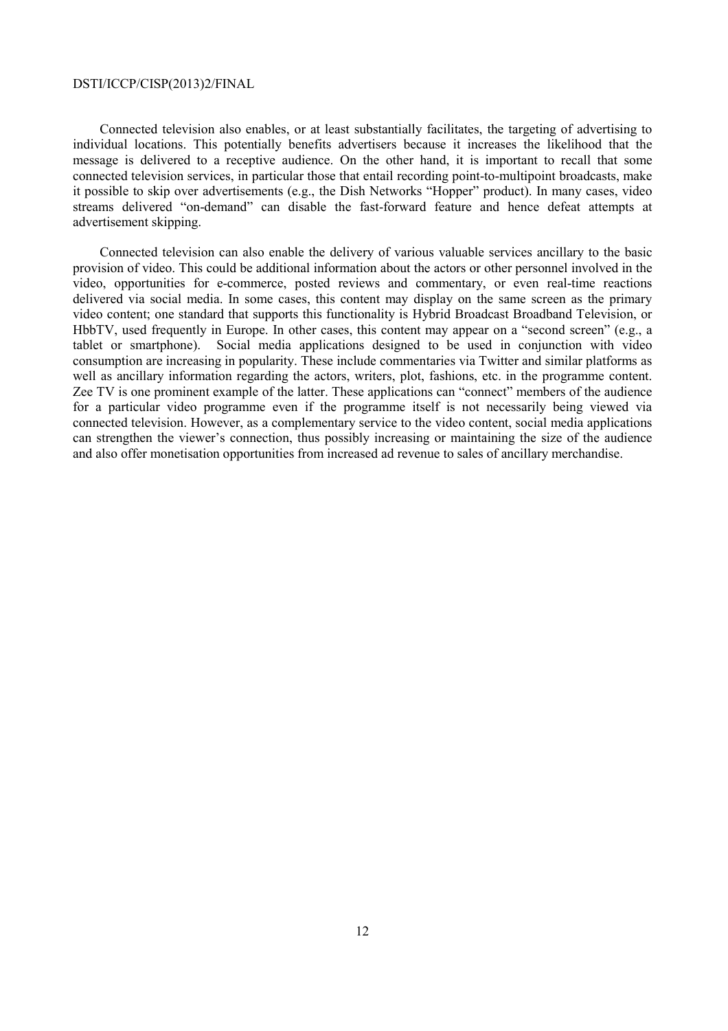Connected television also enables, or at least substantially facilitates, the targeting of advertising to individual locations. This potentially benefits advertisers because it increases the likelihood that the message is delivered to a receptive audience. On the other hand, it is important to recall that some connected television services, in particular those that entail recording point-to-multipoint broadcasts, make it possible to skip over advertisements (e.g., the Dish Networks "Hopper" product). In many cases, video streams delivered "on-demand" can disable the fast-forward feature and hence defeat attempts at advertisement skipping.

Connected television can also enable the delivery of various valuable services ancillary to the basic provision of video. This could be additional information about the actors or other personnel involved in the video, opportunities for e-commerce, posted reviews and commentary, or even real-time reactions delivered via social media. In some cases, this content may display on the same screen as the primary video content; one standard that supports this functionality is Hybrid Broadcast Broadband Television, or HbbTV, used frequently in Europe. In other cases, this content may appear on a "second screen" (e.g., a tablet or smartphone). Social media applications designed to be used in conjunction with video consumption are increasing in popularity. These include commentaries via Twitter and similar platforms as well as ancillary information regarding the actors, writers, plot, fashions, etc. in the programme content. Zee TV is one prominent example of the latter. These applications can "connect" members of the audience for a particular video programme even if the programme itself is not necessarily being viewed via connected television. However, as a complementary service to the video content, social media applications can strengthen the viewer's connection, thus possibly increasing or maintaining the size of the audience and also offer monetisation opportunities from increased ad revenue to sales of ancillary merchandise.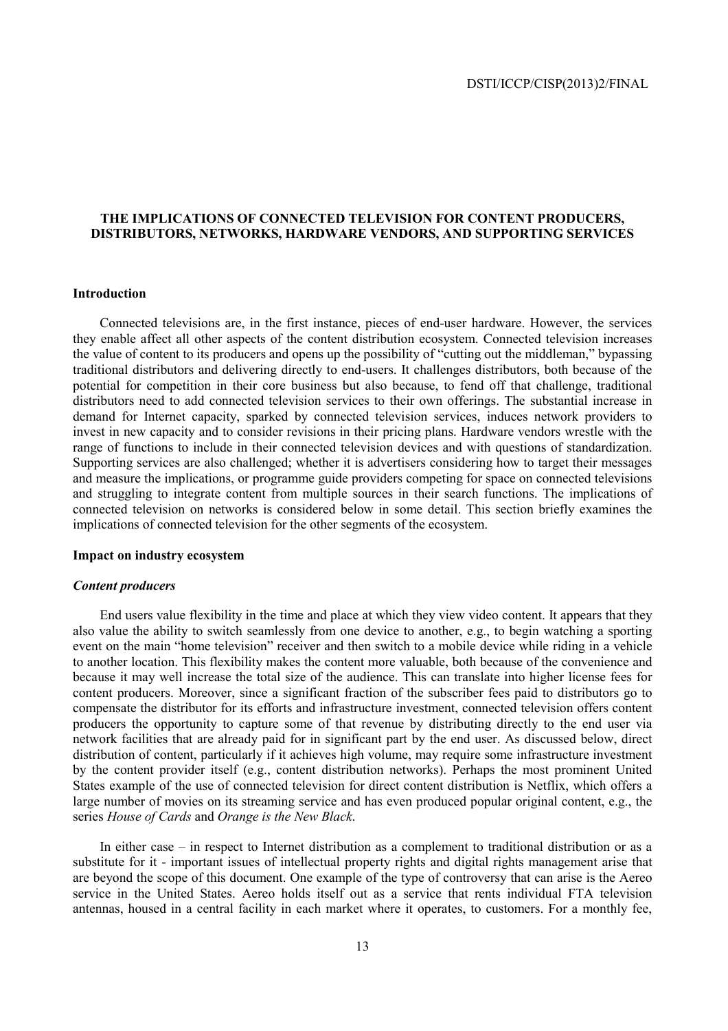### **THE IMPLICATIONS OF CONNECTED TELEVISION FOR CONTENT PRODUCERS, DISTRIBUTORS, NETWORKS, HARDWARE VENDORS, AND SUPPORTING SERVICES**

### **Introduction**

Connected televisions are, in the first instance, pieces of end-user hardware. However, the services they enable affect all other aspects of the content distribution ecosystem. Connected television increases the value of content to its producers and opens up the possibility of "cutting out the middleman," bypassing traditional distributors and delivering directly to end-users. It challenges distributors, both because of the potential for competition in their core business but also because, to fend off that challenge, traditional distributors need to add connected television services to their own offerings. The substantial increase in demand for Internet capacity, sparked by connected television services, induces network providers to invest in new capacity and to consider revisions in their pricing plans. Hardware vendors wrestle with the range of functions to include in their connected television devices and with questions of standardization. Supporting services are also challenged; whether it is advertisers considering how to target their messages and measure the implications, or programme guide providers competing for space on connected televisions and struggling to integrate content from multiple sources in their search functions. The implications of connected television on networks is considered below in some detail. This section briefly examines the implications of connected television for the other segments of the ecosystem.

### **Impact on industry ecosystem**

### *Content producers*

End users value flexibility in the time and place at which they view video content. It appears that they also value the ability to switch seamlessly from one device to another, e.g., to begin watching a sporting event on the main "home television" receiver and then switch to a mobile device while riding in a vehicle to another location. This flexibility makes the content more valuable, both because of the convenience and because it may well increase the total size of the audience. This can translate into higher license fees for content producers. Moreover, since a significant fraction of the subscriber fees paid to distributors go to compensate the distributor for its efforts and infrastructure investment, connected television offers content producers the opportunity to capture some of that revenue by distributing directly to the end user via network facilities that are already paid for in significant part by the end user. As discussed below, direct distribution of content, particularly if it achieves high volume, may require some infrastructure investment by the content provider itself (e.g., content distribution networks). Perhaps the most prominent United States example of the use of connected television for direct content distribution is Netflix, which offers a large number of movies on its streaming service and has even produced popular original content, e.g., the series *House of Cards* and *Orange is the New Black*.

In either case – in respect to Internet distribution as a complement to traditional distribution or as a substitute for it - important issues of intellectual property rights and digital rights management arise that are beyond the scope of this document. One example of the type of controversy that can arise is the Aereo service in the United States. Aereo holds itself out as a service that rents individual FTA television antennas, housed in a central facility in each market where it operates, to customers. For a monthly fee,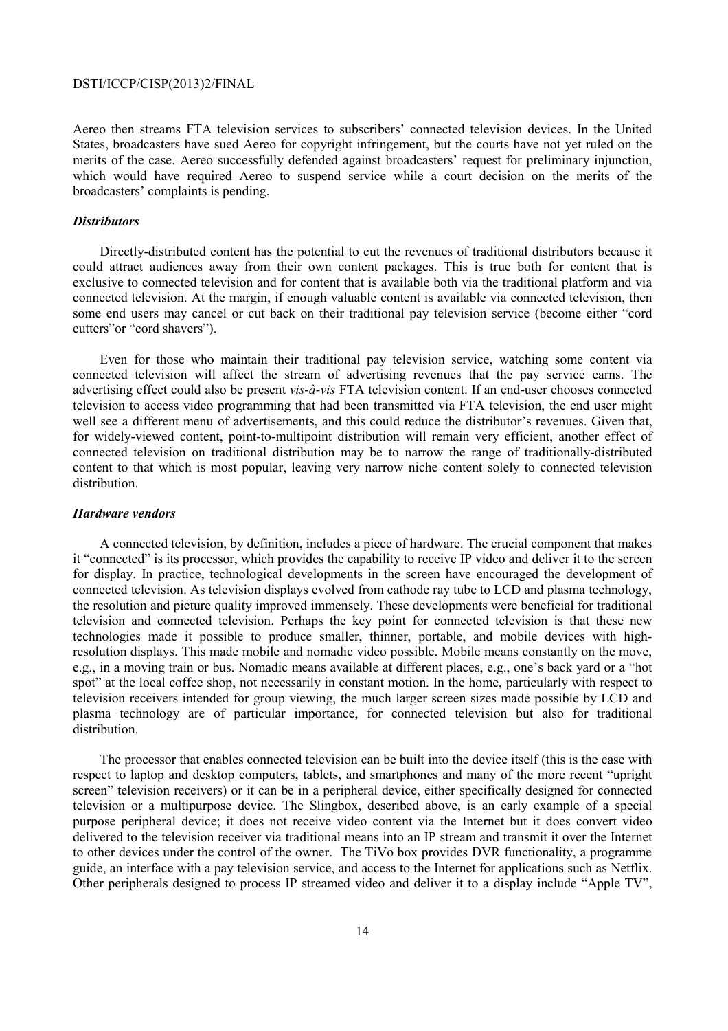Aereo then streams FTA television services to subscribers' connected television devices. In the United States, broadcasters have sued Aereo for copyright infringement, but the courts have not yet ruled on the merits of the case. Aereo successfully defended against broadcasters' request for preliminary injunction, which would have required Aereo to suspend service while a court decision on the merits of the broadcasters' complaints is pending.

### *Distributors*

Directly-distributed content has the potential to cut the revenues of traditional distributors because it could attract audiences away from their own content packages. This is true both for content that is exclusive to connected television and for content that is available both via the traditional platform and via connected television. At the margin, if enough valuable content is available via connected television, then some end users may cancel or cut back on their traditional pay television service (become either "cord cutters"or "cord shavers").

Even for those who maintain their traditional pay television service, watching some content via connected television will affect the stream of advertising revenues that the pay service earns. The advertising effect could also be present *vis-à-vis* FTA television content. If an end-user chooses connected television to access video programming that had been transmitted via FTA television, the end user might well see a different menu of advertisements, and this could reduce the distributor's revenues. Given that, for widely-viewed content, point-to-multipoint distribution will remain very efficient, another effect of connected television on traditional distribution may be to narrow the range of traditionally-distributed content to that which is most popular, leaving very narrow niche content solely to connected television distribution.

### *Hardware vendors*

A connected television, by definition, includes a piece of hardware. The crucial component that makes it "connected" is its processor, which provides the capability to receive IP video and deliver it to the screen for display. In practice, technological developments in the screen have encouraged the development of connected television. As television displays evolved from cathode ray tube to LCD and plasma technology, the resolution and picture quality improved immensely. These developments were beneficial for traditional television and connected television. Perhaps the key point for connected television is that these new technologies made it possible to produce smaller, thinner, portable, and mobile devices with highresolution displays. This made mobile and nomadic video possible. Mobile means constantly on the move, e.g., in a moving train or bus. Nomadic means available at different places, e.g., one's back yard or a "hot spot" at the local coffee shop, not necessarily in constant motion. In the home, particularly with respect to television receivers intended for group viewing, the much larger screen sizes made possible by LCD and plasma technology are of particular importance, for connected television but also for traditional distribution.

The processor that enables connected television can be built into the device itself (this is the case with respect to laptop and desktop computers, tablets, and smartphones and many of the more recent "upright screen" television receivers) or it can be in a peripheral device, either specifically designed for connected television or a multipurpose device. The Slingbox, described above, is an early example of a special purpose peripheral device; it does not receive video content via the Internet but it does convert video delivered to the television receiver via traditional means into an IP stream and transmit it over the Internet to other devices under the control of the owner. The TiVo box provides DVR functionality, a programme guide, an interface with a pay television service, and access to the Internet for applications such as Netflix. Other peripherals designed to process IP streamed video and deliver it to a display include "Apple TV",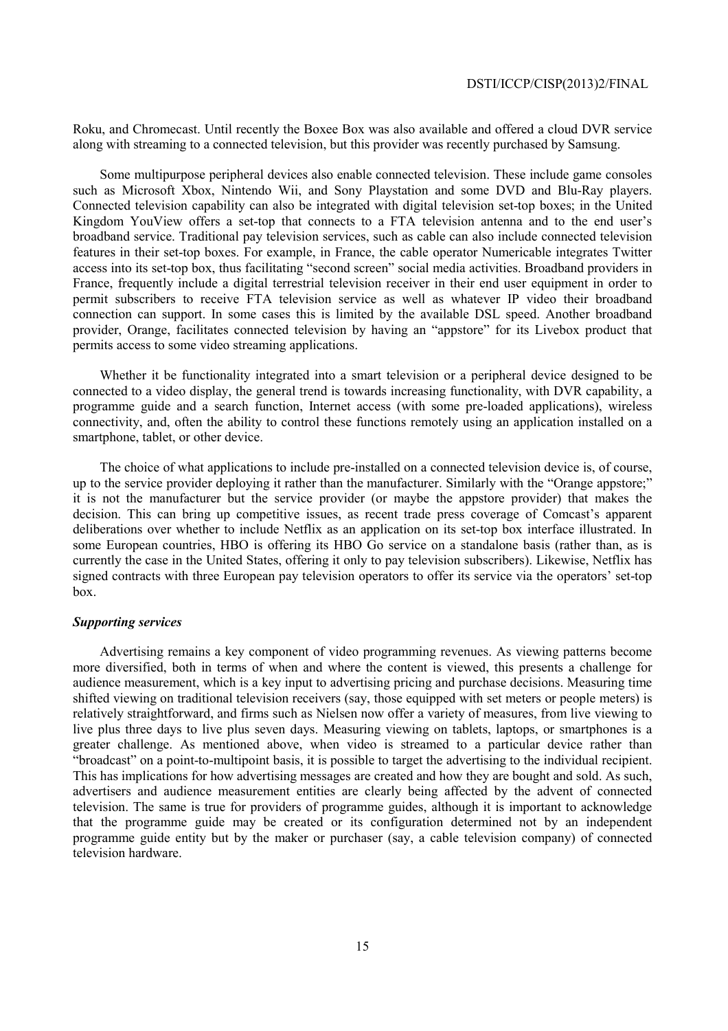Roku, and Chromecast. Until recently the Boxee Box was also available and offered a cloud DVR service along with streaming to a connected television, but this provider was recently purchased by Samsung.

Some multipurpose peripheral devices also enable connected television. These include game consoles such as Microsoft Xbox, Nintendo Wii, and Sony Playstation and some DVD and Blu-Ray players. Connected television capability can also be integrated with digital television set-top boxes; in the United Kingdom YouView offers a set-top that connects to a FTA television antenna and to the end user's broadband service. Traditional pay television services, such as cable can also include connected television features in their set-top boxes. For example, in France, the cable operator Numericable integrates Twitter access into its set-top box, thus facilitating "second screen" social media activities. Broadband providers in France, frequently include a digital terrestrial television receiver in their end user equipment in order to permit subscribers to receive FTA television service as well as whatever IP video their broadband connection can support. In some cases this is limited by the available DSL speed. Another broadband provider, Orange, facilitates connected television by having an "appstore" for its Livebox product that permits access to some video streaming applications.

Whether it be functionality integrated into a smart television or a peripheral device designed to be connected to a video display, the general trend is towards increasing functionality, with DVR capability, a programme guide and a search function, Internet access (with some pre-loaded applications), wireless connectivity, and, often the ability to control these functions remotely using an application installed on a smartphone, tablet, or other device.

The choice of what applications to include pre-installed on a connected television device is, of course, up to the service provider deploying it rather than the manufacturer. Similarly with the "Orange appstore;" it is not the manufacturer but the service provider (or maybe the appstore provider) that makes the decision. This can bring up competitive issues, as recent trade press coverage of Comcast's apparent deliberations over whether to include Netflix as an application on its set-top box interface illustrated. In some European countries, HBO is offering its HBO Go service on a standalone basis (rather than, as is currently the case in the United States, offering it only to pay television subscribers). Likewise, Netflix has signed contracts with three European pay television operators to offer its service via the operators' set-top box.

### *Supporting services*

Advertising remains a key component of video programming revenues. As viewing patterns become more diversified, both in terms of when and where the content is viewed, this presents a challenge for audience measurement, which is a key input to advertising pricing and purchase decisions. Measuring time shifted viewing on traditional television receivers (say, those equipped with set meters or people meters) is relatively straightforward, and firms such as Nielsen now offer a variety of measures, from live viewing to live plus three days to live plus seven days. Measuring viewing on tablets, laptops, or smartphones is a greater challenge. As mentioned above, when video is streamed to a particular device rather than "broadcast" on a point-to-multipoint basis, it is possible to target the advertising to the individual recipient. This has implications for how advertising messages are created and how they are bought and sold. As such, advertisers and audience measurement entities are clearly being affected by the advent of connected television. The same is true for providers of programme guides, although it is important to acknowledge that the programme guide may be created or its configuration determined not by an independent programme guide entity but by the maker or purchaser (say, a cable television company) of connected television hardware.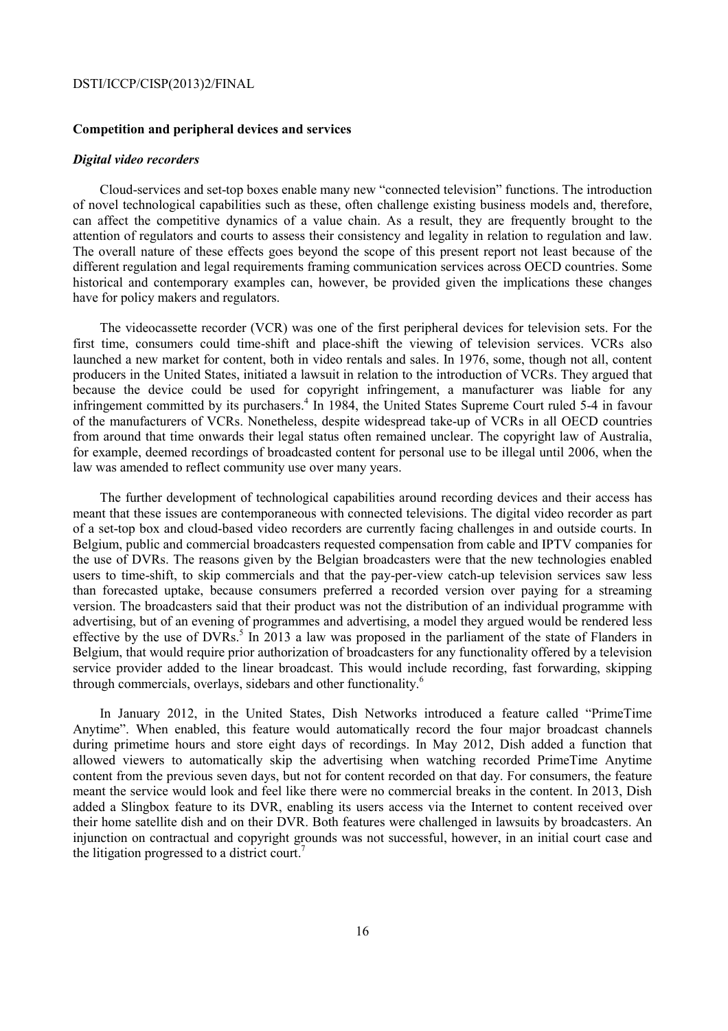### **Competition and peripheral devices and services**

### *Digital video recorders*

Cloud-services and set-top boxes enable many new "connected television" functions. The introduction of novel technological capabilities such as these, often challenge existing business models and, therefore, can affect the competitive dynamics of a value chain. As a result, they are frequently brought to the attention of regulators and courts to assess their consistency and legality in relation to regulation and law. The overall nature of these effects goes beyond the scope of this present report not least because of the different regulation and legal requirements framing communication services across OECD countries. Some historical and contemporary examples can, however, be provided given the implications these changes have for policy makers and regulators.

The videocassette recorder (VCR) was one of the first peripheral devices for television sets. For the first time, consumers could time-shift and place-shift the viewing of television services. VCRs also launched a new market for content, both in video rentals and sales. In 1976, some, though not all, content producers in the United States, initiated a lawsuit in relation to the introduction of VCRs. They argued that because the device could be used for copyright infringement, a manufacturer was liable for any infringement committed by its purchasers.<sup>4</sup> In 1984, the United States Supreme Court ruled 5-4 in favour of the manufacturers of VCRs. Nonetheless, despite widespread take-up of VCRs in all OECD countries from around that time onwards their legal status often remained unclear. The copyright law of Australia, for example, deemed recordings of broadcasted content for personal use to be illegal until 2006, when the law was amended to reflect community use over many years.

The further development of technological capabilities around recording devices and their access has meant that these issues are contemporaneous with connected televisions. The digital video recorder as part of a set-top box and cloud-based video recorders are currently facing challenges in and outside courts. In Belgium, public and commercial broadcasters requested compensation from cable and IPTV companies for the use of DVRs. The reasons given by the Belgian broadcasters were that the new technologies enabled users to time-shift, to skip commercials and that the pay-per-view catch-up television services saw less than forecasted uptake, because consumers preferred a recorded version over paying for a streaming version. The broadcasters said that their product was not the distribution of an individual programme with advertising, but of an evening of programmes and advertising, a model they argued would be rendered less effective by the use of DVRs.<sup>5</sup> In 2013 a law was proposed in the parliament of the state of Flanders in Belgium, that would require prior authorization of broadcasters for any functionality offered by a television service provider added to the linear broadcast. This would include recording, fast forwarding, skipping through commercials, overlays, sidebars and other functionality.<sup>6</sup>

In January 2012, in the United States, Dish Networks introduced a feature called "PrimeTime Anytime". When enabled, this feature would automatically record the four major broadcast channels during primetime hours and store eight days of recordings. In May 2012, Dish added a function that allowed viewers to automatically skip the advertising when watching recorded PrimeTime Anytime content from the previous seven days, but not for content recorded on that day. For consumers, the feature meant the service would look and feel like there were no commercial breaks in the content. In 2013, Dish added a Slingbox feature to its DVR, enabling its users access via the Internet to content received over their home satellite dish and on their DVR. Both features were challenged in lawsuits by broadcasters. An injunction on contractual and copyright grounds was not successful, however, in an initial court case and the litigation progressed to a district court.<sup>7</sup>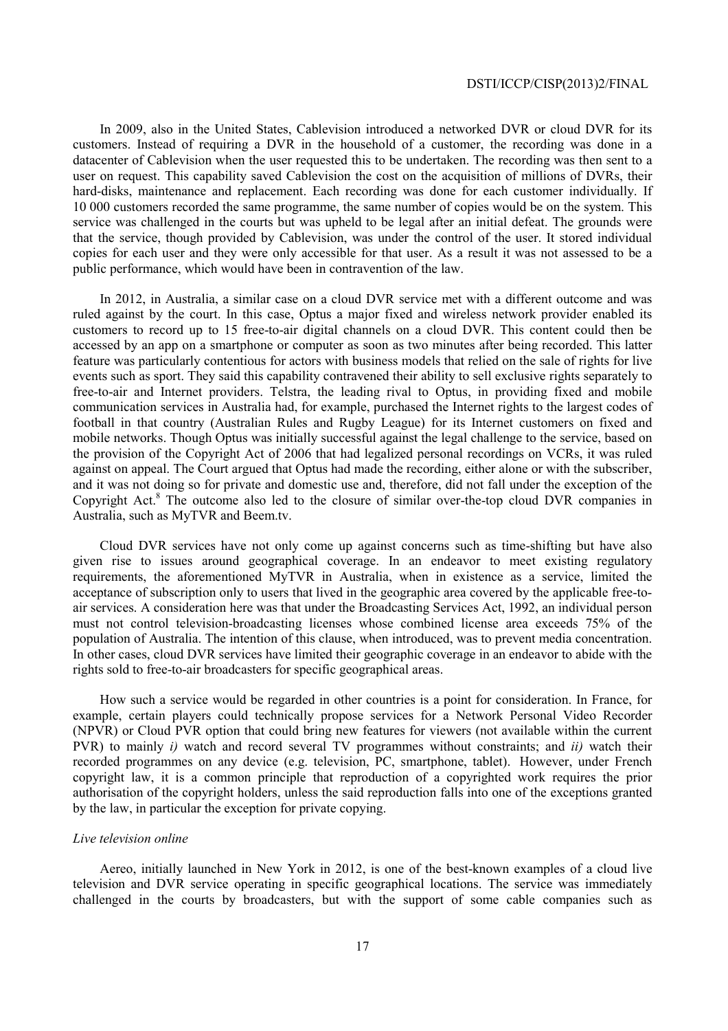In 2009, also in the United States, Cablevision introduced a networked DVR or cloud DVR for its customers. Instead of requiring a DVR in the household of a customer, the recording was done in a datacenter of Cablevision when the user requested this to be undertaken. The recording was then sent to a user on request. This capability saved Cablevision the cost on the acquisition of millions of DVRs, their hard-disks, maintenance and replacement. Each recording was done for each customer individually. If 10 000 customers recorded the same programme, the same number of copies would be on the system. This service was challenged in the courts but was upheld to be legal after an initial defeat. The grounds were that the service, though provided by Cablevision, was under the control of the user. It stored individual copies for each user and they were only accessible for that user. As a result it was not assessed to be a public performance, which would have been in contravention of the law.

In 2012, in Australia, a similar case on a cloud DVR service met with a different outcome and was ruled against by the court. In this case, Optus a major fixed and wireless network provider enabled its customers to record up to 15 free-to-air digital channels on a cloud DVR. This content could then be accessed by an app on a smartphone or computer as soon as two minutes after being recorded. This latter feature was particularly contentious for actors with business models that relied on the sale of rights for live events such as sport. They said this capability contravened their ability to sell exclusive rights separately to free-to-air and Internet providers. Telstra, the leading rival to Optus, in providing fixed and mobile communication services in Australia had, for example, purchased the Internet rights to the largest codes of football in that country (Australian Rules and Rugby League) for its Internet customers on fixed and mobile networks. Though Optus was initially successful against the legal challenge to the service, based on the provision of the Copyright Act of 2006 that had legalized personal recordings on VCRs, it was ruled against on appeal. The Court argued that Optus had made the recording, either alone or with the subscriber, and it was not doing so for private and domestic use and, therefore, did not fall under the exception of the Copyright Act.<sup>8</sup> The outcome also led to the closure of similar over-the-top cloud DVR companies in Australia, such as MyTVR and Beem.tv.

Cloud DVR services have not only come up against concerns such as time-shifting but have also given rise to issues around geographical coverage. In an endeavor to meet existing regulatory requirements, the aforementioned MyTVR in Australia, when in existence as a service, limited the acceptance of subscription only to users that lived in the geographic area covered by the applicable free-toair services. A consideration here was that under the Broadcasting Services Act, 1992, an individual person must not control television-broadcasting licenses whose combined license area exceeds 75% of the population of Australia. The intention of this clause, when introduced, was to prevent media concentration. In other cases, cloud DVR services have limited their geographic coverage in an endeavor to abide with the rights sold to free-to-air broadcasters for specific geographical areas.

How such a service would be regarded in other countries is a point for consideration. In France, for example, certain players could technically propose services for a Network Personal Video Recorder (NPVR) or Cloud PVR option that could bring new features for viewers (not available within the current PVR) to mainly *i)* watch and record several TV programmes without constraints; and *ii)* watch their recorded programmes on any device (e.g. television, PC, smartphone, tablet). However, under French copyright law, it is a common principle that reproduction of a copyrighted work requires the prior authorisation of the copyright holders, unless the said reproduction falls into one of the exceptions granted by the law, in particular the exception for private copying.

### *Live television online*

Aereo, initially launched in New York in 2012, is one of the best-known examples of a cloud live television and DVR service operating in specific geographical locations. The service was immediately challenged in the courts by broadcasters, but with the support of some cable companies such as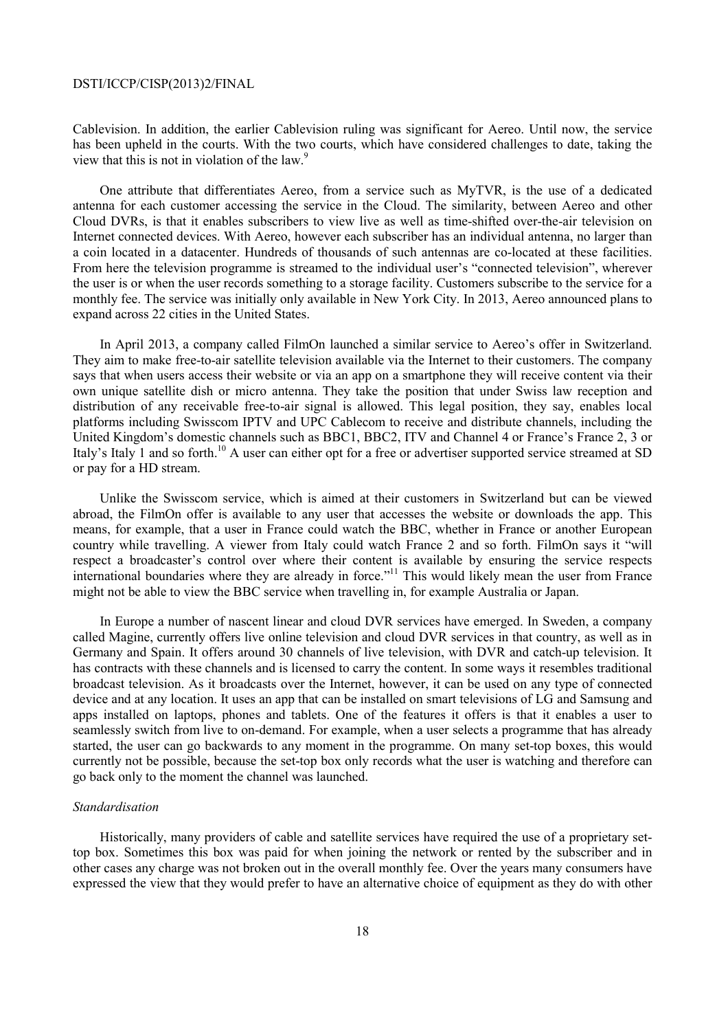Cablevision. In addition, the earlier Cablevision ruling was significant for Aereo. Until now, the service has been upheld in the courts. With the two courts, which have considered challenges to date, taking the view that this is not in violation of the law.<sup>9</sup>

One attribute that differentiates Aereo, from a service such as MyTVR, is the use of a dedicated antenna for each customer accessing the service in the Cloud. The similarity, between Aereo and other Cloud DVRs, is that it enables subscribers to view live as well as time-shifted over-the-air television on Internet connected devices. With Aereo, however each subscriber has an individual antenna, no larger than a coin located in a datacenter. Hundreds of thousands of such antennas are co-located at these facilities. From here the television programme is streamed to the individual user's "connected television", wherever the user is or when the user records something to a storage facility. Customers subscribe to the service for a monthly fee. The service was initially only available in New York City. In 2013, Aereo announced plans to expand across 22 cities in the United States.

In April 2013, a company called FilmOn launched a similar service to Aereo's offer in Switzerland. They aim to make free-to-air satellite television available via the Internet to their customers. The company says that when users access their website or via an app on a smartphone they will receive content via their own unique satellite dish or micro antenna. They take the position that under Swiss law reception and distribution of any receivable free-to-air signal is allowed. This legal position, they say, enables local platforms including Swisscom IPTV and UPC Cablecom to receive and distribute channels, including the United Kingdom's domestic channels such as BBC1, BBC2, ITV and Channel 4 or France's France 2, 3 or Italy's Italy 1 and so forth.<sup>10</sup> A user can either opt for a free or advertiser supported service streamed at SD or pay for a HD stream.

Unlike the Swisscom service, which is aimed at their customers in Switzerland but can be viewed abroad, the FilmOn offer is available to any user that accesses the website or downloads the app. This means, for example, that a user in France could watch the BBC, whether in France or another European country while travelling. A viewer from Italy could watch France 2 and so forth. FilmOn says it "will respect a broadcaster's control over where their content is available by ensuring the service respects international boundaries where they are already in force."<sup>11</sup> This would likely mean the user from France might not be able to view the BBC service when travelling in, for example Australia or Japan.

In Europe a number of nascent linear and cloud DVR services have emerged. In Sweden, a company called Magine, currently offers live online television and cloud DVR services in that country, as well as in Germany and Spain. It offers around 30 channels of live television, with DVR and catch-up television. It has contracts with these channels and is licensed to carry the content. In some ways it resembles traditional broadcast television. As it broadcasts over the Internet, however, it can be used on any type of connected device and at any location. It uses an app that can be installed on smart televisions of LG and Samsung and apps installed on laptops, phones and tablets. One of the features it offers is that it enables a user to seamlessly switch from live to on-demand. For example, when a user selects a programme that has already started, the user can go backwards to any moment in the programme. On many set-top boxes, this would currently not be possible, because the set-top box only records what the user is watching and therefore can go back only to the moment the channel was launched.

#### *Standardisation*

Historically, many providers of cable and satellite services have required the use of a proprietary settop box. Sometimes this box was paid for when joining the network or rented by the subscriber and in other cases any charge was not broken out in the overall monthly fee. Over the years many consumers have expressed the view that they would prefer to have an alternative choice of equipment as they do with other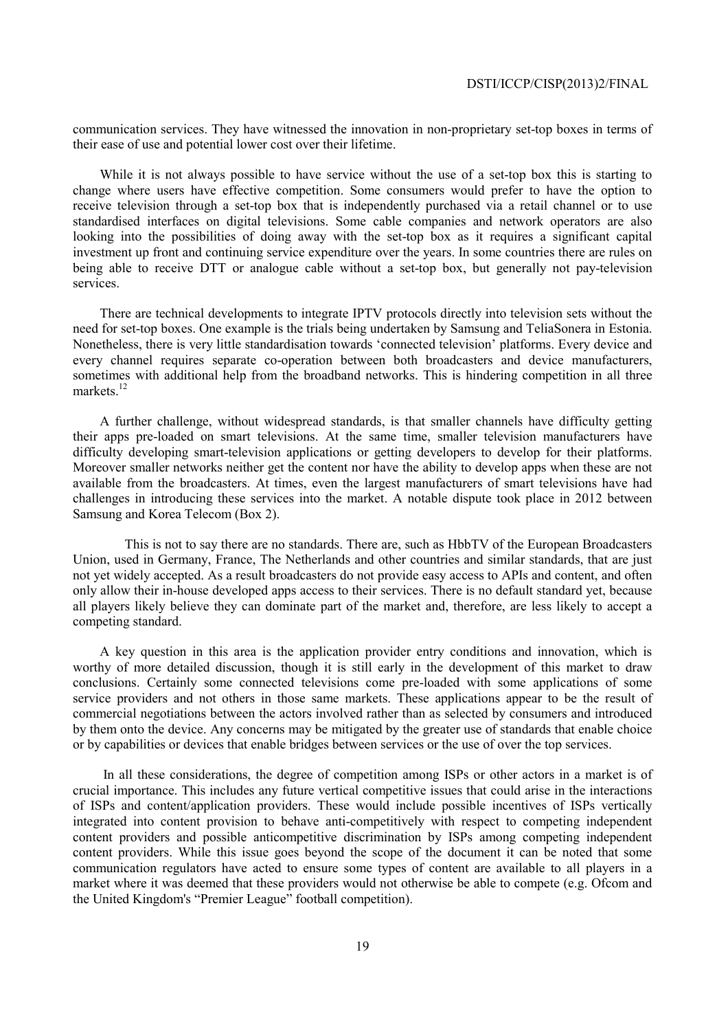communication services. They have witnessed the innovation in non-proprietary set-top boxes in terms of their ease of use and potential lower cost over their lifetime.

While it is not always possible to have service without the use of a set-top box this is starting to change where users have effective competition. Some consumers would prefer to have the option to receive television through a set-top box that is independently purchased via a retail channel or to use standardised interfaces on digital televisions. Some cable companies and network operators are also looking into the possibilities of doing away with the set-top box as it requires a significant capital investment up front and continuing service expenditure over the years. In some countries there are rules on being able to receive DTT or analogue cable without a set-top box, but generally not pay-television services.

There are technical developments to integrate IPTV protocols directly into television sets without the need for set-top boxes. One example is the trials being undertaken by Samsung and TeliaSonera in Estonia. Nonetheless, there is very little standardisation towards 'connected television' platforms. Every device and every channel requires separate co-operation between both broadcasters and device manufacturers, sometimes with additional help from the broadband networks. This is hindering competition in all three markets. $12$ 

A further challenge, without widespread standards, is that smaller channels have difficulty getting their apps pre-loaded on smart televisions. At the same time, smaller television manufacturers have difficulty developing smart-television applications or getting developers to develop for their platforms. Moreover smaller networks neither get the content nor have the ability to develop apps when these are not available from the broadcasters. At times, even the largest manufacturers of smart televisions have had challenges in introducing these services into the market. A notable dispute took place in 2012 between Samsung and Korea Telecom (Box 2).

 This is not to say there are no standards. There are, such as HbbTV of the European Broadcasters Union, used in Germany, France, The Netherlands and other countries and similar standards, that are just not yet widely accepted. As a result broadcasters do not provide easy access to APIs and content, and often only allow their in-house developed apps access to their services. There is no default standard yet, because all players likely believe they can dominate part of the market and, therefore, are less likely to accept a competing standard.

A key question in this area is the application provider entry conditions and innovation, which is worthy of more detailed discussion, though it is still early in the development of this market to draw conclusions. Certainly some connected televisions come pre-loaded with some applications of some service providers and not others in those same markets. These applications appear to be the result of commercial negotiations between the actors involved rather than as selected by consumers and introduced by them onto the device. Any concerns may be mitigated by the greater use of standards that enable choice or by capabilities or devices that enable bridges between services or the use of over the top services.

 In all these considerations, the degree of competition among ISPs or other actors in a market is of crucial importance. This includes any future vertical competitive issues that could arise in the interactions of ISPs and content/application providers. These would include possible incentives of ISPs vertically integrated into content provision to behave anti-competitively with respect to competing independent content providers and possible anticompetitive discrimination by ISPs among competing independent content providers. While this issue goes beyond the scope of the document it can be noted that some communication regulators have acted to ensure some types of content are available to all players in a market where it was deemed that these providers would not otherwise be able to compete (e.g. Ofcom and the United Kingdom's "Premier League" football competition).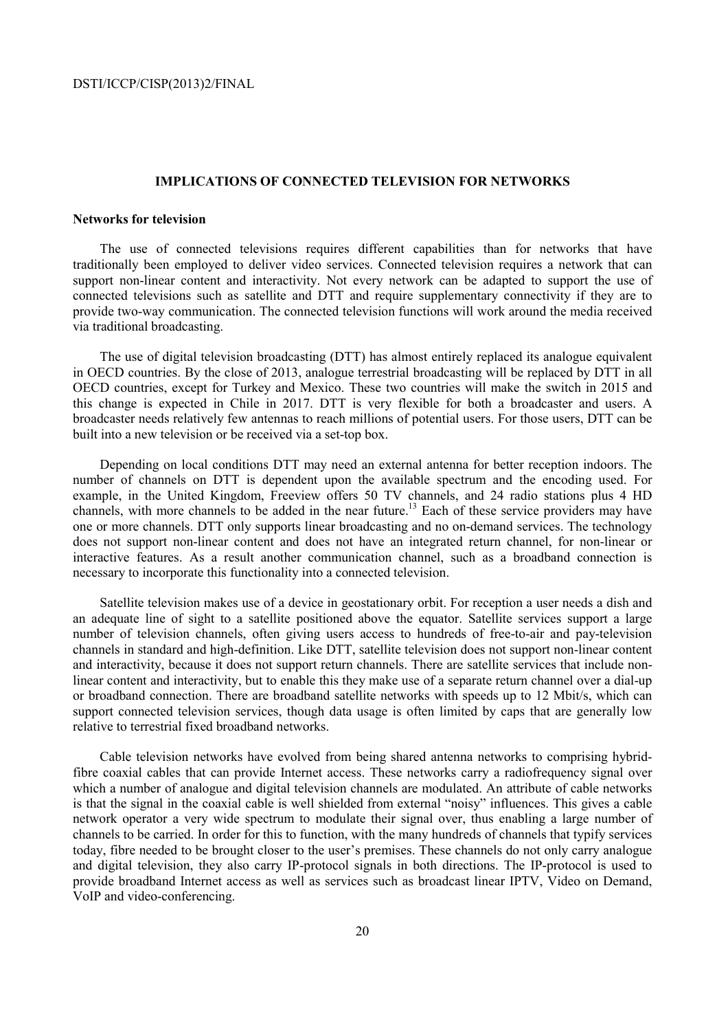### **IMPLICATIONS OF CONNECTED TELEVISION FOR NETWORKS**

### **Networks for television**

The use of connected televisions requires different capabilities than for networks that have traditionally been employed to deliver video services. Connected television requires a network that can support non-linear content and interactivity. Not every network can be adapted to support the use of connected televisions such as satellite and DTT and require supplementary connectivity if they are to provide two-way communication. The connected television functions will work around the media received via traditional broadcasting.

The use of digital television broadcasting (DTT) has almost entirely replaced its analogue equivalent in OECD countries. By the close of 2013, analogue terrestrial broadcasting will be replaced by DTT in all OECD countries, except for Turkey and Mexico. These two countries will make the switch in 2015 and this change is expected in Chile in 2017. DTT is very flexible for both a broadcaster and users. A broadcaster needs relatively few antennas to reach millions of potential users. For those users, DTT can be built into a new television or be received via a set-top box.

Depending on local conditions DTT may need an external antenna for better reception indoors. The number of channels on DTT is dependent upon the available spectrum and the encoding used. For example, in the United Kingdom, Freeview offers 50 TV channels, and 24 radio stations plus 4 HD channels, with more channels to be added in the near future.<sup>13</sup> Each of these service providers may have one or more channels. DTT only supports linear broadcasting and no on-demand services. The technology does not support non-linear content and does not have an integrated return channel, for non-linear or interactive features. As a result another communication channel, such as a broadband connection is necessary to incorporate this functionality into a connected television.

Satellite television makes use of a device in geostationary orbit. For reception a user needs a dish and an adequate line of sight to a satellite positioned above the equator. Satellite services support a large number of television channels, often giving users access to hundreds of free-to-air and pay-television channels in standard and high-definition. Like DTT, satellite television does not support non-linear content and interactivity, because it does not support return channels. There are satellite services that include nonlinear content and interactivity, but to enable this they make use of a separate return channel over a dial-up or broadband connection. There are broadband satellite networks with speeds up to 12 Mbit/s, which can support connected television services, though data usage is often limited by caps that are generally low relative to terrestrial fixed broadband networks.

Cable television networks have evolved from being shared antenna networks to comprising hybridfibre coaxial cables that can provide Internet access. These networks carry a radiofrequency signal over which a number of analogue and digital television channels are modulated. An attribute of cable networks is that the signal in the coaxial cable is well shielded from external "noisy" influences. This gives a cable network operator a very wide spectrum to modulate their signal over, thus enabling a large number of channels to be carried. In order for this to function, with the many hundreds of channels that typify services today, fibre needed to be brought closer to the user's premises. These channels do not only carry analogue and digital television, they also carry IP-protocol signals in both directions. The IP-protocol is used to provide broadband Internet access as well as services such as broadcast linear IPTV, Video on Demand, VoIP and video-conferencing.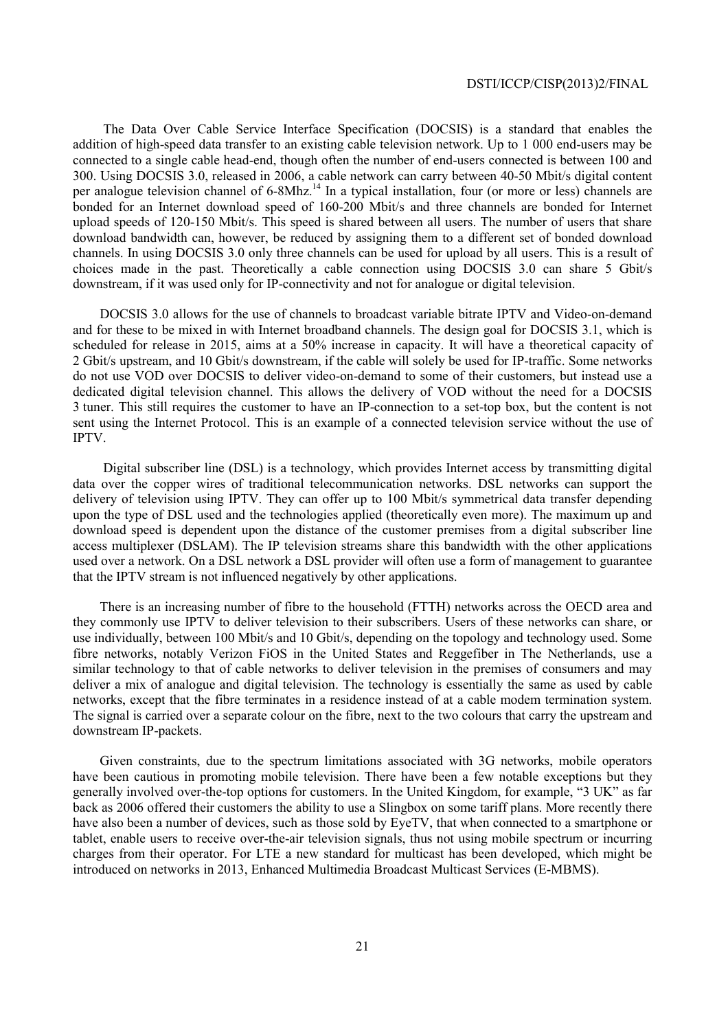The Data Over Cable Service Interface Specification (DOCSIS) is a standard that enables the addition of high-speed data transfer to an existing cable television network. Up to 1 000 end-users may be connected to a single cable head-end, though often the number of end-users connected is between 100 and 300. Using DOCSIS 3.0, released in 2006, a cable network can carry between 40-50 Mbit/s digital content per analogue television channel of 6-8Mhz.<sup>14</sup> In a typical installation, four (or more or less) channels are bonded for an Internet download speed of 160-200 Mbit/s and three channels are bonded for Internet upload speeds of 120-150 Mbit/s. This speed is shared between all users. The number of users that share download bandwidth can, however, be reduced by assigning them to a different set of bonded download channels. In using DOCSIS 3.0 only three channels can be used for upload by all users. This is a result of choices made in the past. Theoretically a cable connection using DOCSIS 3.0 can share 5 Gbit/s downstream, if it was used only for IP-connectivity and not for analogue or digital television.

DOCSIS 3.0 allows for the use of channels to broadcast variable bitrate IPTV and Video-on-demand and for these to be mixed in with Internet broadband channels. The design goal for DOCSIS 3.1, which is scheduled for release in 2015, aims at a 50% increase in capacity. It will have a theoretical capacity of 2 Gbit/s upstream, and 10 Gbit/s downstream, if the cable will solely be used for IP-traffic. Some networks do not use VOD over DOCSIS to deliver video-on-demand to some of their customers, but instead use a dedicated digital television channel. This allows the delivery of VOD without the need for a DOCSIS 3 tuner. This still requires the customer to have an IP-connection to a set-top box, but the content is not sent using the Internet Protocol. This is an example of a connected television service without the use of IPTV.

 Digital subscriber line (DSL) is a technology, which provides Internet access by transmitting digital data over the copper wires of traditional telecommunication networks. DSL networks can support the delivery of television using IPTV. They can offer up to 100 Mbit/s symmetrical data transfer depending upon the type of DSL used and the technologies applied (theoretically even more). The maximum up and download speed is dependent upon the distance of the customer premises from a digital subscriber line access multiplexer (DSLAM). The IP television streams share this bandwidth with the other applications used over a network. On a DSL network a DSL provider will often use a form of management to guarantee that the IPTV stream is not influenced negatively by other applications.

There is an increasing number of fibre to the household (FTTH) networks across the OECD area and they commonly use IPTV to deliver television to their subscribers. Users of these networks can share, or use individually, between 100 Mbit/s and 10 Gbit/s, depending on the topology and technology used. Some fibre networks, notably Verizon FiOS in the United States and Reggefiber in The Netherlands, use a similar technology to that of cable networks to deliver television in the premises of consumers and may deliver a mix of analogue and digital television. The technology is essentially the same as used by cable networks, except that the fibre terminates in a residence instead of at a cable modem termination system. The signal is carried over a separate colour on the fibre, next to the two colours that carry the upstream and downstream IP-packets.

Given constraints, due to the spectrum limitations associated with 3G networks, mobile operators have been cautious in promoting mobile television. There have been a few notable exceptions but they generally involved over-the-top options for customers. In the United Kingdom, for example, "3 UK" as far back as 2006 offered their customers the ability to use a Slingbox on some tariff plans. More recently there have also been a number of devices, such as those sold by EyeTV, that when connected to a smartphone or tablet, enable users to receive over-the-air television signals, thus not using mobile spectrum or incurring charges from their operator. For LTE a new standard for multicast has been developed, which might be introduced on networks in 2013, Enhanced Multimedia Broadcast Multicast Services (E-MBMS).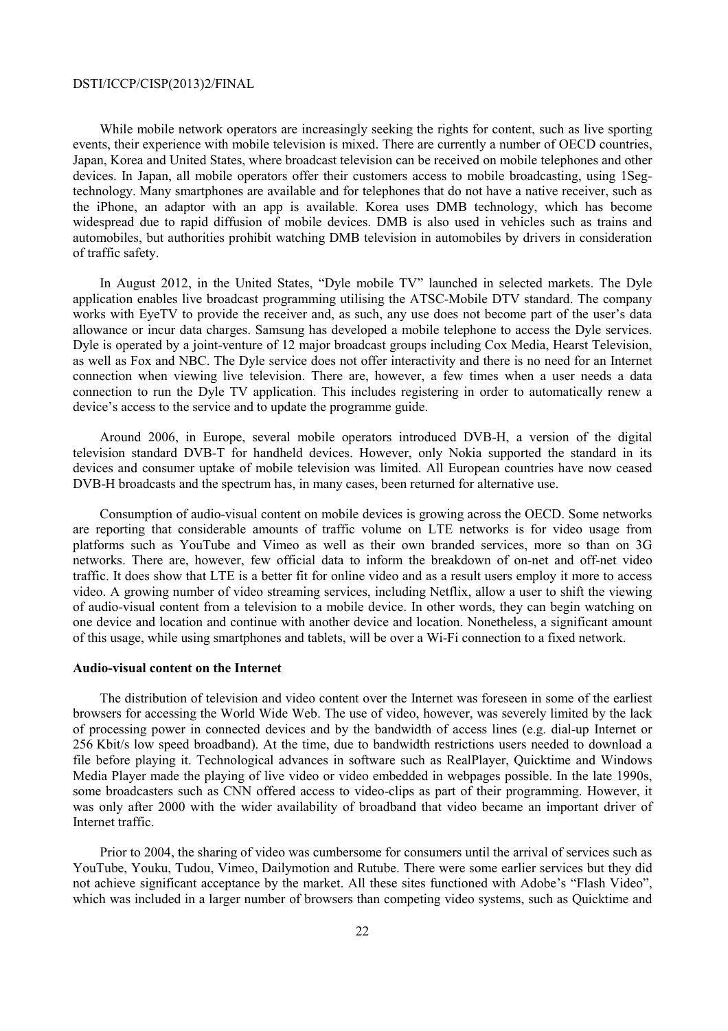While mobile network operators are increasingly seeking the rights for content, such as live sporting events, their experience with mobile television is mixed. There are currently a number of OECD countries, Japan, Korea and United States, where broadcast television can be received on mobile telephones and other devices. In Japan, all mobile operators offer their customers access to mobile broadcasting, using 1Segtechnology. Many smartphones are available and for telephones that do not have a native receiver, such as the iPhone, an adaptor with an app is available. Korea uses DMB technology, which has become widespread due to rapid diffusion of mobile devices. DMB is also used in vehicles such as trains and automobiles, but authorities prohibit watching DMB television in automobiles by drivers in consideration of traffic safety.

In August 2012, in the United States, "Dyle mobile TV" launched in selected markets. The Dyle application enables live broadcast programming utilising the ATSC-Mobile DTV standard. The company works with EyeTV to provide the receiver and, as such, any use does not become part of the user's data allowance or incur data charges. Samsung has developed a mobile telephone to access the Dyle services. Dyle is operated by a joint-venture of 12 major broadcast groups including Cox Media, Hearst Television, as well as Fox and NBC. The Dyle service does not offer interactivity and there is no need for an Internet connection when viewing live television. There are, however, a few times when a user needs a data connection to run the Dyle TV application. This includes registering in order to automatically renew a device's access to the service and to update the programme guide.

Around 2006, in Europe, several mobile operators introduced DVB-H, a version of the digital television standard DVB-T for handheld devices. However, only Nokia supported the standard in its devices and consumer uptake of mobile television was limited. All European countries have now ceased DVB-H broadcasts and the spectrum has, in many cases, been returned for alternative use.

Consumption of audio-visual content on mobile devices is growing across the OECD. Some networks are reporting that considerable amounts of traffic volume on LTE networks is for video usage from platforms such as YouTube and Vimeo as well as their own branded services, more so than on 3G networks. There are, however, few official data to inform the breakdown of on-net and off-net video traffic. It does show that LTE is a better fit for online video and as a result users employ it more to access video. A growing number of video streaming services, including Netflix, allow a user to shift the viewing of audio-visual content from a television to a mobile device. In other words, they can begin watching on one device and location and continue with another device and location. Nonetheless, a significant amount of this usage, while using smartphones and tablets, will be over a Wi-Fi connection to a fixed network.

### **Audio-visual content on the Internet**

The distribution of television and video content over the Internet was foreseen in some of the earliest browsers for accessing the World Wide Web. The use of video, however, was severely limited by the lack of processing power in connected devices and by the bandwidth of access lines (e.g. dial-up Internet or 256 Kbit/s low speed broadband). At the time, due to bandwidth restrictions users needed to download a file before playing it. Technological advances in software such as RealPlayer, Quicktime and Windows Media Player made the playing of live video or video embedded in webpages possible. In the late 1990s, some broadcasters such as CNN offered access to video-clips as part of their programming. However, it was only after 2000 with the wider availability of broadband that video became an important driver of Internet traffic.

Prior to 2004, the sharing of video was cumbersome for consumers until the arrival of services such as YouTube, Youku, Tudou, Vimeo, Dailymotion and Rutube. There were some earlier services but they did not achieve significant acceptance by the market. All these sites functioned with Adobe's "Flash Video", which was included in a larger number of browsers than competing video systems, such as Quicktime and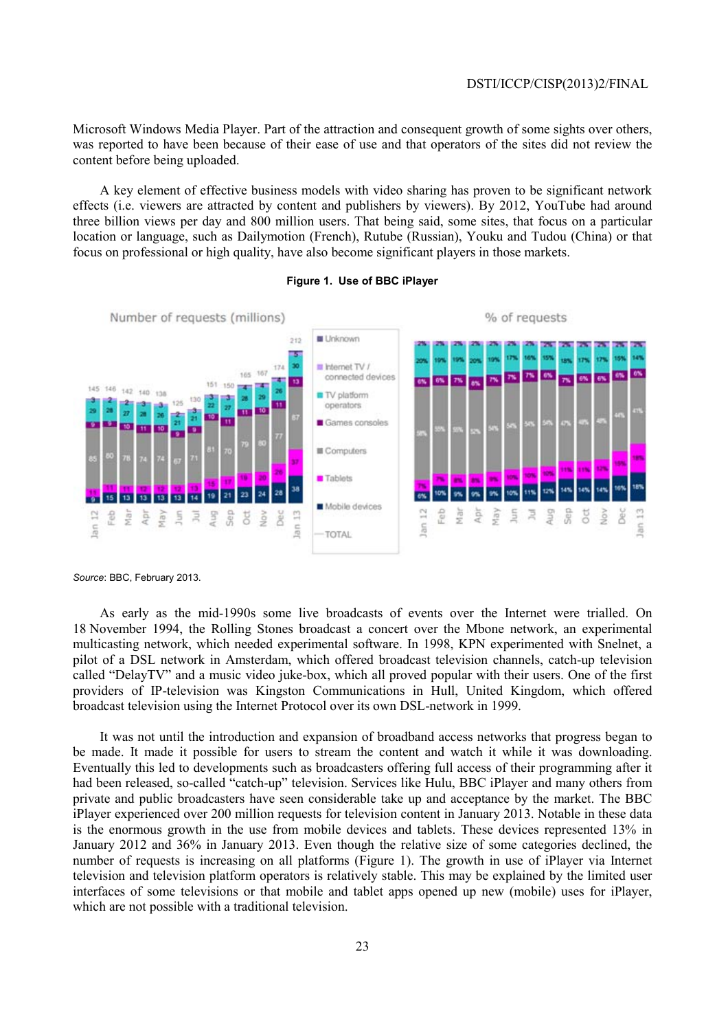Microsoft Windows Media Player. Part of the attraction and consequent growth of some sights over others, was reported to have been because of their ease of use and that operators of the sites did not review the content before being uploaded.

A key element of effective business models with video sharing has proven to be significant network effects (i.e. viewers are attracted by content and publishers by viewers). By 2012, YouTube had around three billion views per day and 800 million users. That being said, some sites, that focus on a particular location or language, such as Dailymotion (French), Rutube (Russian), Youku and Tudou (China) or that focus on professional or high quality, have also become significant players in those markets.



#### **Figure 1. Use of BBC iPlayer**

*Source*: BBC, February 2013.

As early as the mid-1990s some live broadcasts of events over the Internet were trialled. On 18 November 1994, the Rolling Stones broadcast a concert over the Mbone network, an experimental multicasting network, which needed experimental software. In 1998, KPN experimented with Snelnet, a pilot of a DSL network in Amsterdam, which offered broadcast television channels, catch-up television called "DelayTV" and a music video juke-box, which all proved popular with their users. One of the first providers of IP-television was Kingston Communications in Hull, United Kingdom, which offered broadcast television using the Internet Protocol over its own DSL-network in 1999.

It was not until the introduction and expansion of broadband access networks that progress began to be made. It made it possible for users to stream the content and watch it while it was downloading. Eventually this led to developments such as broadcasters offering full access of their programming after it had been released, so-called "catch-up" television. Services like Hulu, BBC iPlayer and many others from private and public broadcasters have seen considerable take up and acceptance by the market. The BBC iPlayer experienced over 200 million requests for television content in January 2013. Notable in these data is the enormous growth in the use from mobile devices and tablets. These devices represented 13% in January 2012 and 36% in January 2013. Even though the relative size of some categories declined, the number of requests is increasing on all platforms (Figure 1). The growth in use of iPlayer via Internet television and television platform operators is relatively stable. This may be explained by the limited user interfaces of some televisions or that mobile and tablet apps opened up new (mobile) uses for iPlayer, which are not possible with a traditional television.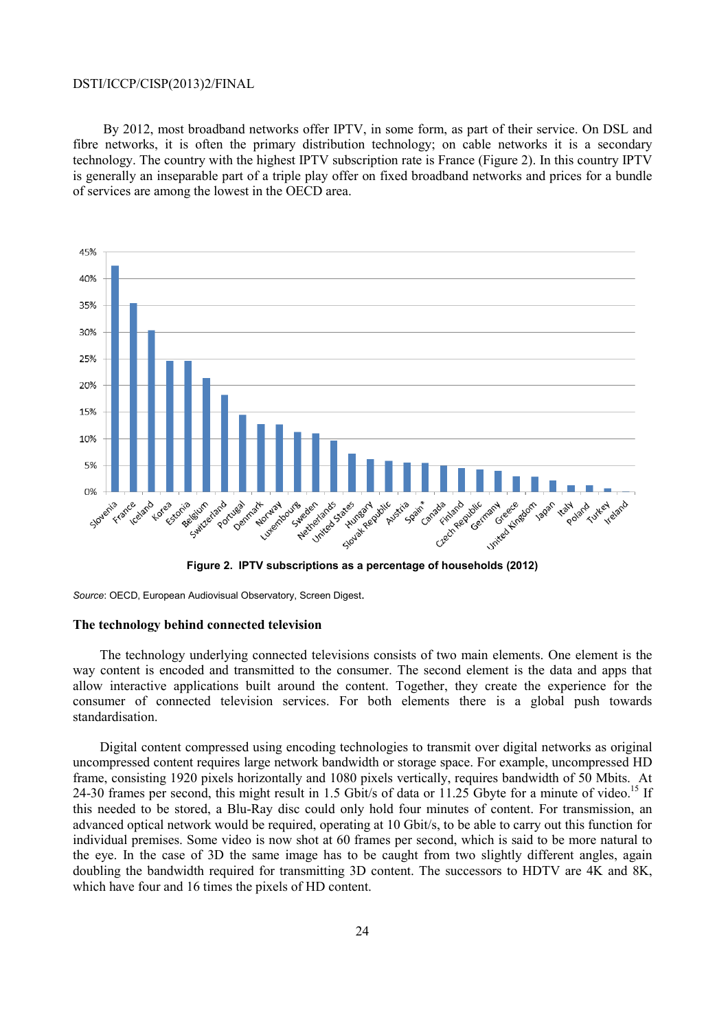By 2012, most broadband networks offer IPTV, in some form, as part of their service. On DSL and fibre networks, it is often the primary distribution technology; on cable networks it is a secondary technology. The country with the highest IPTV subscription rate is France (Figure 2). In this country IPTV is generally an inseparable part of a triple play offer on fixed broadband networks and prices for a bundle of services are among the lowest in the OECD area.



**Figure 2. IPTV subscriptions as a percentage of households (2012)** 

*Source*: OECD, European Audiovisual Observatory, Screen Digest.

### **The technology behind connected television**

The technology underlying connected televisions consists of two main elements. One element is the way content is encoded and transmitted to the consumer. The second element is the data and apps that allow interactive applications built around the content. Together, they create the experience for the consumer of connected television services. For both elements there is a global push towards standardisation.

Digital content compressed using encoding technologies to transmit over digital networks as original uncompressed content requires large network bandwidth or storage space. For example, uncompressed HD frame, consisting 1920 pixels horizontally and 1080 pixels vertically, requires bandwidth of 50 Mbits. At 24-30 frames per second, this might result in 1.5 Gbit/s of data or 11.25 Gbyte for a minute of video.<sup>15</sup> If this needed to be stored, a Blu-Ray disc could only hold four minutes of content. For transmission, an advanced optical network would be required, operating at 10 Gbit/s, to be able to carry out this function for individual premises. Some video is now shot at 60 frames per second, which is said to be more natural to the eye. In the case of 3D the same image has to be caught from two slightly different angles, again doubling the bandwidth required for transmitting 3D content. The successors to HDTV are 4K and 8K, which have four and 16 times the pixels of HD content.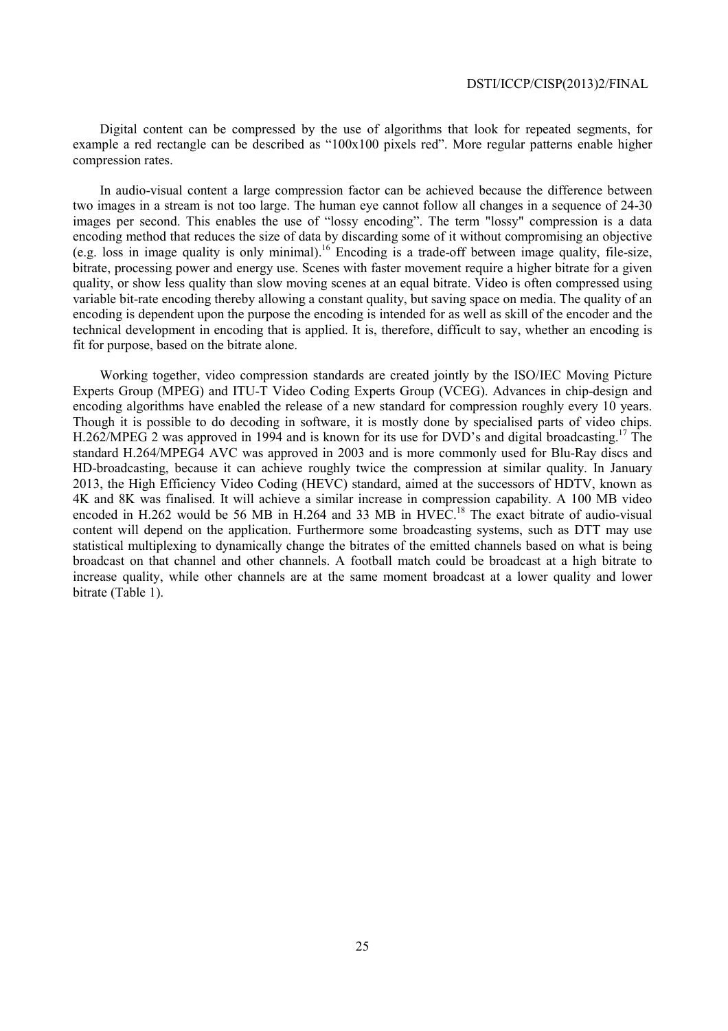Digital content can be compressed by the use of algorithms that look for repeated segments, for example a red rectangle can be described as "100x100 pixels red". More regular patterns enable higher compression rates.

In audio-visual content a large compression factor can be achieved because the difference between two images in a stream is not too large. The human eye cannot follow all changes in a sequence of 24-30 images per second. This enables the use of "lossy encoding". The term "lossy" compression is a data encoding method that reduces the size of data by discarding some of it without compromising an objective (e.g. loss in image quality is only minimal).16 Encoding is a trade-off between image quality, file-size, bitrate, processing power and energy use. Scenes with faster movement require a higher bitrate for a given quality, or show less quality than slow moving scenes at an equal bitrate. Video is often compressed using variable bit-rate encoding thereby allowing a constant quality, but saving space on media. The quality of an encoding is dependent upon the purpose the encoding is intended for as well as skill of the encoder and the technical development in encoding that is applied. It is, therefore, difficult to say, whether an encoding is fit for purpose, based on the bitrate alone.

Working together, video compression standards are created jointly by the ISO/IEC Moving Picture Experts Group (MPEG) and ITU-T Video Coding Experts Group (VCEG). Advances in chip-design and encoding algorithms have enabled the release of a new standard for compression roughly every 10 years. Though it is possible to do decoding in software, it is mostly done by specialised parts of video chips. H.262/MPEG 2 was approved in 1994 and is known for its use for DVD's and digital broadcasting.<sup>17</sup> The standard H.264/MPEG4 AVC was approved in 2003 and is more commonly used for Blu-Ray discs and HD-broadcasting, because it can achieve roughly twice the compression at similar quality. In January 2013, the High Efficiency Video Coding (HEVC) standard, aimed at the successors of HDTV, known as 4K and 8K was finalised. It will achieve a similar increase in compression capability. A 100 MB video encoded in H.262 would be 56 MB in H.264 and 33 MB in HVEC.<sup>18</sup> The exact bitrate of audio-visual content will depend on the application. Furthermore some broadcasting systems, such as DTT may use statistical multiplexing to dynamically change the bitrates of the emitted channels based on what is being broadcast on that channel and other channels. A football match could be broadcast at a high bitrate to increase quality, while other channels are at the same moment broadcast at a lower quality and lower bitrate (Table 1).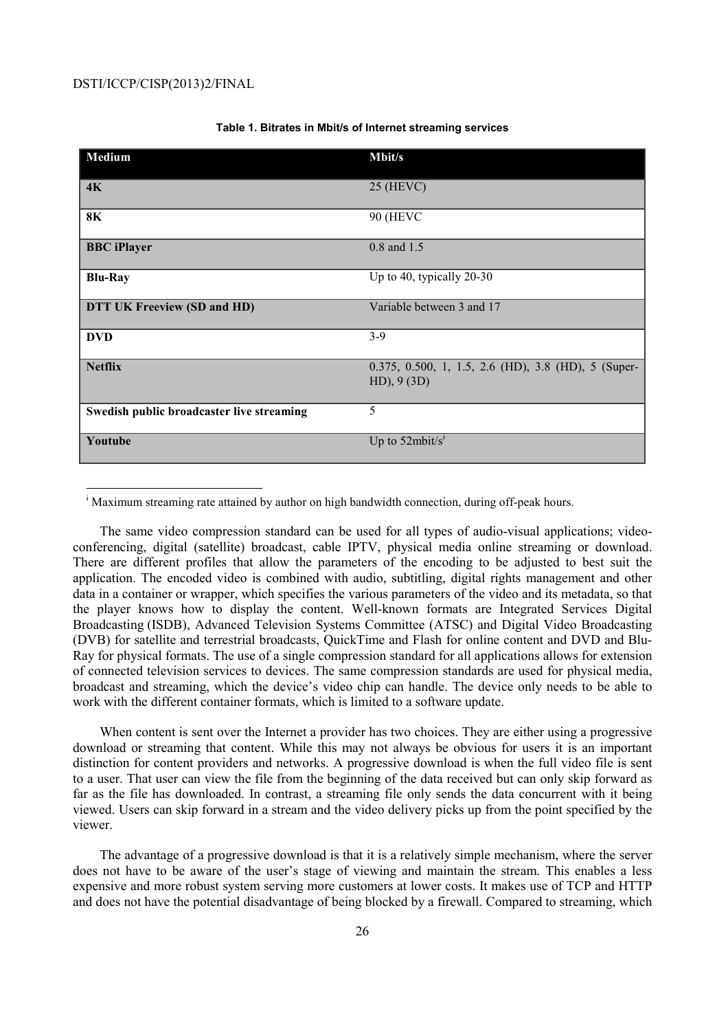l

| Medium                                    | <b>Mbit/s</b>                                                        |
|-------------------------------------------|----------------------------------------------------------------------|
| 4K                                        | $25$ (HEVC)                                                          |
| <b>8K</b>                                 | <b>90 (HEVC)</b>                                                     |
| <b>BBC</b> iPlayer                        | 0.8 and 1.5                                                          |
| <b>Blu-Ray</b>                            | Up to 40, typically 20-30                                            |
| DTT UK Freeview (SD and HD)               | Variable between 3 and 17                                            |
| <b>DVD</b>                                | $3 - 9$                                                              |
| <b>Netflix</b>                            | 0.375, 0.500, 1, 1.5, 2.6 (HD), 3.8 (HD), 5 (Super-<br>$HD$ , 9 (3D) |
| Swedish public broadcaster live streaming | 5                                                                    |
| Youtube                                   | Up to $52$ mbit/s <sup>1</sup>                                       |

### **Table 1. Bitrates in Mbit/s of Internet streaming services**

The same video compression standard can be used for all types of audio-visual applications; videoconferencing, digital (satellite) broadcast, cable IPTV, physical media online streaming or download. There are different profiles that allow the parameters of the encoding to be adjusted to best suit the application. The encoded video is combined with audio, subtitling, digital rights management and other data in a container or wrapper, which specifies the various parameters of the video and its metadata, so that the player knows how to display the content. Well-known formats are Integrated Services Digital Broadcasting (ISDB), Advanced Television Systems Committee (ATSC) and Digital Video Broadcasting (DVB) for satellite and terrestrial broadcasts, QuickTime and Flash for online content and DVD and Blu-Ray for physical formats. The use of a single compression standard for all applications allows for extension of connected television services to devices. The same compression standards are used for physical media, broadcast and streaming, which the device's video chip can handle. The device only needs to be able to work with the different container formats, which is limited to a software update.

When content is sent over the Internet a provider has two choices. They are either using a progressive download or streaming that content. While this may not always be obvious for users it is an important distinction for content providers and networks. A progressive download is when the full video file is sent to a user. That user can view the file from the beginning of the data received but can only skip forward as far as the file has downloaded. In contrast, a streaming file only sends the data concurrent with it being viewed. Users can skip forward in a stream and the video delivery picks up from the point specified by the viewer.

The advantage of a progressive download is that it is a relatively simple mechanism, where the server does not have to be aware of the user's stage of viewing and maintain the stream. This enables a less expensive and more robust system serving more customers at lower costs. It makes use of TCP and HTTP and does not have the potential disadvantage of being blocked by a firewall. Compared to streaming, which

<sup>&</sup>lt;sup>i</sup> Maximum streaming rate attained by author on high bandwidth connection, during off-peak hours.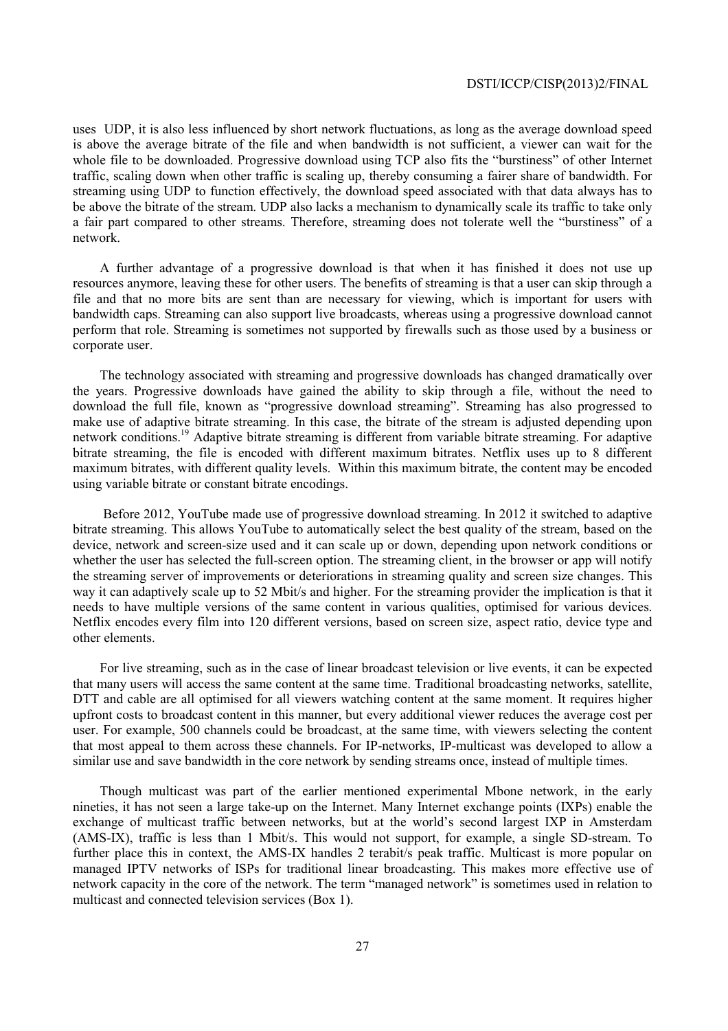uses UDP, it is also less influenced by short network fluctuations, as long as the average download speed is above the average bitrate of the file and when bandwidth is not sufficient, a viewer can wait for the whole file to be downloaded. Progressive download using TCP also fits the "burstiness" of other Internet traffic, scaling down when other traffic is scaling up, thereby consuming a fairer share of bandwidth. For streaming using UDP to function effectively, the download speed associated with that data always has to be above the bitrate of the stream. UDP also lacks a mechanism to dynamically scale its traffic to take only a fair part compared to other streams. Therefore, streaming does not tolerate well the "burstiness" of a network.

A further advantage of a progressive download is that when it has finished it does not use up resources anymore, leaving these for other users. The benefits of streaming is that a user can skip through a file and that no more bits are sent than are necessary for viewing, which is important for users with bandwidth caps. Streaming can also support live broadcasts, whereas using a progressive download cannot perform that role. Streaming is sometimes not supported by firewalls such as those used by a business or corporate user.

The technology associated with streaming and progressive downloads has changed dramatically over the years. Progressive downloads have gained the ability to skip through a file, without the need to download the full file, known as "progressive download streaming". Streaming has also progressed to make use of adaptive bitrate streaming. In this case, the bitrate of the stream is adjusted depending upon network conditions.19 Adaptive bitrate streaming is different from variable bitrate streaming. For adaptive bitrate streaming, the file is encoded with different maximum bitrates. Netflix uses up to 8 different maximum bitrates, with different quality levels. Within this maximum bitrate, the content may be encoded using variable bitrate or constant bitrate encodings.

 Before 2012, YouTube made use of progressive download streaming. In 2012 it switched to adaptive bitrate streaming. This allows YouTube to automatically select the best quality of the stream, based on the device, network and screen-size used and it can scale up or down, depending upon network conditions or whether the user has selected the full-screen option. The streaming client, in the browser or app will notify the streaming server of improvements or deteriorations in streaming quality and screen size changes. This way it can adaptively scale up to 52 Mbit/s and higher. For the streaming provider the implication is that it needs to have multiple versions of the same content in various qualities, optimised for various devices. Netflix encodes every film into 120 different versions, based on screen size, aspect ratio, device type and other elements.

For live streaming, such as in the case of linear broadcast television or live events, it can be expected that many users will access the same content at the same time. Traditional broadcasting networks, satellite, DTT and cable are all optimised for all viewers watching content at the same moment. It requires higher upfront costs to broadcast content in this manner, but every additional viewer reduces the average cost per user. For example, 500 channels could be broadcast, at the same time, with viewers selecting the content that most appeal to them across these channels. For IP-networks, IP-multicast was developed to allow a similar use and save bandwidth in the core network by sending streams once, instead of multiple times.

Though multicast was part of the earlier mentioned experimental Mbone network, in the early nineties, it has not seen a large take-up on the Internet. Many Internet exchange points (IXPs) enable the exchange of multicast traffic between networks, but at the world's second largest IXP in Amsterdam (AMS-IX), traffic is less than 1 Mbit/s. This would not support, for example, a single SD-stream. To further place this in context, the AMS-IX handles 2 terabit/s peak traffic. Multicast is more popular on managed IPTV networks of ISPs for traditional linear broadcasting. This makes more effective use of network capacity in the core of the network. The term "managed network" is sometimes used in relation to multicast and connected television services (Box 1).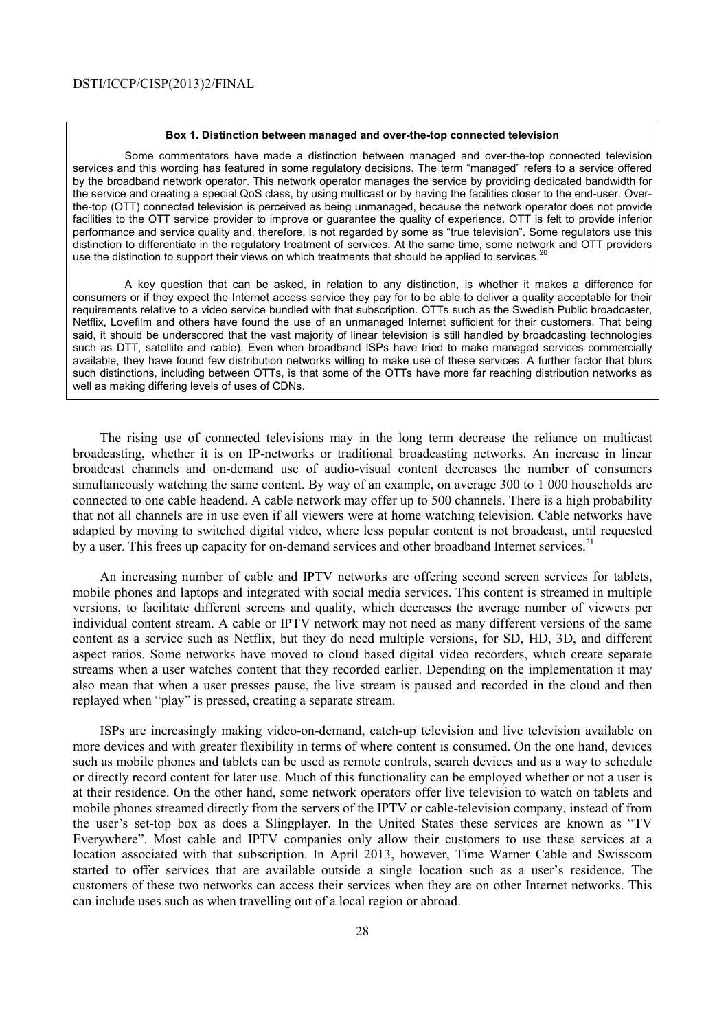#### **Box 1. Distinction between managed and over-the-top connected television**

 Some commentators have made a distinction between managed and over-the-top connected television services and this wording has featured in some regulatory decisions. The term "managed" refers to a service offered by the broadband network operator. This network operator manages the service by providing dedicated bandwidth for the service and creating a special QoS class, by using multicast or by having the facilities closer to the end-user. Overthe-top (OTT) connected television is perceived as being unmanaged, because the network operator does not provide facilities to the OTT service provider to improve or guarantee the quality of experience. OTT is felt to provide inferior performance and service quality and, therefore, is not regarded by some as "true television". Some regulators use this distinction to differentiate in the regulatory treatment of services. At the same time, some network and OTT providers use the distinction to support their views on which treatments that should be applied to services.<sup>2</sup>

 A key question that can be asked, in relation to any distinction, is whether it makes a difference for consumers or if they expect the Internet access service they pay for to be able to deliver a quality acceptable for their requirements relative to a video service bundled with that subscription. OTTs such as the Swedish Public broadcaster, Netflix, Lovefilm and others have found the use of an unmanaged Internet sufficient for their customers. That being said, it should be underscored that the vast majority of linear television is still handled by broadcasting technologies such as DTT, satellite and cable). Even when broadband ISPs have tried to make managed services commercially available, they have found few distribution networks willing to make use of these services. A further factor that blurs such distinctions, including between OTTs, is that some of the OTTs have more far reaching distribution networks as well as making differing levels of uses of CDNs.

The rising use of connected televisions may in the long term decrease the reliance on multicast broadcasting, whether it is on IP-networks or traditional broadcasting networks. An increase in linear broadcast channels and on-demand use of audio-visual content decreases the number of consumers simultaneously watching the same content. By way of an example, on average 300 to 1 000 households are connected to one cable headend. A cable network may offer up to 500 channels. There is a high probability that not all channels are in use even if all viewers were at home watching television. Cable networks have adapted by moving to switched digital video, where less popular content is not broadcast, until requested by a user. This frees up capacity for on-demand services and other broadband Internet services.<sup>21</sup>

An increasing number of cable and IPTV networks are offering second screen services for tablets, mobile phones and laptops and integrated with social media services. This content is streamed in multiple versions, to facilitate different screens and quality, which decreases the average number of viewers per individual content stream. A cable or IPTV network may not need as many different versions of the same content as a service such as Netflix, but they do need multiple versions, for SD, HD, 3D, and different aspect ratios. Some networks have moved to cloud based digital video recorders, which create separate streams when a user watches content that they recorded earlier. Depending on the implementation it may also mean that when a user presses pause, the live stream is paused and recorded in the cloud and then replayed when "play" is pressed, creating a separate stream.

ISPs are increasingly making video-on-demand, catch-up television and live television available on more devices and with greater flexibility in terms of where content is consumed. On the one hand, devices such as mobile phones and tablets can be used as remote controls, search devices and as a way to schedule or directly record content for later use. Much of this functionality can be employed whether or not a user is at their residence. On the other hand, some network operators offer live television to watch on tablets and mobile phones streamed directly from the servers of the IPTV or cable-television company, instead of from the user's set-top box as does a Slingplayer. In the United States these services are known as "TV Everywhere". Most cable and IPTV companies only allow their customers to use these services at a location associated with that subscription. In April 2013, however, Time Warner Cable and Swisscom started to offer services that are available outside a single location such as a user's residence. The customers of these two networks can access their services when they are on other Internet networks. This can include uses such as when travelling out of a local region or abroad.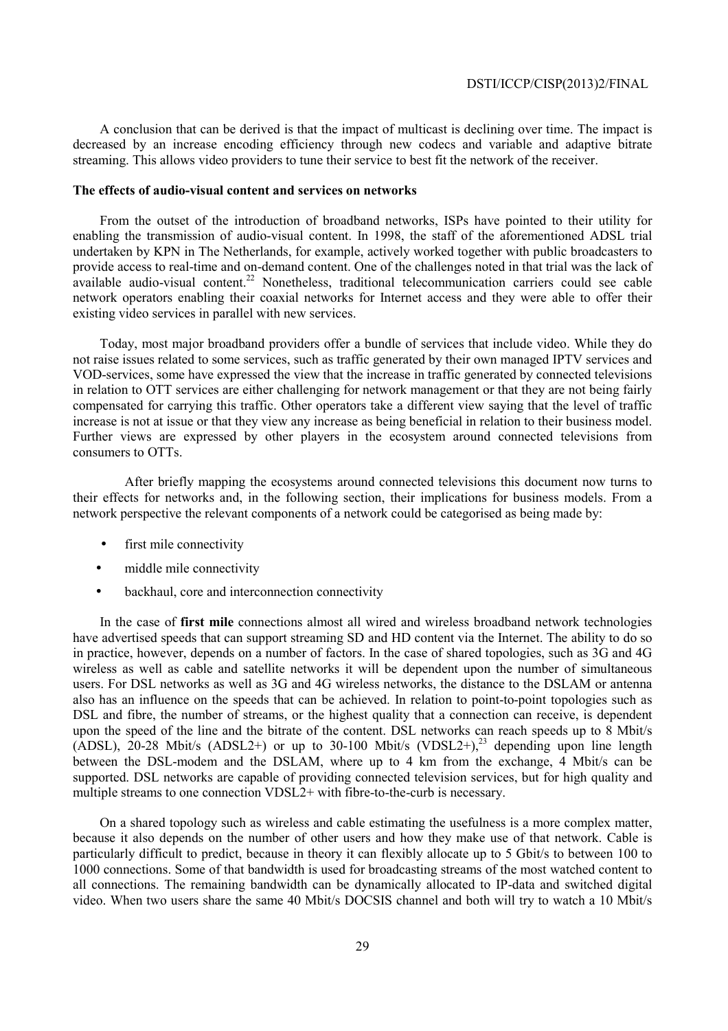A conclusion that can be derived is that the impact of multicast is declining over time. The impact is decreased by an increase encoding efficiency through new codecs and variable and adaptive bitrate streaming. This allows video providers to tune their service to best fit the network of the receiver.

### **The effects of audio-visual content and services on networks**

From the outset of the introduction of broadband networks, ISPs have pointed to their utility for enabling the transmission of audio-visual content. In 1998, the staff of the aforementioned ADSL trial undertaken by KPN in The Netherlands, for example, actively worked together with public broadcasters to provide access to real-time and on-demand content. One of the challenges noted in that trial was the lack of available audio-visual content.22 Nonetheless, traditional telecommunication carriers could see cable network operators enabling their coaxial networks for Internet access and they were able to offer their existing video services in parallel with new services.

Today, most major broadband providers offer a bundle of services that include video. While they do not raise issues related to some services, such as traffic generated by their own managed IPTV services and VOD-services, some have expressed the view that the increase in traffic generated by connected televisions in relation to OTT services are either challenging for network management or that they are not being fairly compensated for carrying this traffic. Other operators take a different view saying that the level of traffic increase is not at issue or that they view any increase as being beneficial in relation to their business model. Further views are expressed by other players in the ecosystem around connected televisions from consumers to OTTs.

 After briefly mapping the ecosystems around connected televisions this document now turns to their effects for networks and, in the following section, their implications for business models. From a network perspective the relevant components of a network could be categorised as being made by:

- first mile connectivity
- middle mile connectivity
- backhaul, core and interconnection connectivity

In the case of **first mile** connections almost all wired and wireless broadband network technologies have advertised speeds that can support streaming SD and HD content via the Internet. The ability to do so in practice, however, depends on a number of factors. In the case of shared topologies, such as 3G and 4G wireless as well as cable and satellite networks it will be dependent upon the number of simultaneous users. For DSL networks as well as 3G and 4G wireless networks, the distance to the DSLAM or antenna also has an influence on the speeds that can be achieved. In relation to point-to-point topologies such as DSL and fibre, the number of streams, or the highest quality that a connection can receive, is dependent upon the speed of the line and the bitrate of the content. DSL networks can reach speeds up to 8 Mbit/s  $(ADSL)$ , 20-28 Mbit/s  $(ADSL2+)$  or up to 30-100 Mbit/s  $(VDSL2+)$ ,<sup>23</sup> depending upon line length between the DSL-modem and the DSLAM, where up to 4 km from the exchange, 4 Mbit/s can be supported. DSL networks are capable of providing connected television services, but for high quality and multiple streams to one connection VDSL2+ with fibre-to-the-curb is necessary.

On a shared topology such as wireless and cable estimating the usefulness is a more complex matter, because it also depends on the number of other users and how they make use of that network. Cable is particularly difficult to predict, because in theory it can flexibly allocate up to 5 Gbit/s to between 100 to 1000 connections. Some of that bandwidth is used for broadcasting streams of the most watched content to all connections. The remaining bandwidth can be dynamically allocated to IP-data and switched digital video. When two users share the same 40 Mbit/s DOCSIS channel and both will try to watch a 10 Mbit/s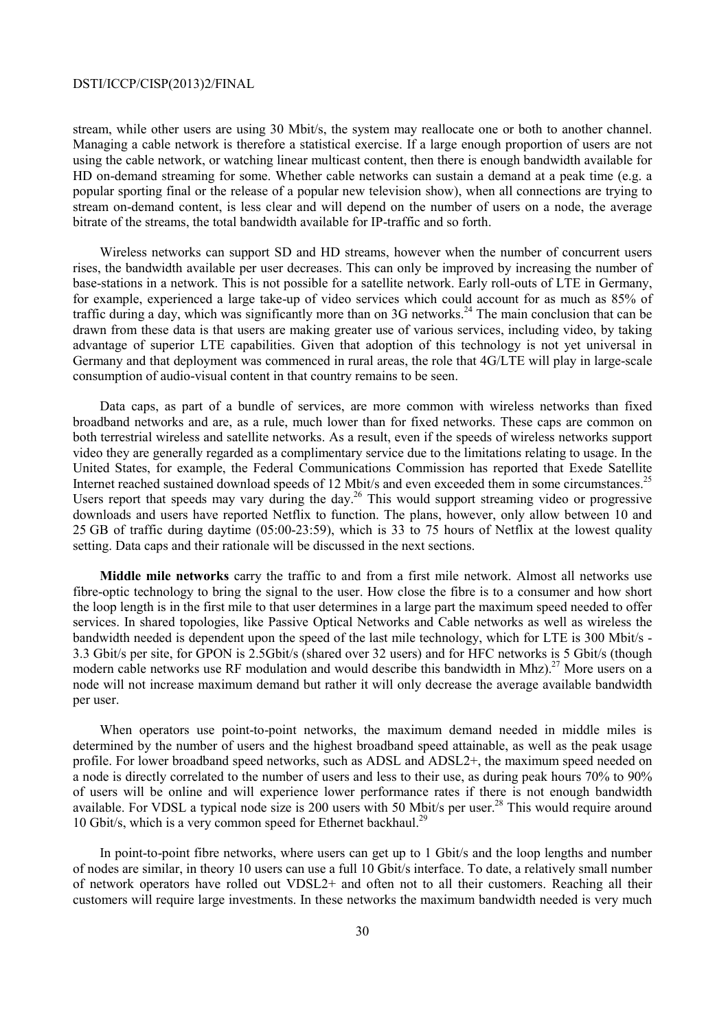stream, while other users are using 30 Mbit/s, the system may reallocate one or both to another channel. Managing a cable network is therefore a statistical exercise. If a large enough proportion of users are not using the cable network, or watching linear multicast content, then there is enough bandwidth available for HD on-demand streaming for some. Whether cable networks can sustain a demand at a peak time (e.g. a popular sporting final or the release of a popular new television show), when all connections are trying to stream on-demand content, is less clear and will depend on the number of users on a node, the average bitrate of the streams, the total bandwidth available for IP-traffic and so forth.

Wireless networks can support SD and HD streams, however when the number of concurrent users rises, the bandwidth available per user decreases. This can only be improved by increasing the number of base-stations in a network. This is not possible for a satellite network. Early roll-outs of LTE in Germany, for example, experienced a large take-up of video services which could account for as much as 85% of traffic during a day, which was significantly more than on 3G networks.24 The main conclusion that can be drawn from these data is that users are making greater use of various services, including video, by taking advantage of superior LTE capabilities. Given that adoption of this technology is not yet universal in Germany and that deployment was commenced in rural areas, the role that 4G/LTE will play in large-scale consumption of audio-visual content in that country remains to be seen.

Data caps, as part of a bundle of services, are more common with wireless networks than fixed broadband networks and are, as a rule, much lower than for fixed networks. These caps are common on both terrestrial wireless and satellite networks. As a result, even if the speeds of wireless networks support video they are generally regarded as a complimentary service due to the limitations relating to usage. In the United States, for example, the Federal Communications Commission has reported that Exede Satellite Internet reached sustained download speeds of 12 Mbit/s and even exceeded them in some circumstances.<sup>25</sup> Users report that speeds may vary during the day.<sup>26</sup> This would support streaming video or progressive downloads and users have reported Netflix to function. The plans, however, only allow between 10 and 25 GB of traffic during daytime (05:00-23:59), which is 33 to 75 hours of Netflix at the lowest quality setting. Data caps and their rationale will be discussed in the next sections.

**Middle mile networks** carry the traffic to and from a first mile network. Almost all networks use fibre-optic technology to bring the signal to the user. How close the fibre is to a consumer and how short the loop length is in the first mile to that user determines in a large part the maximum speed needed to offer services. In shared topologies, like Passive Optical Networks and Cable networks as well as wireless the bandwidth needed is dependent upon the speed of the last mile technology, which for LTE is 300 Mbit/s - 3.3 Gbit/s per site, for GPON is 2.5Gbit/s (shared over 32 users) and for HFC networks is 5 Gbit/s (though modern cable networks use RF modulation and would describe this bandwidth in Mhz).<sup>27</sup> More users on a node will not increase maximum demand but rather it will only decrease the average available bandwidth per user.

When operators use point-to-point networks, the maximum demand needed in middle miles is determined by the number of users and the highest broadband speed attainable, as well as the peak usage profile. For lower broadband speed networks, such as ADSL and ADSL2+, the maximum speed needed on a node is directly correlated to the number of users and less to their use, as during peak hours 70% to 90% of users will be online and will experience lower performance rates if there is not enough bandwidth available. For VDSL a typical node size is 200 users with 50 Mbit/s per user.<sup>28</sup> This would require around 10 Gbit/s, which is a very common speed for Ethernet backhaul.<sup>29</sup>

In point-to-point fibre networks, where users can get up to 1 Gbit/s and the loop lengths and number of nodes are similar, in theory 10 users can use a full 10 Gbit/s interface. To date, a relatively small number of network operators have rolled out VDSL2+ and often not to all their customers. Reaching all their customers will require large investments. In these networks the maximum bandwidth needed is very much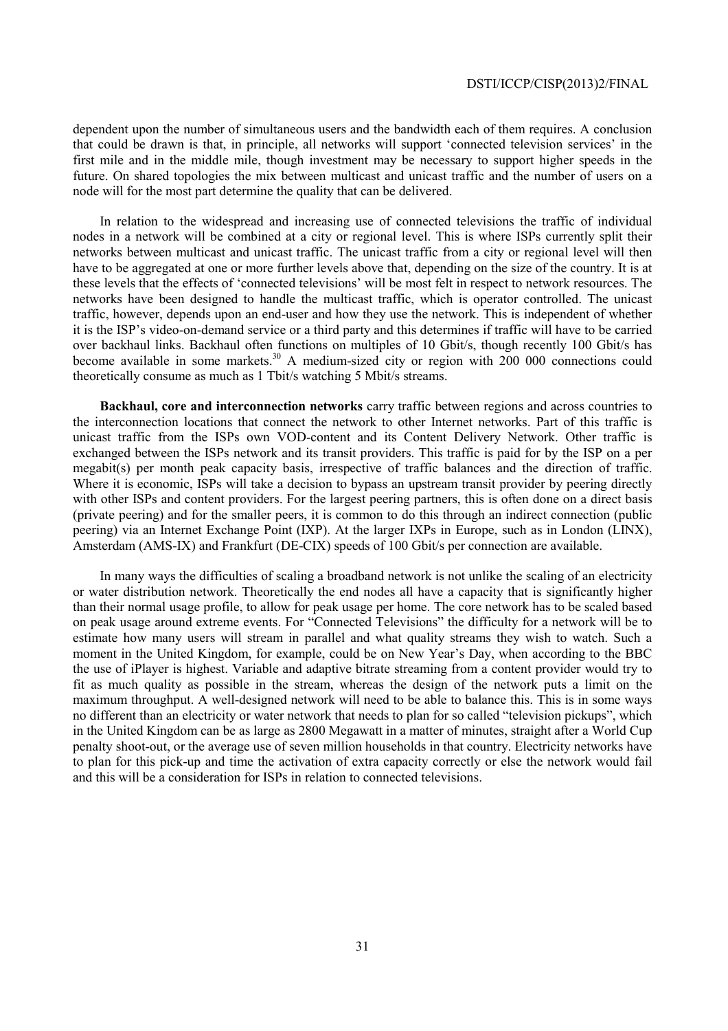dependent upon the number of simultaneous users and the bandwidth each of them requires. A conclusion that could be drawn is that, in principle, all networks will support 'connected television services' in the first mile and in the middle mile, though investment may be necessary to support higher speeds in the future. On shared topologies the mix between multicast and unicast traffic and the number of users on a node will for the most part determine the quality that can be delivered.

In relation to the widespread and increasing use of connected televisions the traffic of individual nodes in a network will be combined at a city or regional level. This is where ISPs currently split their networks between multicast and unicast traffic. The unicast traffic from a city or regional level will then have to be aggregated at one or more further levels above that, depending on the size of the country. It is at these levels that the effects of 'connected televisions' will be most felt in respect to network resources. The networks have been designed to handle the multicast traffic, which is operator controlled. The unicast traffic, however, depends upon an end-user and how they use the network. This is independent of whether it is the ISP's video-on-demand service or a third party and this determines if traffic will have to be carried over backhaul links. Backhaul often functions on multiples of 10 Gbit/s, though recently 100 Gbit/s has become available in some markets.<sup>30</sup> A medium-sized city or region with  $200\,000$  connections could theoretically consume as much as 1 Tbit/s watching 5 Mbit/s streams.

**Backhaul, core and interconnection networks** carry traffic between regions and across countries to the interconnection locations that connect the network to other Internet networks. Part of this traffic is unicast traffic from the ISPs own VOD-content and its Content Delivery Network. Other traffic is exchanged between the ISPs network and its transit providers. This traffic is paid for by the ISP on a per megabit(s) per month peak capacity basis, irrespective of traffic balances and the direction of traffic. Where it is economic. ISPs will take a decision to bypass an upstream transit provider by peering directly with other ISPs and content providers. For the largest peering partners, this is often done on a direct basis (private peering) and for the smaller peers, it is common to do this through an indirect connection (public peering) via an Internet Exchange Point (IXP). At the larger IXPs in Europe, such as in London (LINX), Amsterdam (AMS-IX) and Frankfurt (DE-CIX) speeds of 100 Gbit/s per connection are available.

In many ways the difficulties of scaling a broadband network is not unlike the scaling of an electricity or water distribution network. Theoretically the end nodes all have a capacity that is significantly higher than their normal usage profile, to allow for peak usage per home. The core network has to be scaled based on peak usage around extreme events. For "Connected Televisions" the difficulty for a network will be to estimate how many users will stream in parallel and what quality streams they wish to watch. Such a moment in the United Kingdom, for example, could be on New Year's Day, when according to the BBC the use of iPlayer is highest. Variable and adaptive bitrate streaming from a content provider would try to fit as much quality as possible in the stream, whereas the design of the network puts a limit on the maximum throughput. A well-designed network will need to be able to balance this. This is in some ways no different than an electricity or water network that needs to plan for so called "television pickups", which in the United Kingdom can be as large as 2800 Megawatt in a matter of minutes, straight after a World Cup penalty shoot-out, or the average use of seven million households in that country. Electricity networks have to plan for this pick-up and time the activation of extra capacity correctly or else the network would fail and this will be a consideration for ISPs in relation to connected televisions.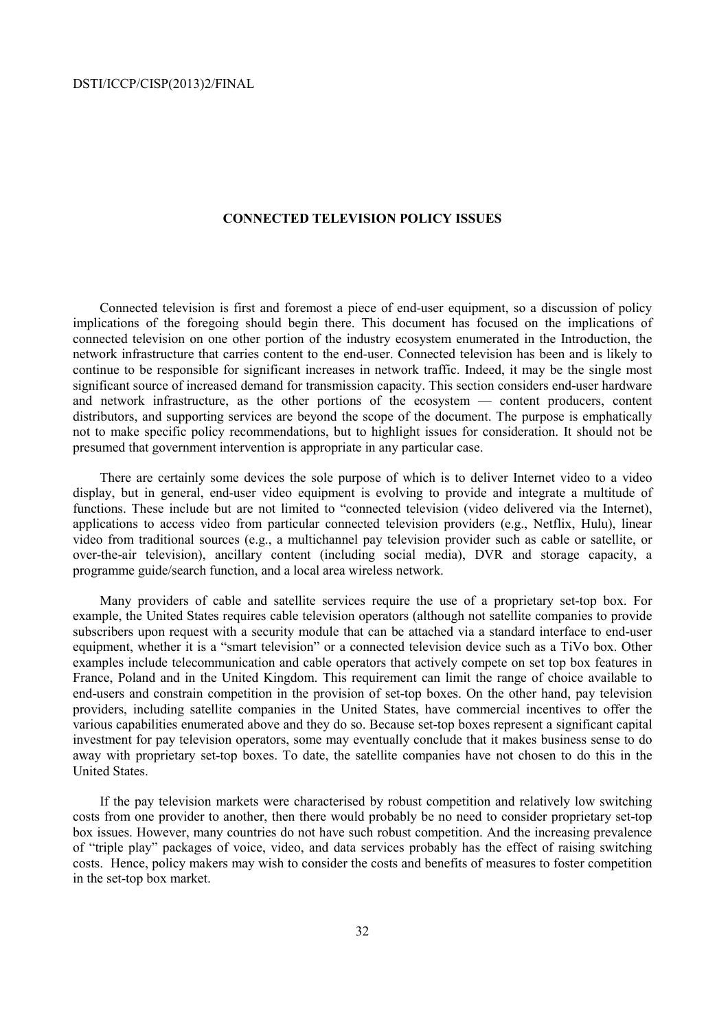### **CONNECTED TELEVISION POLICY ISSUES**

Connected television is first and foremost a piece of end-user equipment, so a discussion of policy implications of the foregoing should begin there. This document has focused on the implications of connected television on one other portion of the industry ecosystem enumerated in the Introduction, the network infrastructure that carries content to the end-user. Connected television has been and is likely to continue to be responsible for significant increases in network traffic. Indeed, it may be the single most significant source of increased demand for transmission capacity. This section considers end-user hardware and network infrastructure, as the other portions of the ecosystem — content producers, content distributors, and supporting services are beyond the scope of the document. The purpose is emphatically not to make specific policy recommendations, but to highlight issues for consideration. It should not be presumed that government intervention is appropriate in any particular case.

There are certainly some devices the sole purpose of which is to deliver Internet video to a video display, but in general, end-user video equipment is evolving to provide and integrate a multitude of functions. These include but are not limited to "connected television (video delivered via the Internet), applications to access video from particular connected television providers (e.g., Netflix, Hulu), linear video from traditional sources (e.g., a multichannel pay television provider such as cable or satellite, or over-the-air television), ancillary content (including social media), DVR and storage capacity, a programme guide/search function, and a local area wireless network.

Many providers of cable and satellite services require the use of a proprietary set-top box. For example, the United States requires cable television operators (although not satellite companies to provide subscribers upon request with a security module that can be attached via a standard interface to end-user equipment, whether it is a "smart television" or a connected television device such as a TiVo box. Other examples include telecommunication and cable operators that actively compete on set top box features in France, Poland and in the United Kingdom. This requirement can limit the range of choice available to end-users and constrain competition in the provision of set-top boxes. On the other hand, pay television providers, including satellite companies in the United States, have commercial incentives to offer the various capabilities enumerated above and they do so. Because set-top boxes represent a significant capital investment for pay television operators, some may eventually conclude that it makes business sense to do away with proprietary set-top boxes. To date, the satellite companies have not chosen to do this in the United States.

If the pay television markets were characterised by robust competition and relatively low switching costs from one provider to another, then there would probably be no need to consider proprietary set-top box issues. However, many countries do not have such robust competition. And the increasing prevalence of "triple play" packages of voice, video, and data services probably has the effect of raising switching costs. Hence, policy makers may wish to consider the costs and benefits of measures to foster competition in the set-top box market.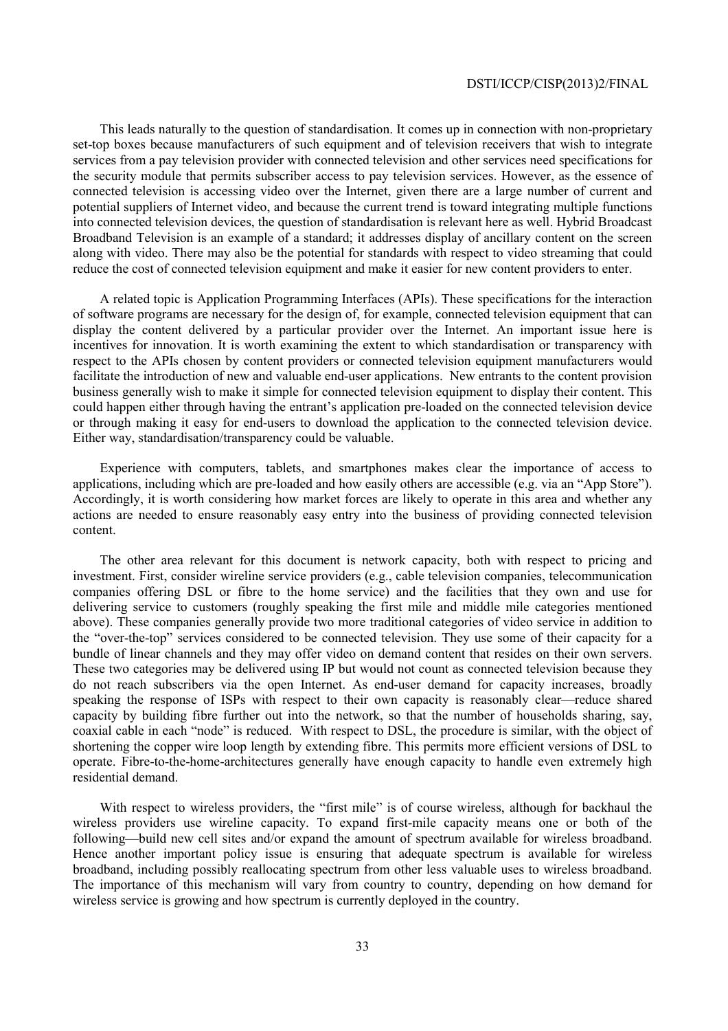This leads naturally to the question of standardisation. It comes up in connection with non-proprietary set-top boxes because manufacturers of such equipment and of television receivers that wish to integrate services from a pay television provider with connected television and other services need specifications for the security module that permits subscriber access to pay television services. However, as the essence of connected television is accessing video over the Internet, given there are a large number of current and potential suppliers of Internet video, and because the current trend is toward integrating multiple functions into connected television devices, the question of standardisation is relevant here as well. Hybrid Broadcast Broadband Television is an example of a standard; it addresses display of ancillary content on the screen along with video. There may also be the potential for standards with respect to video streaming that could reduce the cost of connected television equipment and make it easier for new content providers to enter.

A related topic is Application Programming Interfaces (APIs). These specifications for the interaction of software programs are necessary for the design of, for example, connected television equipment that can display the content delivered by a particular provider over the Internet. An important issue here is incentives for innovation. It is worth examining the extent to which standardisation or transparency with respect to the APIs chosen by content providers or connected television equipment manufacturers would facilitate the introduction of new and valuable end-user applications. New entrants to the content provision business generally wish to make it simple for connected television equipment to display their content. This could happen either through having the entrant's application pre-loaded on the connected television device or through making it easy for end-users to download the application to the connected television device. Either way, standardisation/transparency could be valuable.

Experience with computers, tablets, and smartphones makes clear the importance of access to applications, including which are pre-loaded and how easily others are accessible (e.g. via an "App Store"). Accordingly, it is worth considering how market forces are likely to operate in this area and whether any actions are needed to ensure reasonably easy entry into the business of providing connected television content.

The other area relevant for this document is network capacity, both with respect to pricing and investment. First, consider wireline service providers (e.g., cable television companies, telecommunication companies offering DSL or fibre to the home service) and the facilities that they own and use for delivering service to customers (roughly speaking the first mile and middle mile categories mentioned above). These companies generally provide two more traditional categories of video service in addition to the "over-the-top" services considered to be connected television. They use some of their capacity for a bundle of linear channels and they may offer video on demand content that resides on their own servers. These two categories may be delivered using IP but would not count as connected television because they do not reach subscribers via the open Internet. As end-user demand for capacity increases, broadly speaking the response of ISPs with respect to their own capacity is reasonably clear—reduce shared capacity by building fibre further out into the network, so that the number of households sharing, say, coaxial cable in each "node" is reduced. With respect to DSL, the procedure is similar, with the object of shortening the copper wire loop length by extending fibre. This permits more efficient versions of DSL to operate. Fibre-to-the-home-architectures generally have enough capacity to handle even extremely high residential demand.

With respect to wireless providers, the "first mile" is of course wireless, although for backhaul the wireless providers use wireline capacity. To expand first-mile capacity means one or both of the following—build new cell sites and/or expand the amount of spectrum available for wireless broadband. Hence another important policy issue is ensuring that adequate spectrum is available for wireless broadband, including possibly reallocating spectrum from other less valuable uses to wireless broadband. The importance of this mechanism will vary from country to country, depending on how demand for wireless service is growing and how spectrum is currently deployed in the country.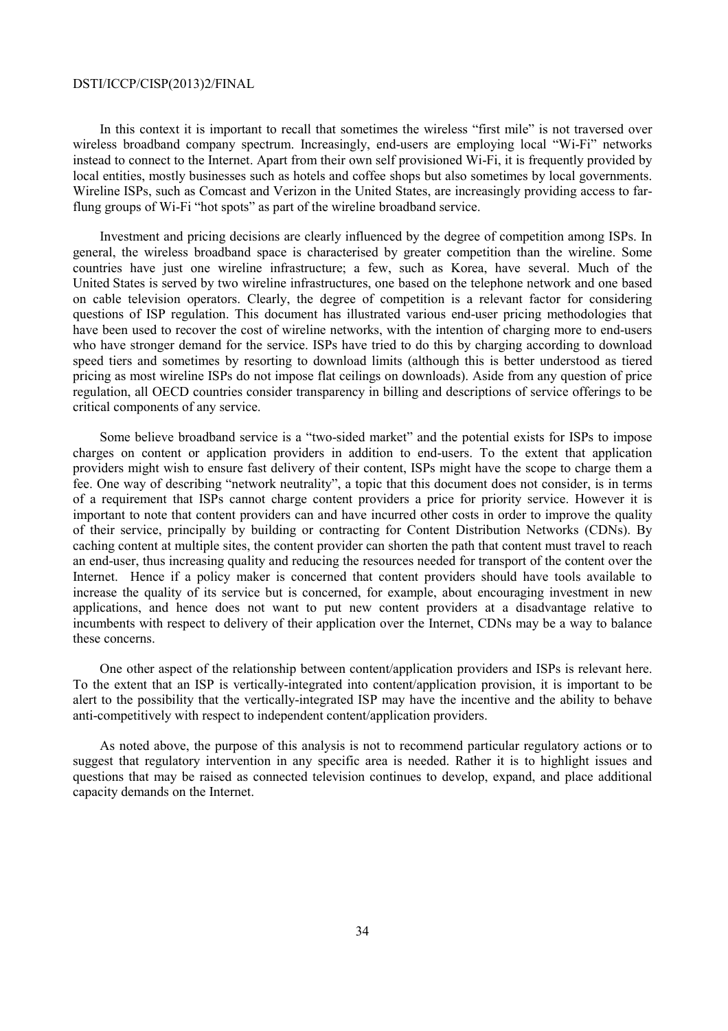In this context it is important to recall that sometimes the wireless "first mile" is not traversed over wireless broadband company spectrum. Increasingly, end-users are employing local "Wi-Fi" networks instead to connect to the Internet. Apart from their own self provisioned Wi-Fi, it is frequently provided by local entities, mostly businesses such as hotels and coffee shops but also sometimes by local governments. Wireline ISPs, such as Comcast and Verizon in the United States, are increasingly providing access to farflung groups of Wi-Fi "hot spots" as part of the wireline broadband service.

Investment and pricing decisions are clearly influenced by the degree of competition among ISPs. In general, the wireless broadband space is characterised by greater competition than the wireline. Some countries have just one wireline infrastructure; a few, such as Korea, have several. Much of the United States is served by two wireline infrastructures, one based on the telephone network and one based on cable television operators. Clearly, the degree of competition is a relevant factor for considering questions of ISP regulation. This document has illustrated various end-user pricing methodologies that have been used to recover the cost of wireline networks, with the intention of charging more to end-users who have stronger demand for the service. ISPs have tried to do this by charging according to download speed tiers and sometimes by resorting to download limits (although this is better understood as tiered pricing as most wireline ISPs do not impose flat ceilings on downloads). Aside from any question of price regulation, all OECD countries consider transparency in billing and descriptions of service offerings to be critical components of any service.

Some believe broadband service is a "two-sided market" and the potential exists for ISPs to impose charges on content or application providers in addition to end-users. To the extent that application providers might wish to ensure fast delivery of their content, ISPs might have the scope to charge them a fee. One way of describing "network neutrality", a topic that this document does not consider, is in terms of a requirement that ISPs cannot charge content providers a price for priority service. However it is important to note that content providers can and have incurred other costs in order to improve the quality of their service, principally by building or contracting for Content Distribution Networks (CDNs). By caching content at multiple sites, the content provider can shorten the path that content must travel to reach an end-user, thus increasing quality and reducing the resources needed for transport of the content over the Internet. Hence if a policy maker is concerned that content providers should have tools available to increase the quality of its service but is concerned, for example, about encouraging investment in new applications, and hence does not want to put new content providers at a disadvantage relative to incumbents with respect to delivery of their application over the Internet, CDNs may be a way to balance these concerns.

One other aspect of the relationship between content/application providers and ISPs is relevant here. To the extent that an ISP is vertically-integrated into content/application provision, it is important to be alert to the possibility that the vertically-integrated ISP may have the incentive and the ability to behave anti-competitively with respect to independent content/application providers.

As noted above, the purpose of this analysis is not to recommend particular regulatory actions or to suggest that regulatory intervention in any specific area is needed. Rather it is to highlight issues and questions that may be raised as connected television continues to develop, expand, and place additional capacity demands on the Internet.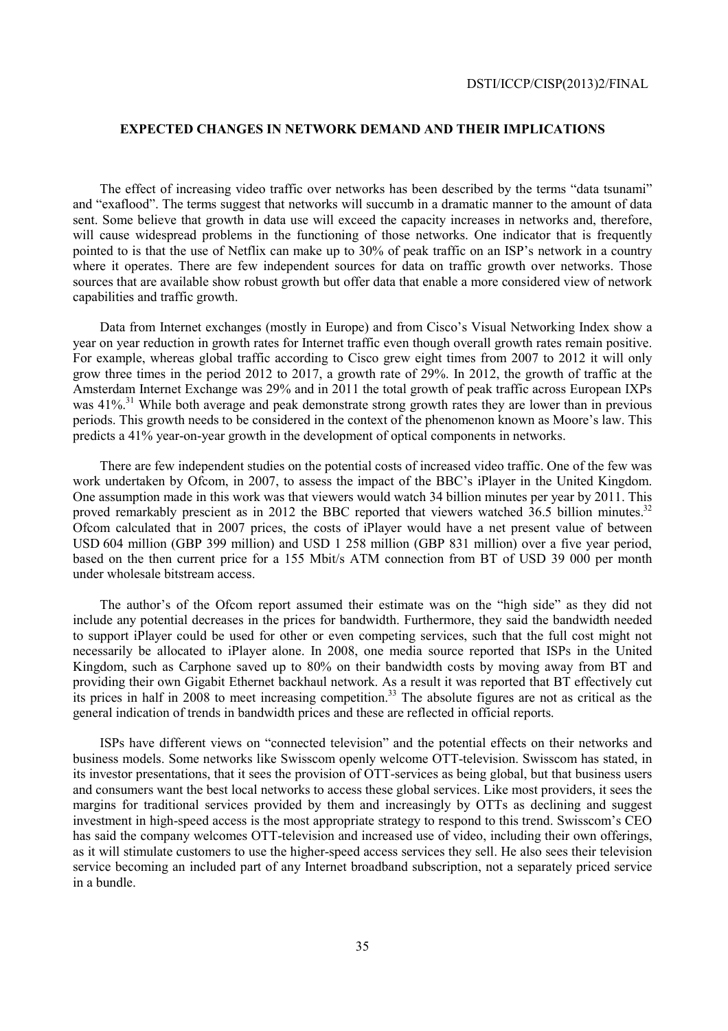### **EXPECTED CHANGES IN NETWORK DEMAND AND THEIR IMPLICATIONS**

The effect of increasing video traffic over networks has been described by the terms "data tsunami" and "exaflood". The terms suggest that networks will succumb in a dramatic manner to the amount of data sent. Some believe that growth in data use will exceed the capacity increases in networks and, therefore, will cause widespread problems in the functioning of those networks. One indicator that is frequently pointed to is that the use of Netflix can make up to 30% of peak traffic on an ISP's network in a country where it operates. There are few independent sources for data on traffic growth over networks. Those sources that are available show robust growth but offer data that enable a more considered view of network capabilities and traffic growth.

Data from Internet exchanges (mostly in Europe) and from Cisco's Visual Networking Index show a year on year reduction in growth rates for Internet traffic even though overall growth rates remain positive. For example, whereas global traffic according to Cisco grew eight times from 2007 to 2012 it will only grow three times in the period 2012 to 2017, a growth rate of 29%. In 2012, the growth of traffic at the Amsterdam Internet Exchange was 29% and in 2011 the total growth of peak traffic across European IXPs was 41%<sup>31</sup>. While both average and peak demonstrate strong growth rates they are lower than in previous periods. This growth needs to be considered in the context of the phenomenon known as Moore's law. This predicts a 41% year-on-year growth in the development of optical components in networks.

There are few independent studies on the potential costs of increased video traffic. One of the few was work undertaken by Ofcom, in 2007, to assess the impact of the BBC's iPlayer in the United Kingdom. One assumption made in this work was that viewers would watch 34 billion minutes per year by 2011. This proved remarkably prescient as in 2012 the BBC reported that viewers watched 36.5 billion minutes.<sup>32</sup> Ofcom calculated that in 2007 prices, the costs of iPlayer would have a net present value of between USD 604 million (GBP 399 million) and USD 1 258 million (GBP 831 million) over a five year period, based on the then current price for a 155 Mbit/s ATM connection from BT of USD 39 000 per month under wholesale bitstream access.

The author's of the Ofcom report assumed their estimate was on the "high side" as they did not include any potential decreases in the prices for bandwidth. Furthermore, they said the bandwidth needed to support iPlayer could be used for other or even competing services, such that the full cost might not necessarily be allocated to iPlayer alone. In 2008, one media source reported that ISPs in the United Kingdom, such as Carphone saved up to 80% on their bandwidth costs by moving away from BT and providing their own Gigabit Ethernet backhaul network. As a result it was reported that BT effectively cut its prices in half in  $2008$  to meet increasing competition.<sup>33</sup> The absolute figures are not as critical as the general indication of trends in bandwidth prices and these are reflected in official reports.

ISPs have different views on "connected television" and the potential effects on their networks and business models. Some networks like Swisscom openly welcome OTT-television. Swisscom has stated, in its investor presentations, that it sees the provision of OTT-services as being global, but that business users and consumers want the best local networks to access these global services. Like most providers, it sees the margins for traditional services provided by them and increasingly by OTTs as declining and suggest investment in high-speed access is the most appropriate strategy to respond to this trend. Swisscom's CEO has said the company welcomes OTT-television and increased use of video, including their own offerings, as it will stimulate customers to use the higher-speed access services they sell. He also sees their television service becoming an included part of any Internet broadband subscription, not a separately priced service in a bundle.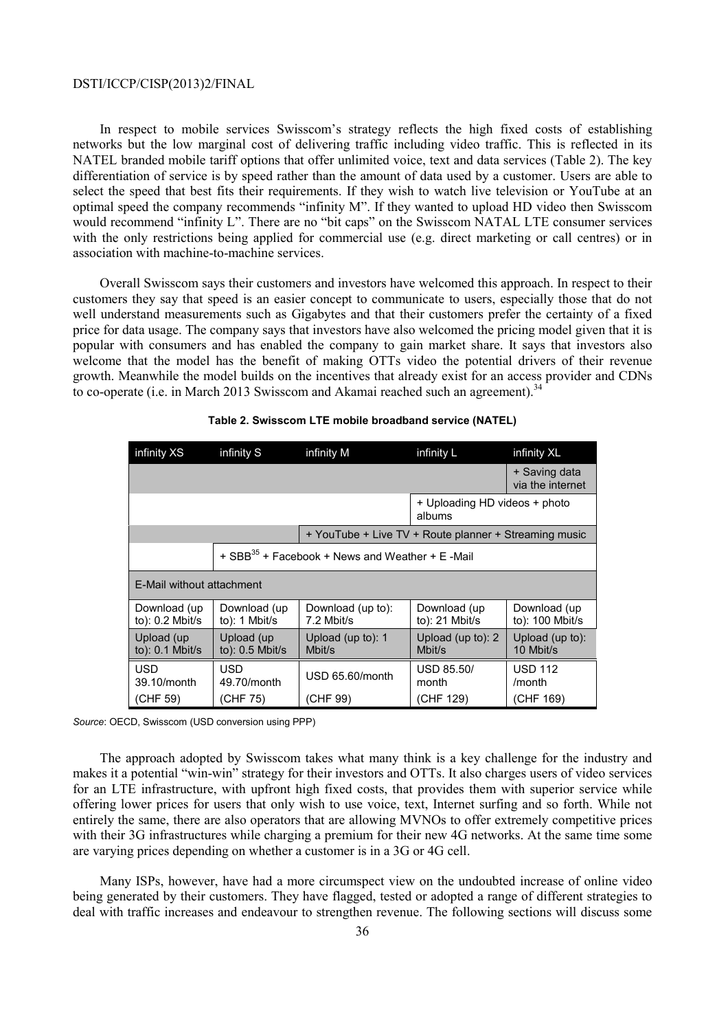In respect to mobile services Swisscom's strategy reflects the high fixed costs of establishing networks but the low marginal cost of delivering traffic including video traffic. This is reflected in its NATEL branded mobile tariff options that offer unlimited voice, text and data services (Table 2). The key differentiation of service is by speed rather than the amount of data used by a customer. Users are able to select the speed that best fits their requirements. If they wish to watch live television or YouTube at an optimal speed the company recommends "infinity M". If they wanted to upload HD video then Swisscom would recommend "infinity L". There are no "bit caps" on the Swisscom NATAL LTE consumer services with the only restrictions being applied for commercial use (e.g. direct marketing or call centres) or in association with machine-to-machine services.

Overall Swisscom says their customers and investors have welcomed this approach. In respect to their customers they say that speed is an easier concept to communicate to users, especially those that do not well understand measurements such as Gigabytes and that their customers prefer the certainty of a fixed price for data usage. The company says that investors have also welcomed the pricing model given that it is popular with consumers and has enabled the company to gain market share. It says that investors also welcome that the model has the benefit of making OTTs video the potential drivers of their revenue growth. Meanwhile the model builds on the incentives that already exist for an access provider and CDNs to co-operate (i.e. in March 2013 Swisscom and Akamai reached such an agreement).<sup>34</sup>

| infinity XS                       | infinity S                                                  | infinity M                                            | infinity L                              | infinity XL                           |
|-----------------------------------|-------------------------------------------------------------|-------------------------------------------------------|-----------------------------------------|---------------------------------------|
|                                   |                                                             |                                                       |                                         | + Saving data<br>via the internet     |
|                                   |                                                             |                                                       | + Uploading HD videos + photo<br>albums |                                       |
|                                   |                                                             | + YouTube + Live TV + Route planner + Streaming music |                                         |                                       |
|                                   | + SBB <sup>35</sup> + Facebook + News and Weather + E -Mail |                                                       |                                         |                                       |
|                                   | E-Mail without attachment                                   |                                                       |                                         |                                       |
| Download (up<br>to): $0.2$ Mbit/s | Download (up<br>to): $1$ Mbit/s                             | Download (up to):<br>7.2 Mbit/s                       | Download (up<br>to: $21$ Mbit/s         | Download (up<br>to): 100 Mbit/s       |
| Upload (up<br>to): 0.1 Mbit/s     | Upload (up<br>to): $0.5$ Mbit/s                             | Upload (up to): 1<br>Mbit/s                           | Upload (up to): 2<br>Mbit/s             | Upload (up to):<br>10 Mbit/s          |
| USD<br>39.10/month<br>(CHF 59)    | USD<br>49.70/month<br>(CHF 75)                              | USD 65.60/month<br>(CHF 99)                           | <b>USD 85.50/</b><br>month<br>(CHF 129) | <b>USD 112</b><br>/month<br>(CHF 169) |

#### **Table 2. Swisscom LTE mobile broadband service (NATEL)**

*Source: OECD, Swisscom (USD conversion using PPP)* 

The approach adopted by Swisscom takes what many think is a key challenge for the industry and makes it a potential "win-win" strategy for their investors and OTTs. It also charges users of video services for an LTE infrastructure, with upfront high fixed costs, that provides them with superior service while offering lower prices for users that only wish to use voice, text, Internet surfing and so forth. While not entirely the same, there are also operators that are allowing MVNOs to offer extremely competitive prices with their 3G infrastructures while charging a premium for their new 4G networks. At the same time some are varying prices depending on whether a customer is in a 3G or 4G cell.

Many ISPs, however, have had a more circumspect view on the undoubted increase of online video being generated by their customers. They have flagged, tested or adopted a range of different strategies to deal with traffic increases and endeavour to strengthen revenue. The following sections will discuss some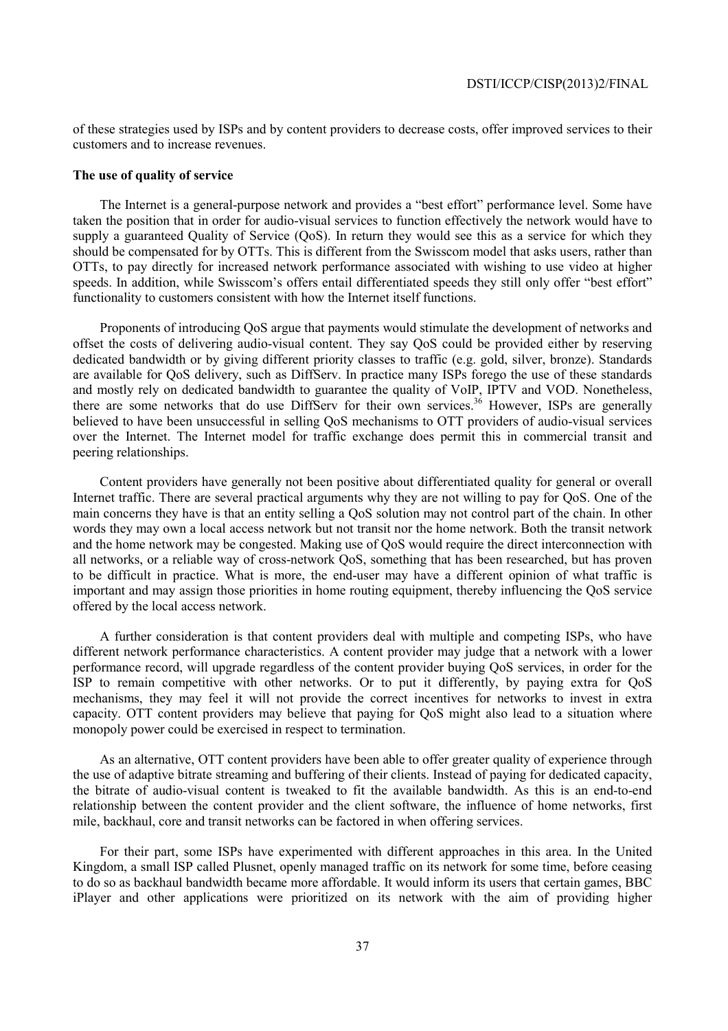of these strategies used by ISPs and by content providers to decrease costs, offer improved services to their customers and to increase revenues.

### **The use of quality of service**

The Internet is a general-purpose network and provides a "best effort" performance level. Some have taken the position that in order for audio-visual services to function effectively the network would have to supply a guaranteed Quality of Service (QoS). In return they would see this as a service for which they should be compensated for by OTTs. This is different from the Swisscom model that asks users, rather than OTTs, to pay directly for increased network performance associated with wishing to use video at higher speeds. In addition, while Swisscom's offers entail differentiated speeds they still only offer "best effort" functionality to customers consistent with how the Internet itself functions.

Proponents of introducing QoS argue that payments would stimulate the development of networks and offset the costs of delivering audio-visual content. They say QoS could be provided either by reserving dedicated bandwidth or by giving different priority classes to traffic (e.g. gold, silver, bronze). Standards are available for QoS delivery, such as DiffServ. In practice many ISPs forego the use of these standards and mostly rely on dedicated bandwidth to guarantee the quality of VoIP, IPTV and VOD. Nonetheless, there are some networks that do use DiffServ for their own services.<sup>36</sup> However, ISPs are generally believed to have been unsuccessful in selling QoS mechanisms to OTT providers of audio-visual services over the Internet. The Internet model for traffic exchange does permit this in commercial transit and peering relationships.

Content providers have generally not been positive about differentiated quality for general or overall Internet traffic. There are several practical arguments why they are not willing to pay for QoS. One of the main concerns they have is that an entity selling a QoS solution may not control part of the chain. In other words they may own a local access network but not transit nor the home network. Both the transit network and the home network may be congested. Making use of QoS would require the direct interconnection with all networks, or a reliable way of cross-network QoS, something that has been researched, but has proven to be difficult in practice. What is more, the end-user may have a different opinion of what traffic is important and may assign those priorities in home routing equipment, thereby influencing the QoS service offered by the local access network.

A further consideration is that content providers deal with multiple and competing ISPs, who have different network performance characteristics. A content provider may judge that a network with a lower performance record, will upgrade regardless of the content provider buying QoS services, in order for the ISP to remain competitive with other networks. Or to put it differently, by paying extra for QoS mechanisms, they may feel it will not provide the correct incentives for networks to invest in extra capacity. OTT content providers may believe that paying for QoS might also lead to a situation where monopoly power could be exercised in respect to termination.

As an alternative, OTT content providers have been able to offer greater quality of experience through the use of adaptive bitrate streaming and buffering of their clients. Instead of paying for dedicated capacity, the bitrate of audio-visual content is tweaked to fit the available bandwidth. As this is an end-to-end relationship between the content provider and the client software, the influence of home networks, first mile, backhaul, core and transit networks can be factored in when offering services.

For their part, some ISPs have experimented with different approaches in this area. In the United Kingdom, a small ISP called Plusnet, openly managed traffic on its network for some time, before ceasing to do so as backhaul bandwidth became more affordable. It would inform its users that certain games, BBC iPlayer and other applications were prioritized on its network with the aim of providing higher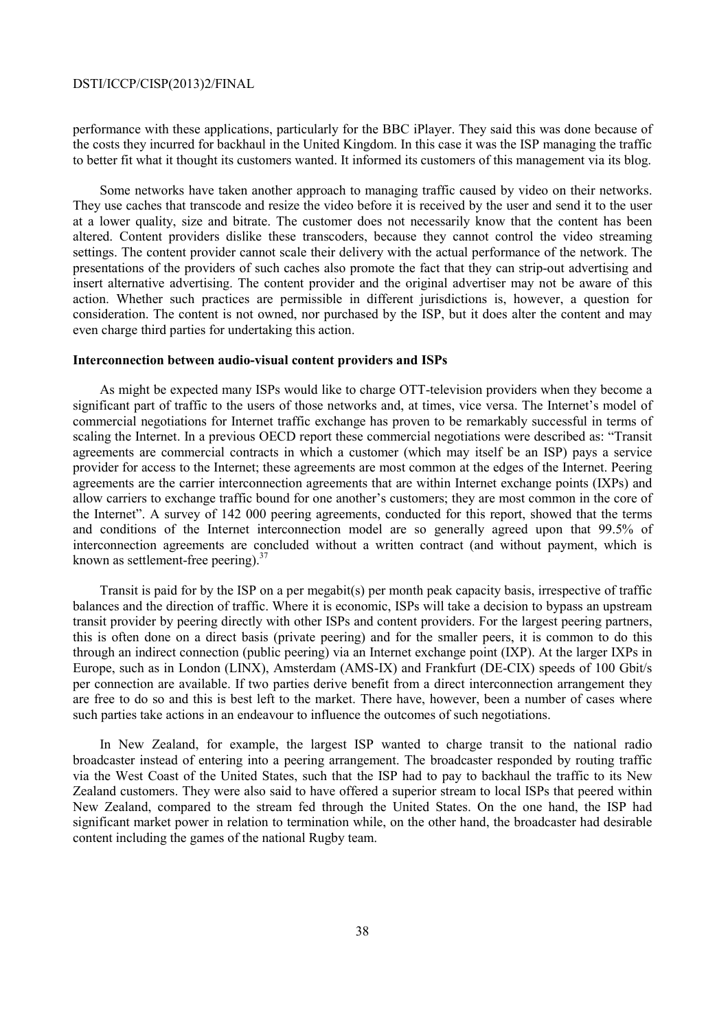performance with these applications, particularly for the BBC iPlayer. They said this was done because of the costs they incurred for backhaul in the United Kingdom. In this case it was the ISP managing the traffic to better fit what it thought its customers wanted. It informed its customers of this management via its blog.

Some networks have taken another approach to managing traffic caused by video on their networks. They use caches that transcode and resize the video before it is received by the user and send it to the user at a lower quality, size and bitrate. The customer does not necessarily know that the content has been altered. Content providers dislike these transcoders, because they cannot control the video streaming settings. The content provider cannot scale their delivery with the actual performance of the network. The presentations of the providers of such caches also promote the fact that they can strip-out advertising and insert alternative advertising. The content provider and the original advertiser may not be aware of this action. Whether such practices are permissible in different jurisdictions is, however, a question for consideration. The content is not owned, nor purchased by the ISP, but it does alter the content and may even charge third parties for undertaking this action.

### **Interconnection between audio-visual content providers and ISPs**

As might be expected many ISPs would like to charge OTT-television providers when they become a significant part of traffic to the users of those networks and, at times, vice versa. The Internet's model of commercial negotiations for Internet traffic exchange has proven to be remarkably successful in terms of scaling the Internet. In a previous OECD report these commercial negotiations were described as: "Transit agreements are commercial contracts in which a customer (which may itself be an ISP) pays a service provider for access to the Internet; these agreements are most common at the edges of the Internet. Peering agreements are the carrier interconnection agreements that are within Internet exchange points (IXPs) and allow carriers to exchange traffic bound for one another's customers; they are most common in the core of the Internet". A survey of 142 000 peering agreements, conducted for this report, showed that the terms and conditions of the Internet interconnection model are so generally agreed upon that 99.5% of interconnection agreements are concluded without a written contract (and without payment, which is known as settlement-free peering).  $37$ 

Transit is paid for by the ISP on a per megabit(s) per month peak capacity basis, irrespective of traffic balances and the direction of traffic. Where it is economic, ISPs will take a decision to bypass an upstream transit provider by peering directly with other ISPs and content providers. For the largest peering partners, this is often done on a direct basis (private peering) and for the smaller peers, it is common to do this through an indirect connection (public peering) via an Internet exchange point (IXP). At the larger IXPs in Europe, such as in London (LINX), Amsterdam (AMS-IX) and Frankfurt (DE-CIX) speeds of 100 Gbit/s per connection are available. If two parties derive benefit from a direct interconnection arrangement they are free to do so and this is best left to the market. There have, however, been a number of cases where such parties take actions in an endeavour to influence the outcomes of such negotiations.

In New Zealand, for example, the largest ISP wanted to charge transit to the national radio broadcaster instead of entering into a peering arrangement. The broadcaster responded by routing traffic via the West Coast of the United States, such that the ISP had to pay to backhaul the traffic to its New Zealand customers. They were also said to have offered a superior stream to local ISPs that peered within New Zealand, compared to the stream fed through the United States. On the one hand, the ISP had significant market power in relation to termination while, on the other hand, the broadcaster had desirable content including the games of the national Rugby team.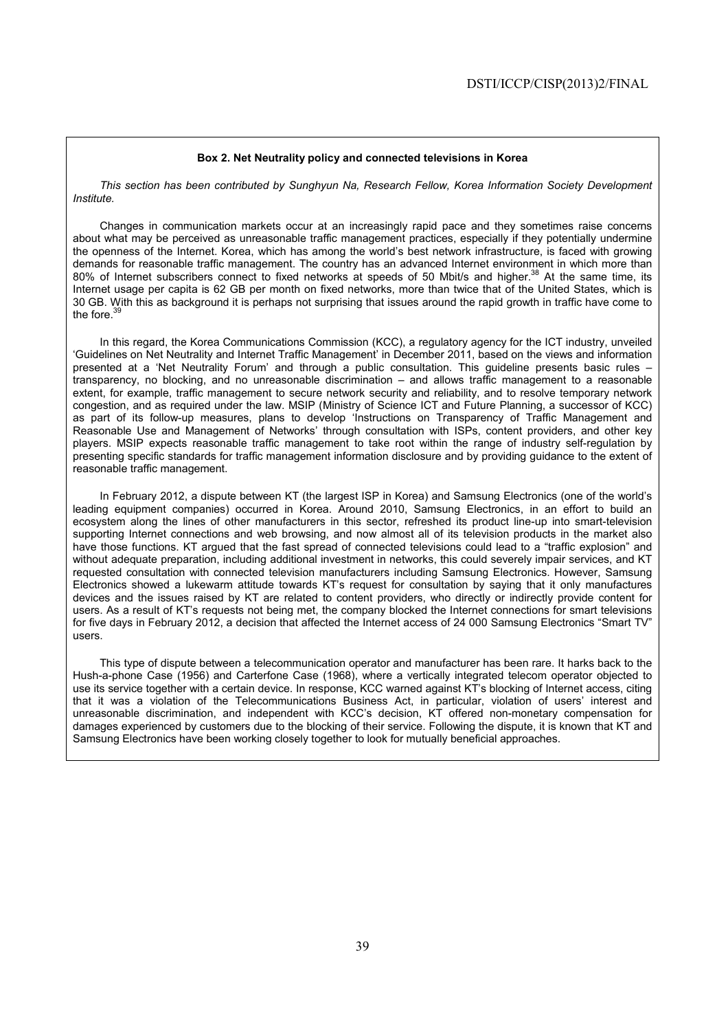### **Box 2. Net Neutrality policy and connected televisions in Korea**

*This section has been contributed by Sunghyun Na, Research Fellow, Korea Information Society Development Institute.* 

Changes in communication markets occur at an increasingly rapid pace and they sometimes raise concerns about what may be perceived as unreasonable traffic management practices, especially if they potentially undermine the openness of the Internet. Korea, which has among the world's best network infrastructure, is faced with growing demands for reasonable traffic management. The country has an advanced Internet environment in which more than 80% of Internet subscribers connect to fixed networks at speeds of 50 Mbit/s and higher.<sup>38</sup> At the same time, its Internet usage per capita is 62 GB per month on fixed networks, more than twice that of the United States, which is 30 GB. With this as background it is perhaps not surprising that issues around the rapid growth in traffic have come to the fore.<sup>39</sup>

In this regard, the Korea Communications Commission (KCC), a regulatory agency for the ICT industry, unveiled 'Guidelines on Net Neutrality and Internet Traffic Management' in December 2011, based on the views and information presented at a 'Net Neutrality Forum' and through a public consultation. This guideline presents basic rules – transparency, no blocking, and no unreasonable discrimination – and allows traffic management to a reasonable extent, for example, traffic management to secure network security and reliability, and to resolve temporary network congestion, and as required under the law. MSIP (Ministry of Science ICT and Future Planning, a successor of KCC) as part of its follow-up measures, plans to develop 'Instructions on Transparency of Traffic Management and Reasonable Use and Management of Networks' through consultation with ISPs, content providers, and other key players. MSIP expects reasonable traffic management to take root within the range of industry self-regulation by presenting specific standards for traffic management information disclosure and by providing guidance to the extent of reasonable traffic management.

In February 2012, a dispute between KT (the largest ISP in Korea) and Samsung Electronics (one of the world's leading equipment companies) occurred in Korea. Around 2010, Samsung Electronics, in an effort to build an ecosystem along the lines of other manufacturers in this sector, refreshed its product line-up into smart-television supporting Internet connections and web browsing, and now almost all of its television products in the market also have those functions. KT argued that the fast spread of connected televisions could lead to a "traffic explosion" and without adequate preparation, including additional investment in networks, this could severely impair services, and KT requested consultation with connected television manufacturers including Samsung Electronics. However, Samsung Electronics showed a lukewarm attitude towards KT's request for consultation by saying that it only manufactures devices and the issues raised by KT are related to content providers, who directly or indirectly provide content for users. As a result of KT's requests not being met, the company blocked the Internet connections for smart televisions for five days in February 2012, a decision that affected the Internet access of 24 000 Samsung Electronics "Smart TV" users.

This type of dispute between a telecommunication operator and manufacturer has been rare. It harks back to the Hush-a-phone Case (1956) and Carterfone Case (1968), where a vertically integrated telecom operator objected to use its service together with a certain device. In response, KCC warned against KT's blocking of Internet access, citing that it was a violation of the Telecommunications Business Act, in particular, violation of users' interest and unreasonable discrimination, and independent with KCC's decision, KT offered non-monetary compensation for damages experienced by customers due to the blocking of their service. Following the dispute, it is known that KT and Samsung Electronics have been working closely together to look for mutually beneficial approaches.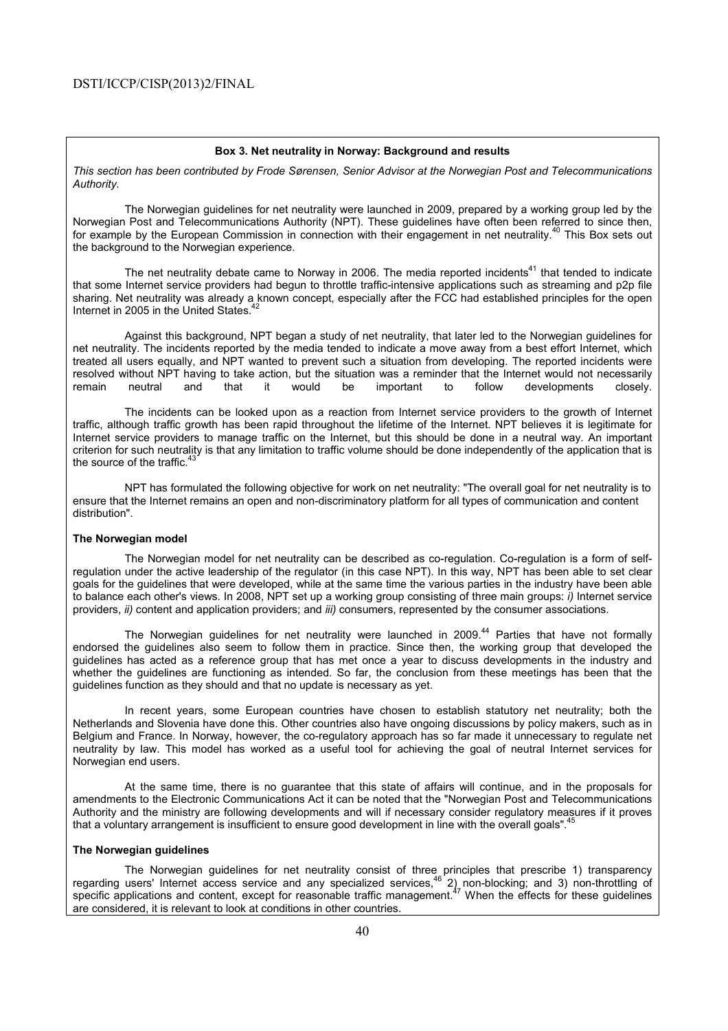#### **Box 3. Net neutrality in Norway: Background and results**

*This section has been contributed by Frode Sørensen, Senior Advisor at the Norwegian Post and Telecommunications Authority.* 

 The Norwegian guidelines for net neutrality were launched in 2009, prepared by a working group led by the Norwegian Post and Telecommunications Authority (NPT). These guidelines have often been referred to since then, for example by the European Commission in connection with their engagement in net neutrality.<sup>40</sup> This Box sets out the background to the Norwegian experience.

The net neutrality debate came to Norway in 2006. The media reported incidents<sup>41</sup> that tended to indicate that some Internet service providers had begun to throttle traffic-intensive applications such as streaming and p2p file sharing. Net neutrality was already a known concept, especially after the FCC had established principles for the open Internet in 2005 in the United States.<sup>4</sup>

 Against this background, NPT began a study of net neutrality, that later led to the Norwegian guidelines for net neutrality. The incidents reported by the media tended to indicate a move away from a best effort Internet, which treated all users equally, and NPT wanted to prevent such a situation from developing. The reported incidents were resolved without NPT having to take action, but the situation was a reminder that the Internet would not necessarily remain neutral and that it would be important to follow developments closely.

 The incidents can be looked upon as a reaction from Internet service providers to the growth of Internet traffic, although traffic growth has been rapid throughout the lifetime of the Internet. NPT believes it is legitimate for Internet service providers to manage traffic on the Internet, but this should be done in a neutral way. An important criterion for such neutrality is that any limitation to traffic volume should be done independently of the application that is the source of the traffic. $43$ 

 NPT has formulated the following objective for work on net neutrality: "The overall goal for net neutrality is to ensure that the Internet remains an open and non-discriminatory platform for all types of communication and content distribution".

#### **The Norwegian model**

 The Norwegian model for net neutrality can be described as co-regulation. Co-regulation is a form of selfregulation under the active leadership of the regulator (in this case NPT). In this way, NPT has been able to set clear goals for the guidelines that were developed, while at the same time the various parties in the industry have been able to balance each other's views. In 2008, NPT set up a working group consisting of three main groups: *i)* Internet service providers, *ii)* content and application providers; and *iii)* consumers, represented by the consumer associations.

The Norwegian guidelines for net neutrality were launched in 2009.<sup>44</sup> Parties that have not formally endorsed the guidelines also seem to follow them in practice. Since then, the working group that developed the guidelines has acted as a reference group that has met once a year to discuss developments in the industry and whether the guidelines are functioning as intended. So far, the conclusion from these meetings has been that the guidelines function as they should and that no update is necessary as yet.

 In recent years, some European countries have chosen to establish statutory net neutrality; both the Netherlands and Slovenia have done this. Other countries also have ongoing discussions by policy makers, such as in Belgium and France. In Norway, however, the co-regulatory approach has so far made it unnecessary to regulate net neutrality by law. This model has worked as a useful tool for achieving the goal of neutral Internet services for Norwegian end users.

 At the same time, there is no guarantee that this state of affairs will continue, and in the proposals for amendments to the Electronic Communications Act it can be noted that the "Norwegian Post and Telecommunications Authority and the ministry are following developments and will if necessary consider regulatory measures if it proves that a voluntary arrangement is insufficient to ensure good development in line with the overall goals".

### **The Norwegian guidelines**

 The Norwegian guidelines for net neutrality consist of three principles that prescribe 1) transparency regarding users' Internet access service and any specialized services,<sup>46</sup> 2) non-blocking; and 3) non-throttling of specific applications and content, except for reasonable traffic management.<sup>47</sup> When the effects for these guidelines are considered, it is relevant to look at conditions in other countries.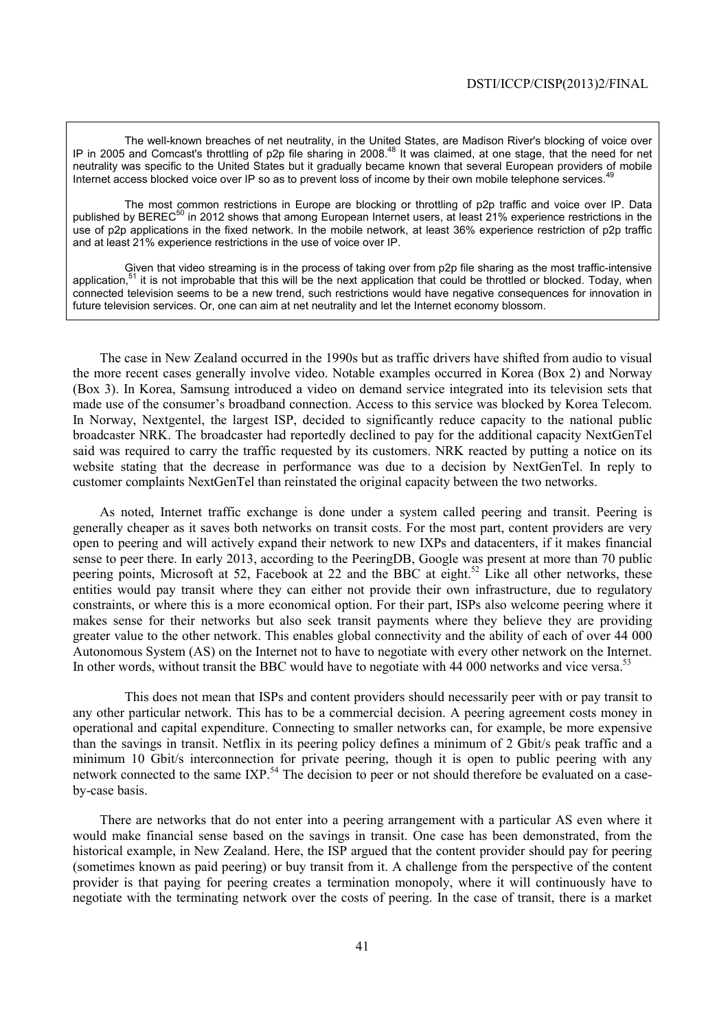The well-known breaches of net neutrality, in the United States, are Madison River's blocking of voice over IP in 2005 and Comcast's throttling of p2p file sharing in 2008.<sup>48</sup> It was claimed, at one stage, that the need for net neutrality was specific to the United States but it gradually became known that several European providers of mobile Internet access blocked voice over IP so as to prevent loss of income by their own mobile telephone services.

 The most common restrictions in Europe are blocking or throttling of p2p traffic and voice over IP. Data published by BEREC<sup>50</sup> in 2012 shows that among European Internet users, at least 21% experience restrictions in the use of p2p applications in the fixed network. In the mobile network, at least 36% experience restriction of p2p traffic and at least 21% experience restrictions in the use of voice over IP.

 Given that video streaming is in the process of taking over from p2p file sharing as the most traffic-intensive application, $51$  it is not improbable that this will be the next application that could be throttled or blocked. Today, when connected television seems to be a new trend, such restrictions would have negative consequences for innovation in future television services. Or, one can aim at net neutrality and let the Internet economy blossom.

The case in New Zealand occurred in the 1990s but as traffic drivers have shifted from audio to visual the more recent cases generally involve video. Notable examples occurred in Korea (Box 2) and Norway (Box 3). In Korea, Samsung introduced a video on demand service integrated into its television sets that made use of the consumer's broadband connection. Access to this service was blocked by Korea Telecom. In Norway, Nextgentel, the largest ISP, decided to significantly reduce capacity to the national public broadcaster NRK. The broadcaster had reportedly declined to pay for the additional capacity NextGenTel said was required to carry the traffic requested by its customers. NRK reacted by putting a notice on its website stating that the decrease in performance was due to a decision by NextGenTel. In reply to customer complaints NextGenTel than reinstated the original capacity between the two networks.

As noted, Internet traffic exchange is done under a system called peering and transit. Peering is generally cheaper as it saves both networks on transit costs. For the most part, content providers are very open to peering and will actively expand their network to new IXPs and datacenters, if it makes financial sense to peer there. In early 2013, according to the PeeringDB, Google was present at more than 70 public peering points, Microsoft at 52, Facebook at 22 and the BBC at eight.<sup>52</sup> Like all other networks, these entities would pay transit where they can either not provide their own infrastructure, due to regulatory constraints, or where this is a more economical option. For their part, ISPs also welcome peering where it makes sense for their networks but also seek transit payments where they believe they are providing greater value to the other network. This enables global connectivity and the ability of each of over 44 000 Autonomous System (AS) on the Internet not to have to negotiate with every other network on the Internet. In other words, without transit the BBC would have to negotiate with 44 000 networks and vice versa.<sup>53</sup>

 This does not mean that ISPs and content providers should necessarily peer with or pay transit to any other particular network. This has to be a commercial decision. A peering agreement costs money in operational and capital expenditure. Connecting to smaller networks can, for example, be more expensive than the savings in transit. Netflix in its peering policy defines a minimum of 2 Gbit/s peak traffic and a minimum 10 Gbit/s interconnection for private peering, though it is open to public peering with any network connected to the same IXP.<sup>54</sup> The decision to peer or not should therefore be evaluated on a caseby-case basis.

There are networks that do not enter into a peering arrangement with a particular AS even where it would make financial sense based on the savings in transit. One case has been demonstrated, from the historical example, in New Zealand. Here, the ISP argued that the content provider should pay for peering (sometimes known as paid peering) or buy transit from it. A challenge from the perspective of the content provider is that paying for peering creates a termination monopoly, where it will continuously have to negotiate with the terminating network over the costs of peering. In the case of transit, there is a market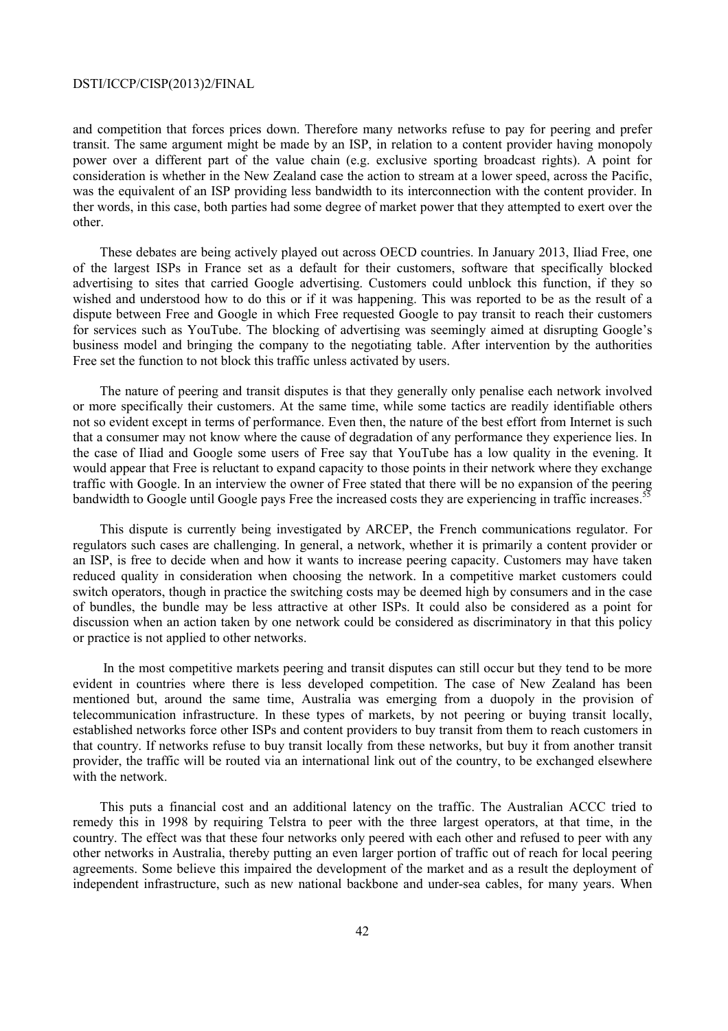and competition that forces prices down. Therefore many networks refuse to pay for peering and prefer transit. The same argument might be made by an ISP, in relation to a content provider having monopoly power over a different part of the value chain (e.g. exclusive sporting broadcast rights). A point for consideration is whether in the New Zealand case the action to stream at a lower speed, across the Pacific, was the equivalent of an ISP providing less bandwidth to its interconnection with the content provider. In ther words, in this case, both parties had some degree of market power that they attempted to exert over the other.

These debates are being actively played out across OECD countries. In January 2013, Iliad Free, one of the largest ISPs in France set as a default for their customers, software that specifically blocked advertising to sites that carried Google advertising. Customers could unblock this function, if they so wished and understood how to do this or if it was happening. This was reported to be as the result of a dispute between Free and Google in which Free requested Google to pay transit to reach their customers for services such as YouTube. The blocking of advertising was seemingly aimed at disrupting Google's business model and bringing the company to the negotiating table. After intervention by the authorities Free set the function to not block this traffic unless activated by users.

The nature of peering and transit disputes is that they generally only penalise each network involved or more specifically their customers. At the same time, while some tactics are readily identifiable others not so evident except in terms of performance. Even then, the nature of the best effort from Internet is such that a consumer may not know where the cause of degradation of any performance they experience lies. In the case of Iliad and Google some users of Free say that YouTube has a low quality in the evening. It would appear that Free is reluctant to expand capacity to those points in their network where they exchange traffic with Google. In an interview the owner of Free stated that there will be no expansion of the peering bandwidth to Google until Google pays Free the increased costs they are experiencing in traffic increases.<sup>5</sup>

This dispute is currently being investigated by ARCEP, the French communications regulator. For regulators such cases are challenging. In general, a network, whether it is primarily a content provider or an ISP, is free to decide when and how it wants to increase peering capacity. Customers may have taken reduced quality in consideration when choosing the network. In a competitive market customers could switch operators, though in practice the switching costs may be deemed high by consumers and in the case of bundles, the bundle may be less attractive at other ISPs. It could also be considered as a point for discussion when an action taken by one network could be considered as discriminatory in that this policy or practice is not applied to other networks.

 In the most competitive markets peering and transit disputes can still occur but they tend to be more evident in countries where there is less developed competition. The case of New Zealand has been mentioned but, around the same time, Australia was emerging from a duopoly in the provision of telecommunication infrastructure. In these types of markets, by not peering or buying transit locally, established networks force other ISPs and content providers to buy transit from them to reach customers in that country. If networks refuse to buy transit locally from these networks, but buy it from another transit provider, the traffic will be routed via an international link out of the country, to be exchanged elsewhere with the network.

This puts a financial cost and an additional latency on the traffic. The Australian ACCC tried to remedy this in 1998 by requiring Telstra to peer with the three largest operators, at that time, in the country. The effect was that these four networks only peered with each other and refused to peer with any other networks in Australia, thereby putting an even larger portion of traffic out of reach for local peering agreements. Some believe this impaired the development of the market and as a result the deployment of independent infrastructure, such as new national backbone and under-sea cables, for many years. When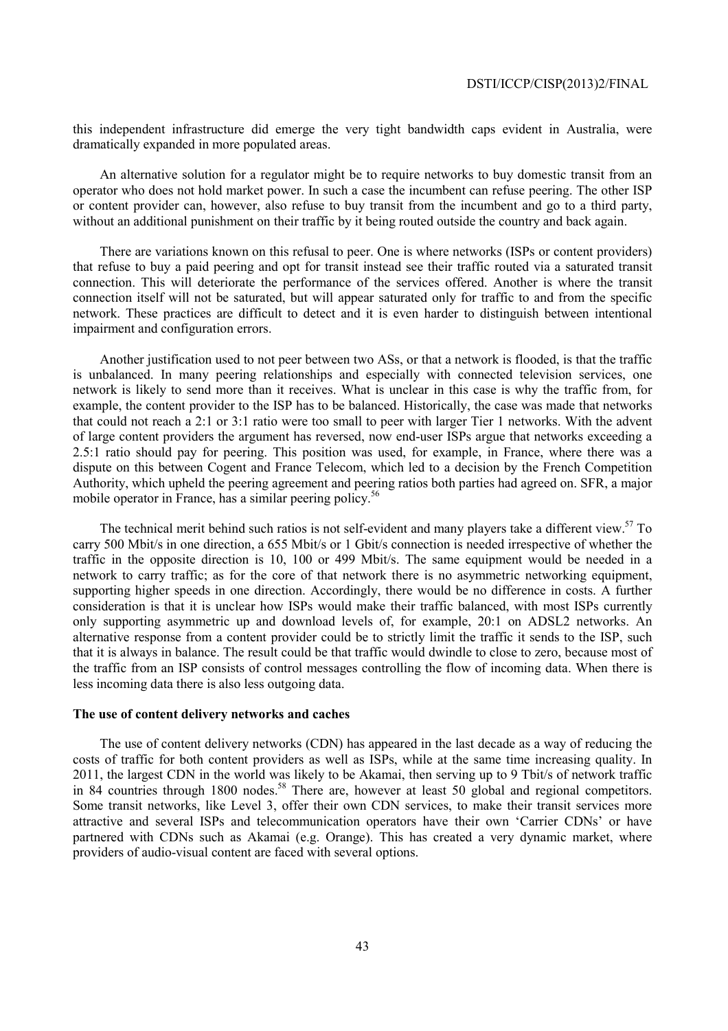this independent infrastructure did emerge the very tight bandwidth caps evident in Australia, were dramatically expanded in more populated areas.

An alternative solution for a regulator might be to require networks to buy domestic transit from an operator who does not hold market power. In such a case the incumbent can refuse peering. The other ISP or content provider can, however, also refuse to buy transit from the incumbent and go to a third party, without an additional punishment on their traffic by it being routed outside the country and back again.

There are variations known on this refusal to peer. One is where networks (ISPs or content providers) that refuse to buy a paid peering and opt for transit instead see their traffic routed via a saturated transit connection. This will deteriorate the performance of the services offered. Another is where the transit connection itself will not be saturated, but will appear saturated only for traffic to and from the specific network. These practices are difficult to detect and it is even harder to distinguish between intentional impairment and configuration errors.

Another justification used to not peer between two ASs, or that a network is flooded, is that the traffic is unbalanced. In many peering relationships and especially with connected television services, one network is likely to send more than it receives. What is unclear in this case is why the traffic from, for example, the content provider to the ISP has to be balanced. Historically, the case was made that networks that could not reach a 2:1 or 3:1 ratio were too small to peer with larger Tier 1 networks. With the advent of large content providers the argument has reversed, now end-user ISPs argue that networks exceeding a 2.5:1 ratio should pay for peering. This position was used, for example, in France, where there was a dispute on this between Cogent and France Telecom, which led to a decision by the French Competition Authority, which upheld the peering agreement and peering ratios both parties had agreed on. SFR, a major mobile operator in France, has a similar peering policy.<sup>56</sup>

The technical merit behind such ratios is not self-evident and many players take a different view.<sup>57</sup> To carry 500 Mbit/s in one direction, a 655 Mbit/s or 1 Gbit/s connection is needed irrespective of whether the traffic in the opposite direction is 10, 100 or 499 Mbit/s. The same equipment would be needed in a network to carry traffic; as for the core of that network there is no asymmetric networking equipment, supporting higher speeds in one direction. Accordingly, there would be no difference in costs. A further consideration is that it is unclear how ISPs would make their traffic balanced, with most ISPs currently only supporting asymmetric up and download levels of, for example, 20:1 on ADSL2 networks. An alternative response from a content provider could be to strictly limit the traffic it sends to the ISP, such that it is always in balance. The result could be that traffic would dwindle to close to zero, because most of the traffic from an ISP consists of control messages controlling the flow of incoming data. When there is less incoming data there is also less outgoing data.

### **The use of content delivery networks and caches**

The use of content delivery networks (CDN) has appeared in the last decade as a way of reducing the costs of traffic for both content providers as well as ISPs, while at the same time increasing quality. In 2011, the largest CDN in the world was likely to be Akamai, then serving up to 9 Tbit/s of network traffic in 84 countries through 1800 nodes.<sup>58</sup> There are, however at least 50 global and regional competitors. Some transit networks, like Level 3, offer their own CDN services, to make their transit services more attractive and several ISPs and telecommunication operators have their own 'Carrier CDNs' or have partnered with CDNs such as Akamai (e.g. Orange). This has created a very dynamic market, where providers of audio-visual content are faced with several options.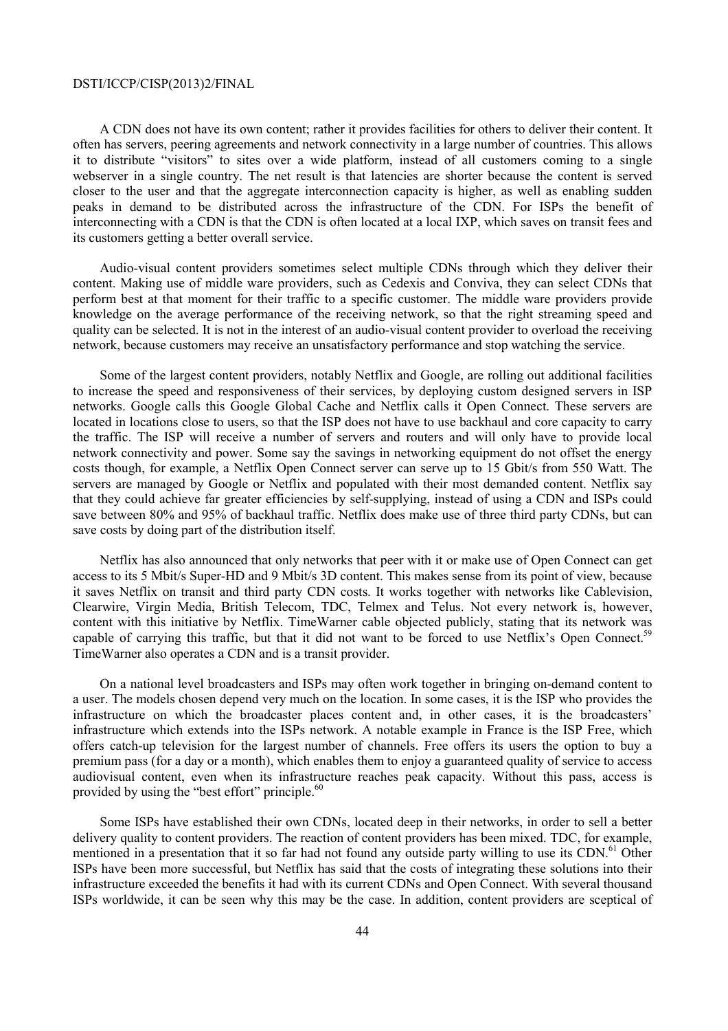A CDN does not have its own content; rather it provides facilities for others to deliver their content. It often has servers, peering agreements and network connectivity in a large number of countries. This allows it to distribute "visitors" to sites over a wide platform, instead of all customers coming to a single webserver in a single country. The net result is that latencies are shorter because the content is served closer to the user and that the aggregate interconnection capacity is higher, as well as enabling sudden peaks in demand to be distributed across the infrastructure of the CDN. For ISPs the benefit of interconnecting with a CDN is that the CDN is often located at a local IXP, which saves on transit fees and its customers getting a better overall service.

Audio-visual content providers sometimes select multiple CDNs through which they deliver their content. Making use of middle ware providers, such as Cedexis and Conviva, they can select CDNs that perform best at that moment for their traffic to a specific customer. The middle ware providers provide knowledge on the average performance of the receiving network, so that the right streaming speed and quality can be selected. It is not in the interest of an audio-visual content provider to overload the receiving network, because customers may receive an unsatisfactory performance and stop watching the service.

Some of the largest content providers, notably Netflix and Google, are rolling out additional facilities to increase the speed and responsiveness of their services, by deploying custom designed servers in ISP networks. Google calls this Google Global Cache and Netflix calls it Open Connect. These servers are located in locations close to users, so that the ISP does not have to use backhaul and core capacity to carry the traffic. The ISP will receive a number of servers and routers and will only have to provide local network connectivity and power. Some say the savings in networking equipment do not offset the energy costs though, for example, a Netflix Open Connect server can serve up to 15 Gbit/s from 550 Watt. The servers are managed by Google or Netflix and populated with their most demanded content. Netflix say that they could achieve far greater efficiencies by self-supplying, instead of using a CDN and ISPs could save between 80% and 95% of backhaul traffic. Netflix does make use of three third party CDNs, but can save costs by doing part of the distribution itself.

Netflix has also announced that only networks that peer with it or make use of Open Connect can get access to its 5 Mbit/s Super-HD and 9 Mbit/s 3D content. This makes sense from its point of view, because it saves Netflix on transit and third party CDN costs. It works together with networks like Cablevision, Clearwire, Virgin Media, British Telecom, TDC, Telmex and Telus. Not every network is, however, content with this initiative by Netflix. TimeWarner cable objected publicly, stating that its network was capable of carrying this traffic, but that it did not want to be forced to use Netflix's Open Connect.<sup>59</sup> TimeWarner also operates a CDN and is a transit provider.

On a national level broadcasters and ISPs may often work together in bringing on-demand content to a user. The models chosen depend very much on the location. In some cases, it is the ISP who provides the infrastructure on which the broadcaster places content and, in other cases, it is the broadcasters' infrastructure which extends into the ISPs network. A notable example in France is the ISP Free, which offers catch-up television for the largest number of channels. Free offers its users the option to buy a premium pass (for a day or a month), which enables them to enjoy a guaranteed quality of service to access audiovisual content, even when its infrastructure reaches peak capacity. Without this pass, access is provided by using the "best effort" principle.<sup>60</sup>

Some ISPs have established their own CDNs, located deep in their networks, in order to sell a better delivery quality to content providers. The reaction of content providers has been mixed. TDC, for example, mentioned in a presentation that it so far had not found any outside party willing to use its CDN.<sup>61</sup> Other ISPs have been more successful, but Netflix has said that the costs of integrating these solutions into their infrastructure exceeded the benefits it had with its current CDNs and Open Connect. With several thousand ISPs worldwide, it can be seen why this may be the case. In addition, content providers are sceptical of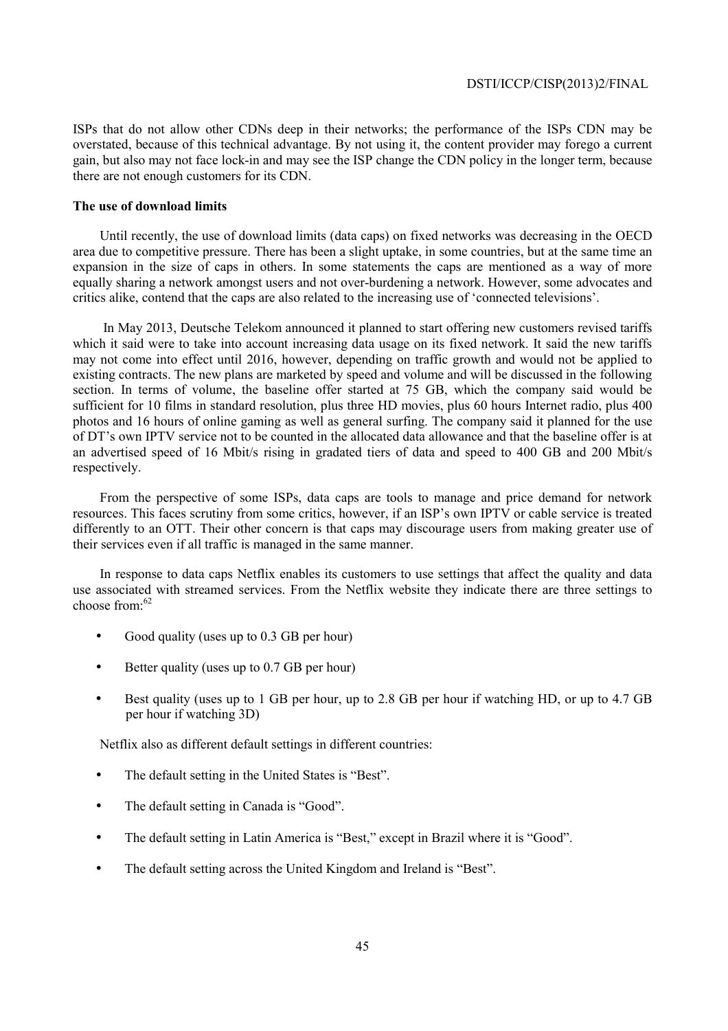ISPs that do not allow other CDNs deep in their networks; the performance of the ISPs CDN may be overstated, because of this technical advantage. By not using it, the content provider may forego a current gain, but also may not face lock-in and may see the ISP change the CDN policy in the longer term, because there are not enough customers for its CDN.

### **The use of download limits**

Until recently, the use of download limits (data caps) on fixed networks was decreasing in the OECD area due to competitive pressure. There has been a slight uptake, in some countries, but at the same time an expansion in the size of caps in others. In some statements the caps are mentioned as a way of more equally sharing a network amongst users and not over-burdening a network. However, some advocates and critics alike, contend that the caps are also related to the increasing use of 'connected televisions'.

 In May 2013, Deutsche Telekom announced it planned to start offering new customers revised tariffs which it said were to take into account increasing data usage on its fixed network. It said the new tariffs may not come into effect until 2016, however, depending on traffic growth and would not be applied to existing contracts. The new plans are marketed by speed and volume and will be discussed in the following section. In terms of volume, the baseline offer started at 75 GB, which the company said would be sufficient for 10 films in standard resolution, plus three HD movies, plus 60 hours Internet radio, plus 400 photos and 16 hours of online gaming as well as general surfing. The company said it planned for the use of DT's own IPTV service not to be counted in the allocated data allowance and that the baseline offer is at an advertised speed of 16 Mbit/s rising in gradated tiers of data and speed to 400 GB and 200 Mbit/s respectively.

From the perspective of some ISPs, data caps are tools to manage and price demand for network resources. This faces scrutiny from some critics, however, if an ISP's own IPTV or cable service is treated differently to an OTT. Their other concern is that caps may discourage users from making greater use of their services even if all traffic is managed in the same manner.

In response to data caps Netflix enables its customers to use settings that affect the quality and data use associated with streamed services. From the Netflix website they indicate there are three settings to choose from:<sup>62</sup>

- Good quality (uses up to 0.3 GB per hour)
- Better quality (uses up to 0.7 GB per hour)
- Best quality (uses up to 1 GB per hour, up to 2.8 GB per hour if watching HD, or up to 4.7 GB per hour if watching 3D)

Netflix also as different default settings in different countries:

- The default setting in the United States is "Best".
- The default setting in Canada is "Good".
- The default setting in Latin America is "Best," except in Brazil where it is "Good".
- The default setting across the United Kingdom and Ireland is "Best".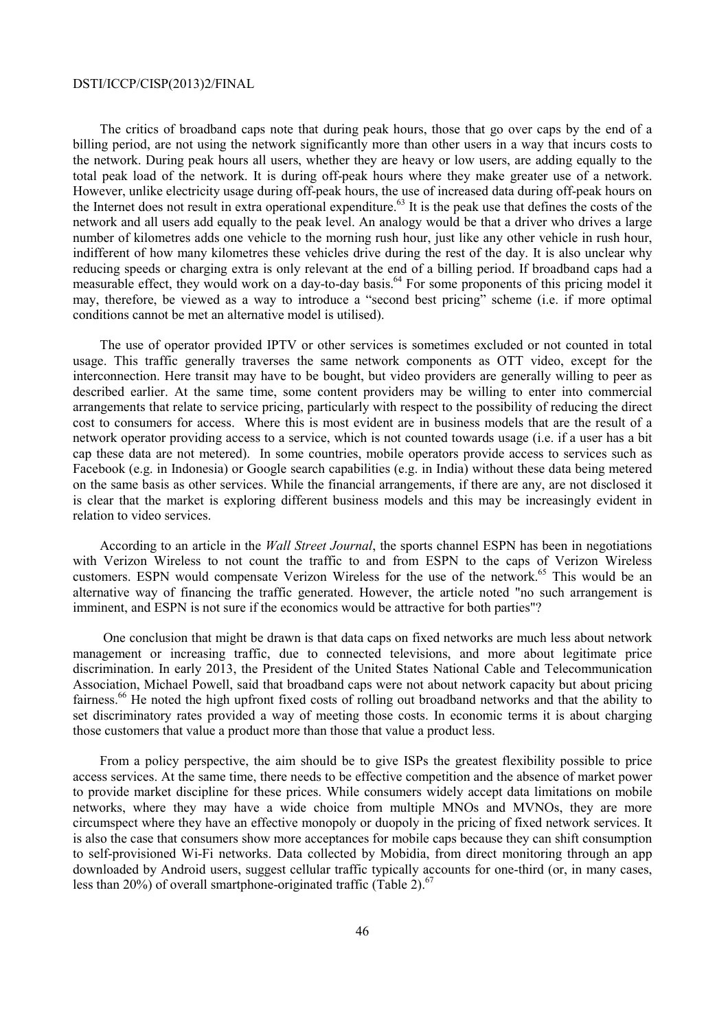The critics of broadband caps note that during peak hours, those that go over caps by the end of a billing period, are not using the network significantly more than other users in a way that incurs costs to the network. During peak hours all users, whether they are heavy or low users, are adding equally to the total peak load of the network. It is during off-peak hours where they make greater use of a network. However, unlike electricity usage during off-peak hours, the use of increased data during off-peak hours on the Internet does not result in extra operational expenditure.<sup>63</sup> It is the peak use that defines the costs of the network and all users add equally to the peak level. An analogy would be that a driver who drives a large number of kilometres adds one vehicle to the morning rush hour, just like any other vehicle in rush hour, indifferent of how many kilometres these vehicles drive during the rest of the day. It is also unclear why reducing speeds or charging extra is only relevant at the end of a billing period. If broadband caps had a measurable effect, they would work on a day-to-day basis.<sup>64</sup> For some proponents of this pricing model it may, therefore, be viewed as a way to introduce a "second best pricing" scheme (i.e. if more optimal conditions cannot be met an alternative model is utilised).

The use of operator provided IPTV or other services is sometimes excluded or not counted in total usage. This traffic generally traverses the same network components as OTT video, except for the interconnection. Here transit may have to be bought, but video providers are generally willing to peer as described earlier. At the same time, some content providers may be willing to enter into commercial arrangements that relate to service pricing, particularly with respect to the possibility of reducing the direct cost to consumers for access. Where this is most evident are in business models that are the result of a network operator providing access to a service, which is not counted towards usage (i.e. if a user has a bit cap these data are not metered). In some countries, mobile operators provide access to services such as Facebook (e.g. in Indonesia) or Google search capabilities (e.g. in India) without these data being metered on the same basis as other services. While the financial arrangements, if there are any, are not disclosed it is clear that the market is exploring different business models and this may be increasingly evident in relation to video services.

According to an article in the *Wall Street Journal*, the sports channel ESPN has been in negotiations with Verizon Wireless to not count the traffic to and from ESPN to the caps of Verizon Wireless customers. ESPN would compensate Verizon Wireless for the use of the network.<sup>65</sup> This would be an alternative way of financing the traffic generated. However, the article noted "no such arrangement is imminent, and ESPN is not sure if the economics would be attractive for both parties"?

 One conclusion that might be drawn is that data caps on fixed networks are much less about network management or increasing traffic, due to connected televisions, and more about legitimate price discrimination. In early 2013, the President of the United States National Cable and Telecommunication Association, Michael Powell, said that broadband caps were not about network capacity but about pricing fairness.66 He noted the high upfront fixed costs of rolling out broadband networks and that the ability to set discriminatory rates provided a way of meeting those costs. In economic terms it is about charging those customers that value a product more than those that value a product less.

From a policy perspective, the aim should be to give ISPs the greatest flexibility possible to price access services. At the same time, there needs to be effective competition and the absence of market power to provide market discipline for these prices. While consumers widely accept data limitations on mobile networks, where they may have a wide choice from multiple MNOs and MVNOs, they are more circumspect where they have an effective monopoly or duopoly in the pricing of fixed network services. It is also the case that consumers show more acceptances for mobile caps because they can shift consumption to self-provisioned Wi-Fi networks. Data collected by Mobidia, from direct monitoring through an app downloaded by Android users, suggest cellular traffic typically accounts for one-third (or, in many cases, less than 20%) of overall smartphone-originated traffic (Table 2).<sup>67</sup>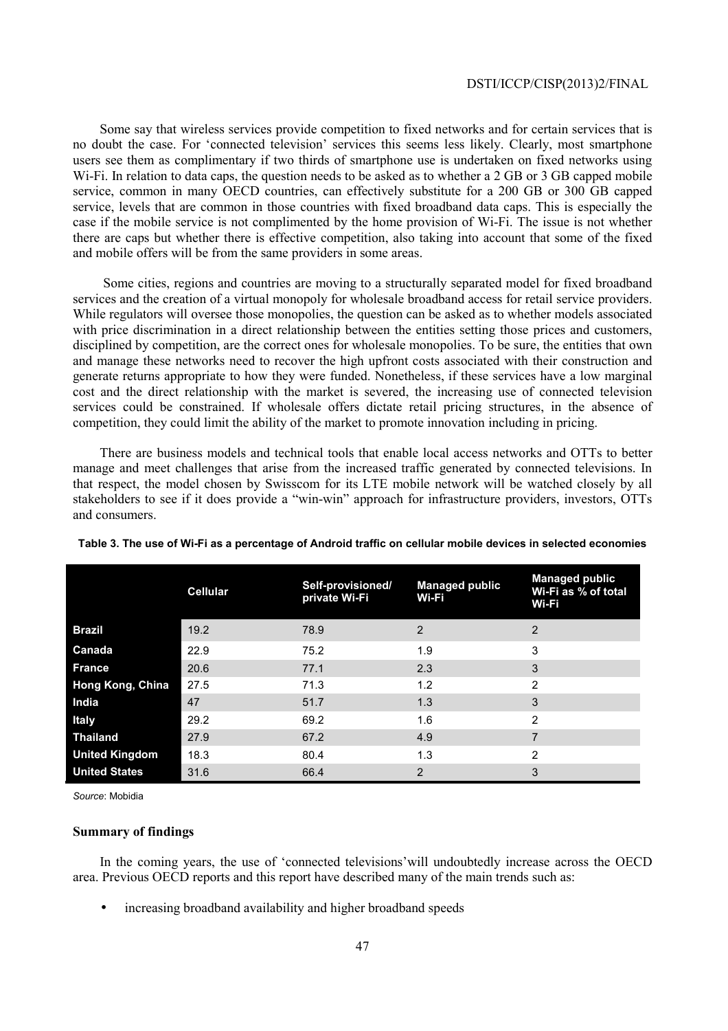Some say that wireless services provide competition to fixed networks and for certain services that is no doubt the case. For 'connected television' services this seems less likely. Clearly, most smartphone users see them as complimentary if two thirds of smartphone use is undertaken on fixed networks using W<sub>i-Fi.</sub> In relation to data caps, the question needs to be asked as to whether a 2 GB or 3 GB capped mobile service, common in many OECD countries, can effectively substitute for a 200 GB or 300 GB capped service, levels that are common in those countries with fixed broadband data caps. This is especially the case if the mobile service is not complimented by the home provision of Wi-Fi. The issue is not whether there are caps but whether there is effective competition, also taking into account that some of the fixed and mobile offers will be from the same providers in some areas.

 Some cities, regions and countries are moving to a structurally separated model for fixed broadband services and the creation of a virtual monopoly for wholesale broadband access for retail service providers. While regulators will oversee those monopolies, the question can be asked as to whether models associated with price discrimination in a direct relationship between the entities setting those prices and customers, disciplined by competition, are the correct ones for wholesale monopolies. To be sure, the entities that own and manage these networks need to recover the high upfront costs associated with their construction and generate returns appropriate to how they were funded. Nonetheless, if these services have a low marginal cost and the direct relationship with the market is severed, the increasing use of connected television services could be constrained. If wholesale offers dictate retail pricing structures, in the absence of competition, they could limit the ability of the market to promote innovation including in pricing.

There are business models and technical tools that enable local access networks and OTTs to better manage and meet challenges that arise from the increased traffic generated by connected televisions. In that respect, the model chosen by Swisscom for its LTE mobile network will be watched closely by all stakeholders to see if it does provide a "win-win" approach for infrastructure providers, investors, OTTs and consumers.

|                       | <b>Cellular</b> | Self-provisioned/<br>private Wi-Fi | <b>Managed public</b><br>Wi-Fi | <b>Managed public</b><br>Wi-Fi as % of total<br>Wi-Fi |
|-----------------------|-----------------|------------------------------------|--------------------------------|-------------------------------------------------------|
| <b>Brazil</b>         | 19.2            | 78.9                               | $\overline{2}$                 | $\overline{2}$                                        |
| Canada                | 22.9            | 75.2                               | 1.9                            | 3                                                     |
| <b>France</b>         | 20.6            | 77.1                               | 2.3                            | 3                                                     |
| Hong Kong, China      | 27.5            | 71.3                               | 1.2                            | $\overline{2}$                                        |
| India                 | 47              | 51.7                               | 1.3                            | 3                                                     |
| <b>Italy</b>          | 29.2            | 69.2                               | 1.6                            | $\overline{2}$                                        |
| <b>Thailand</b>       | 27.9            | 67.2                               | 4.9                            | 7                                                     |
| <b>United Kingdom</b> | 18.3            | 80.4                               | 1.3                            | $\overline{2}$                                        |
| <b>United States</b>  | 31.6            | 66.4                               | 2                              | 3                                                     |

**Table 3. The use of Wi-Fi as a percentage of Android traffic on cellular mobile devices in selected economies** 

*Source*: Mobidia

### **Summary of findings**

In the coming years, the use of 'connected televisions'will undoubtedly increase across the OECD area. Previous OECD reports and this report have described many of the main trends such as:

• increasing broadband availability and higher broadband speeds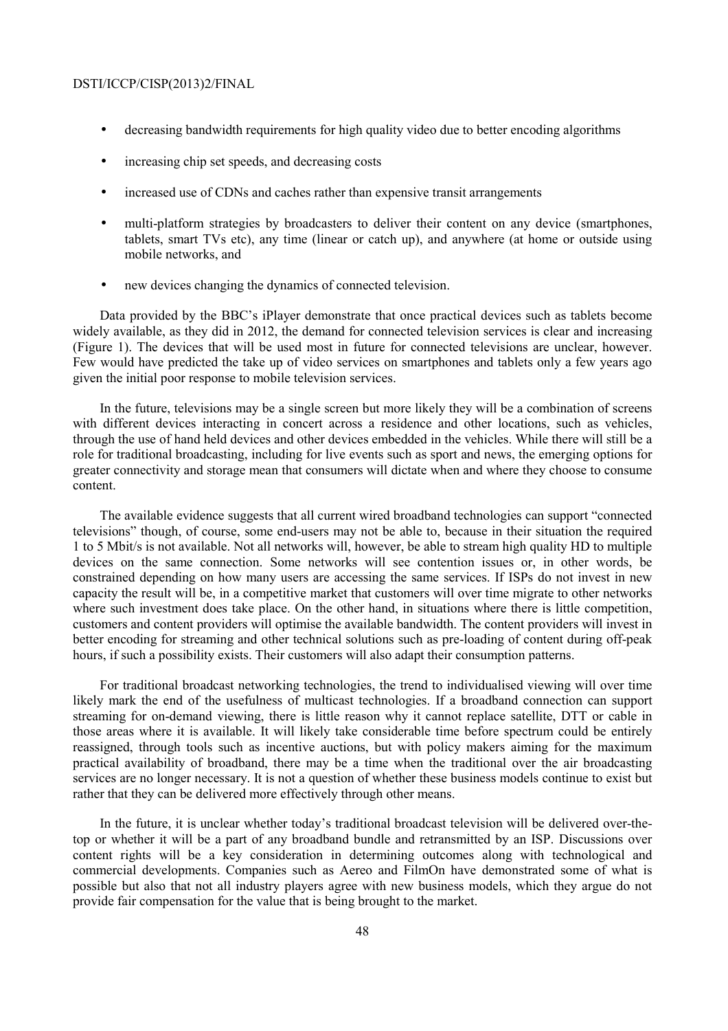- decreasing bandwidth requirements for high quality video due to better encoding algorithms
- increasing chip set speeds, and decreasing costs
- increased use of CDNs and caches rather than expensive transit arrangements
- multi-platform strategies by broadcasters to deliver their content on any device (smartphones, tablets, smart TVs etc), any time (linear or catch up), and anywhere (at home or outside using mobile networks, and
- new devices changing the dynamics of connected television.

Data provided by the BBC's iPlayer demonstrate that once practical devices such as tablets become widely available, as they did in 2012, the demand for connected television services is clear and increasing (Figure 1). The devices that will be used most in future for connected televisions are unclear, however. Few would have predicted the take up of video services on smartphones and tablets only a few years ago given the initial poor response to mobile television services.

In the future, televisions may be a single screen but more likely they will be a combination of screens with different devices interacting in concert across a residence and other locations, such as vehicles, through the use of hand held devices and other devices embedded in the vehicles. While there will still be a role for traditional broadcasting, including for live events such as sport and news, the emerging options for greater connectivity and storage mean that consumers will dictate when and where they choose to consume content.

The available evidence suggests that all current wired broadband technologies can support "connected televisions" though, of course, some end-users may not be able to, because in their situation the required 1 to 5 Mbit/s is not available. Not all networks will, however, be able to stream high quality HD to multiple devices on the same connection. Some networks will see contention issues or, in other words, be constrained depending on how many users are accessing the same services. If ISPs do not invest in new capacity the result will be, in a competitive market that customers will over time migrate to other networks where such investment does take place. On the other hand, in situations where there is little competition, customers and content providers will optimise the available bandwidth. The content providers will invest in better encoding for streaming and other technical solutions such as pre-loading of content during off-peak hours, if such a possibility exists. Their customers will also adapt their consumption patterns.

For traditional broadcast networking technologies, the trend to individualised viewing will over time likely mark the end of the usefulness of multicast technologies. If a broadband connection can support streaming for on-demand viewing, there is little reason why it cannot replace satellite, DTT or cable in those areas where it is available. It will likely take considerable time before spectrum could be entirely reassigned, through tools such as incentive auctions, but with policy makers aiming for the maximum practical availability of broadband, there may be a time when the traditional over the air broadcasting services are no longer necessary. It is not a question of whether these business models continue to exist but rather that they can be delivered more effectively through other means.

In the future, it is unclear whether today's traditional broadcast television will be delivered over-thetop or whether it will be a part of any broadband bundle and retransmitted by an ISP. Discussions over content rights will be a key consideration in determining outcomes along with technological and commercial developments. Companies such as Aereo and FilmOn have demonstrated some of what is possible but also that not all industry players agree with new business models, which they argue do not provide fair compensation for the value that is being brought to the market.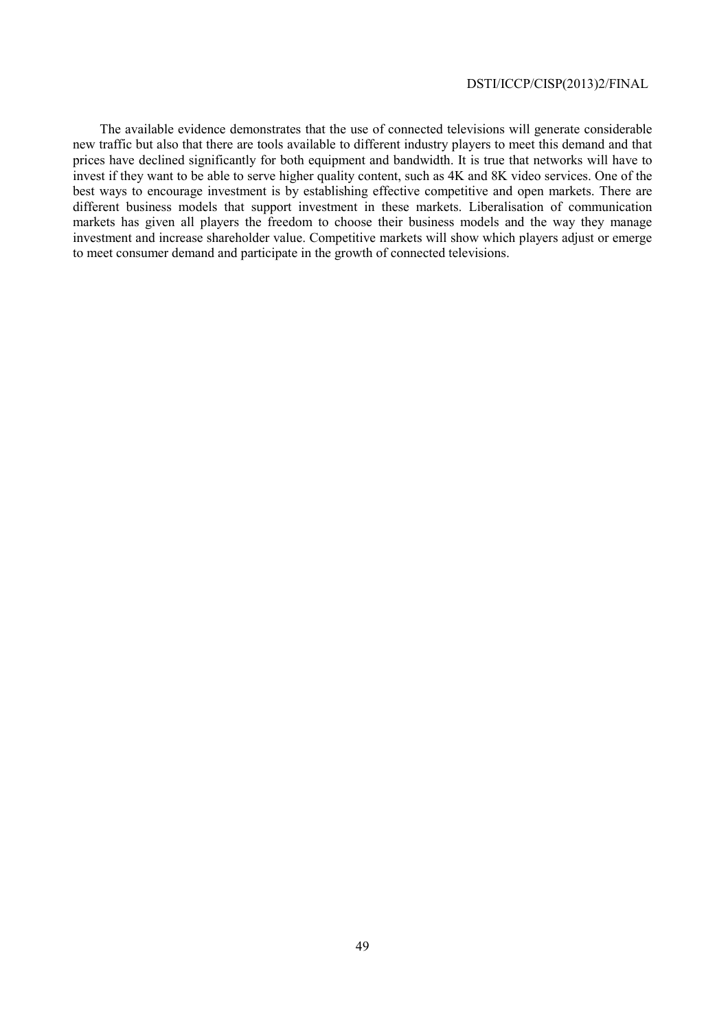The available evidence demonstrates that the use of connected televisions will generate considerable new traffic but also that there are tools available to different industry players to meet this demand and that prices have declined significantly for both equipment and bandwidth. It is true that networks will have to invest if they want to be able to serve higher quality content, such as 4K and 8K video services. One of the best ways to encourage investment is by establishing effective competitive and open markets. There are different business models that support investment in these markets. Liberalisation of communication markets has given all players the freedom to choose their business models and the way they manage investment and increase shareholder value. Competitive markets will show which players adjust or emerge to meet consumer demand and participate in the growth of connected televisions.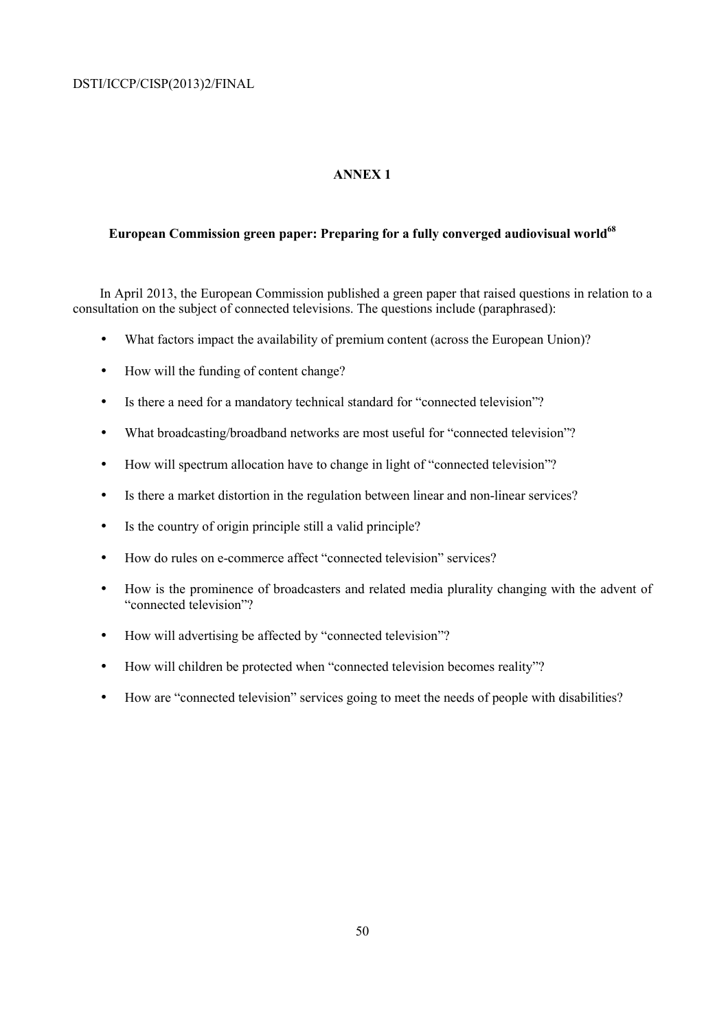## **ANNEX 1**

# European Commission green paper: Preparing for a fully converged audiovisual world<sup>68</sup>

In April 2013, the European Commission published a green paper that raised questions in relation to a consultation on the subject of connected televisions. The questions include (paraphrased):

- What factors impact the availability of premium content (across the European Union)?
- How will the funding of content change?
- Is there a need for a mandatory technical standard for "connected television"?
- What broadcasting/broadband networks are most useful for "connected television"?
- How will spectrum allocation have to change in light of "connected television"?
- Is there a market distortion in the regulation between linear and non-linear services?
- Is the country of origin principle still a valid principle?
- How do rules on e-commerce affect "connected television" services?
- How is the prominence of broadcasters and related media plurality changing with the advent of "connected television"?
- How will advertising be affected by "connected television"?
- How will children be protected when "connected television becomes reality"?
- How are "connected television" services going to meet the needs of people with disabilities?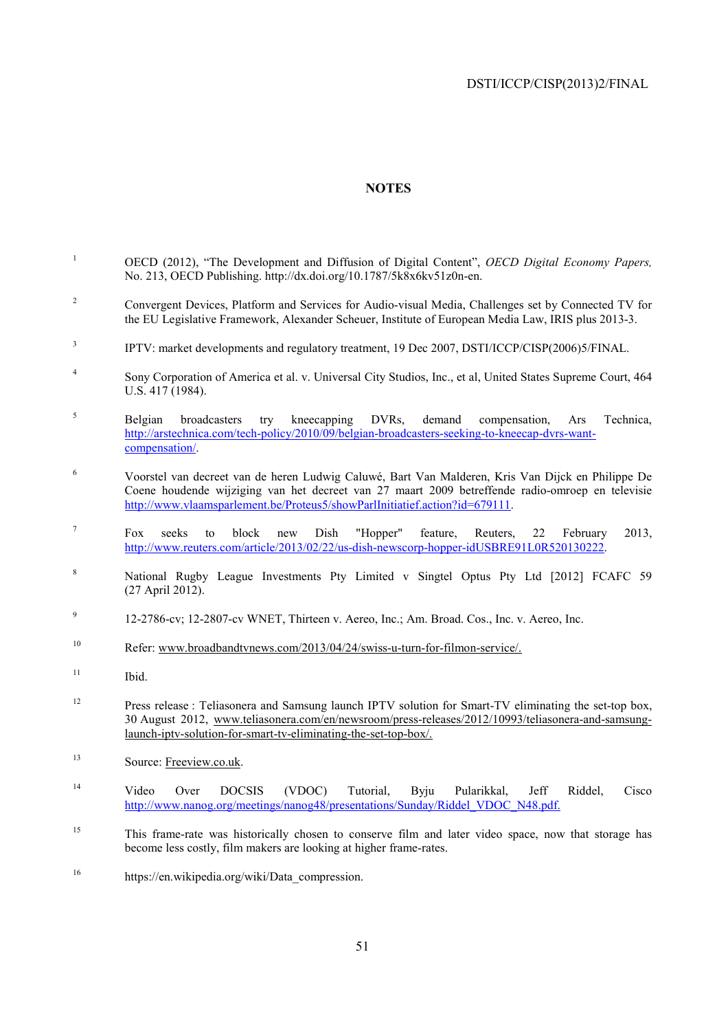### **NOTES**

- 1 OECD (2012), "The Development and Diffusion of Digital Content", *OECD Digital Economy Papers,* No. 213, OECD Publishing. http://dx.doi.org/10.1787/5k8x6kv51z0n-en.
- 2 Convergent Devices, Platform and Services for Audio-visual Media, Challenges set by Connected TV for the EU Legislative Framework, Alexander Scheuer, Institute of European Media Law, IRIS plus 2013-3.
- 3 IPTV: market developments and regulatory treatment, 19 Dec 2007, DSTI/ICCP/CISP(2006)5/FINAL.
- 4 Sony Corporation of America et al. v. Universal City Studios, Inc., et al, United States Supreme Court, 464 U.S. 417 (1984).
- 5 Belgian broadcasters try kneecapping DVRs, demand compensation, Ars Technica, http://arstechnica.com/tech-policy/2010/09/belgian-broadcasters-seeking-to-kneecap-dvrs-wantcompensation/.
- 6 Voorstel van decreet van de heren Ludwig Caluwé, Bart Van Malderen, Kris Van Dijck en Philippe De Coene houdende wijziging van het decreet van 27 maart 2009 betreffende radio-omroep en televisie http://www.vlaamsparlement.be/Proteus5/showParlInitiatief.action?id=679111.
- 7 Fox seeks to block new Dish "Hopper" feature, Reuters, 22 February 2013, http://www.reuters.com/article/2013/02/22/us-dish-newscorp-hopper-idUSBRE91L0R520130222.
- 8 National Rugby League Investments Pty Limited v Singtel Optus Pty Ltd [2012] FCAFC 59 (27 April 2012).
- 9 12-2786-cv; 12-2807-cv WNET, Thirteen v. Aereo, Inc.; Am. Broad. Cos., Inc. v. Aereo, Inc.
- 10 Refer: www.broadbandtvnews.com/2013/04/24/swiss-u-turn-for-filmon-service/.
- <sup>11</sup> Ibid.
- <sup>12</sup> Press release : Teliasonera and Samsung launch IPTV solution for Smart-TV eliminating the set-top box, 30 August 2012, www.teliasonera.com/en/newsroom/press-releases/2012/10993/teliasonera-and-samsunglaunch-iptv-solution-for-smart-tv-eliminating-the-set-top-box/.
- <sup>13</sup> Source: Freeview.co.uk.
- 14 Video Over DOCSIS (VDOC) Tutorial, Byju Pularikkal, Jeff Riddel, Cisco http://www.nanog.org/meetings/nanog48/presentations/Sunday/Riddel\_VDOC\_N48.pdf.
- <sup>15</sup> This frame-rate was historically chosen to conserve film and later video space, now that storage has become less costly, film makers are looking at higher frame-rates.
- <sup>16</sup> https://en.wikipedia.org/wiki/Data\_compression.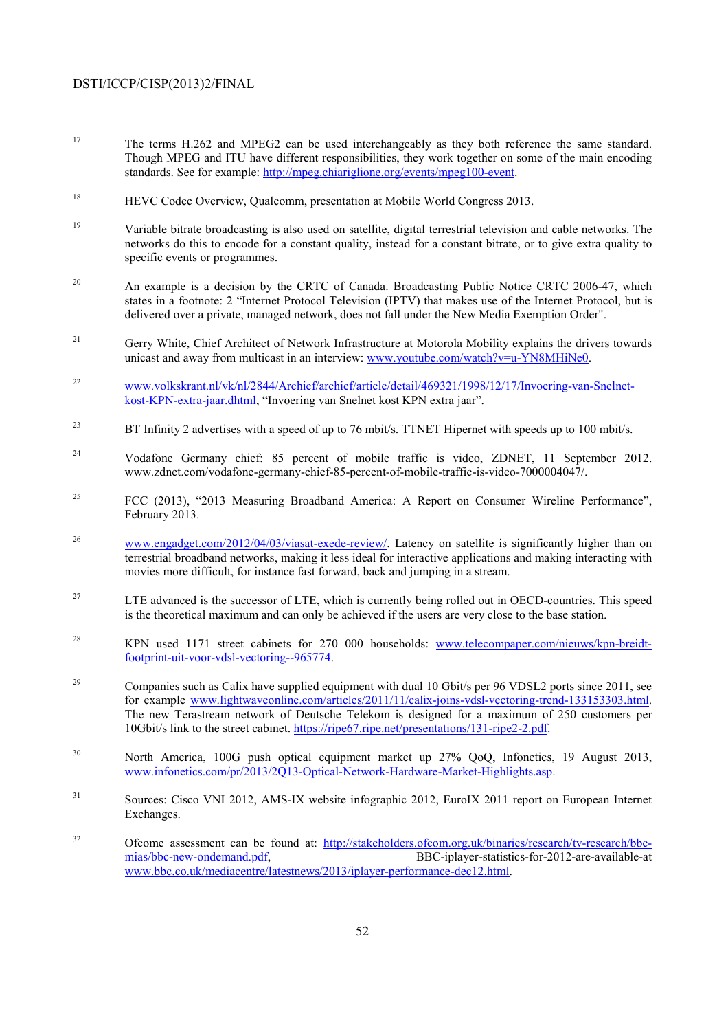- <sup>17</sup> The terms H.262 and MPEG2 can be used interchangeably as they both reference the same standard. Though MPEG and ITU have different responsibilities, they work together on some of the main encoding standards. See for example: http://mpeg.chiariglione.org/events/mpeg100-event.
- 18 HEVC Codec Overview, Qualcomm, presentation at Mobile World Congress 2013.
- 19 Variable bitrate broadcasting is also used on satellite, digital terrestrial television and cable networks. The networks do this to encode for a constant quality, instead for a constant bitrate, or to give extra quality to specific events or programmes.
- <sup>20</sup> An example is a decision by the CRTC of Canada. Broadcasting Public Notice CRTC 2006-47, which states in a footnote: 2 "Internet Protocol Television (IPTV) that makes use of the Internet Protocol, but is delivered over a private, managed network, does not fall under the New Media Exemption Order".
- <sup>21</sup> Gerry White, Chief Architect of Network Infrastructure at Motorola Mobility explains the drivers towards unicast and away from multicast in an interview: www.youtube.com/watch?v=u-YN8MHiNe0.
- 22 www.volkskrant.nl/vk/nl/2844/Archief/archief/article/detail/469321/1998/12/17/Invoering-van-Snelnetkost-KPN-extra-jaar.dhtml, "Invoering van Snelnet kost KPN extra jaar".
- <sup>23</sup> BT Infinity 2 advertises with a speed of up to 76 mbit/s. TTNET Hipernet with speeds up to 100 mbit/s.
- <sup>24</sup> Vodafone Germany chief: 85 percent of mobile traffic is video, ZDNET, 11 September 2012. www.zdnet.com/vodafone-germany-chief-85-percent-of-mobile-traffic-is-video-7000004047/.
- <sup>25</sup> FCC (2013), "2013 Measuring Broadband America: A Report on Consumer Wireline Performance", February 2013.
- <sup>26</sup> www.engadget.com/2012/04/03/viasat-exede-review/. Latency on satellite is significantly higher than on terrestrial broadband networks, making it less ideal for interactive applications and making interacting with movies more difficult, for instance fast forward, back and jumping in a stream.
- <sup>27</sup> LTE advanced is the successor of LTE, which is currently being rolled out in OECD-countries. This speed is the theoretical maximum and can only be achieved if the users are very close to the base station.
- <sup>28</sup> KPN used 1171 street cabinets for 270 000 households: www.telecompaper.com/nieuws/kpn-breidtfootprint-uit-voor-vdsl-vectoring--965774.
- <sup>29</sup> Companies such as Calix have supplied equipment with dual 10 Gbit/s per 96 VDSL2 ports since 2011, see for example www.lightwaveonline.com/articles/2011/11/calix-joins-vdsl-vectoring-trend-133153303.html. The new Terastream network of Deutsche Telekom is designed for a maximum of 250 customers per 10Gbit/s link to the street cabinet. https://ripe67.ripe.net/presentations/131-ripe2-2.pdf.
- <sup>30</sup> North America, 100G push optical equipment market up 27% QoQ, Infonetics, 19 August 2013, www.infonetics.com/pr/2013/2Q13-Optical-Network-Hardware-Market-Highlights.asp.
- 31 Sources: Cisco VNI 2012, AMS-IX website infographic 2012, EuroIX 2011 report on European Internet Exchanges.
- 32 Ofcome assessment can be found at: http://stakeholders.ofcom.org.uk/binaries/research/tv-research/bbcmias/bbc-new-ondemand.pdf, BBC-iplayer-statistics-for-2012-are-available-at www.bbc.co.uk/mediacentre/latestnews/2013/iplayer-performance-dec12.html.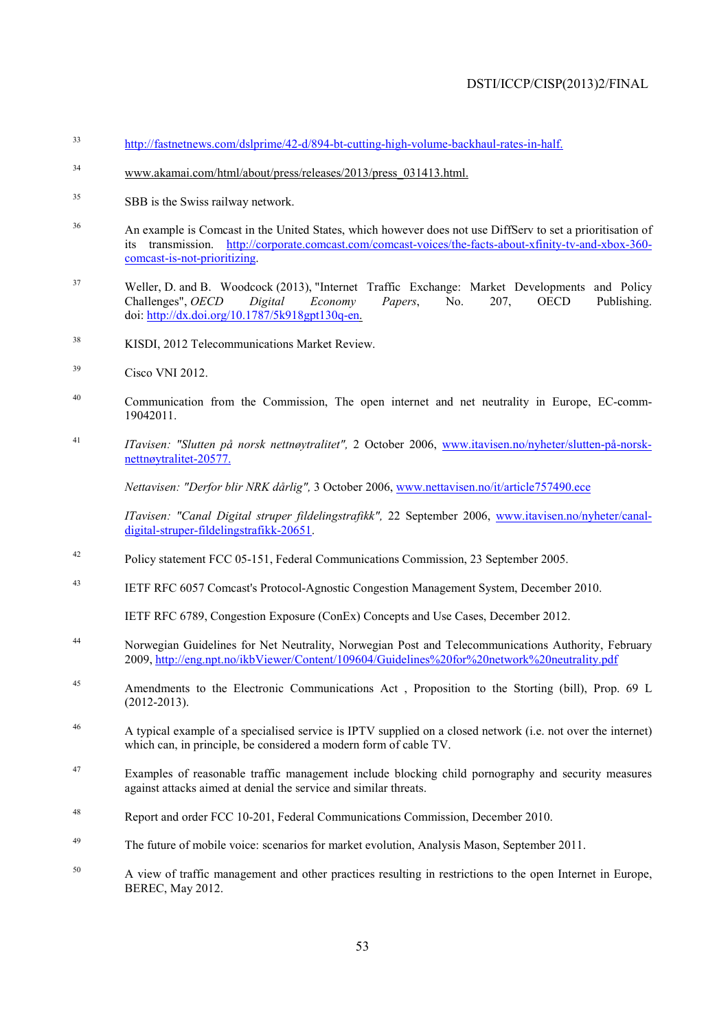- 33 http://fastnetnews.com/dslprime/42-d/894-bt-cutting-high-volume-backhaul-rates-in-half.
- 34 www.akamai.com/html/about/press/releases/2013/press\_031413.html.
- <sup>35</sup> SBB is the Swiss railway network.
- <sup>36</sup> An example is Comcast in the United States, which however does not use DiffServ to set a prioritisation of its transmission. http://corporate.comcast.com/comcast-voices/the-facts-about-xfinity-tv-and-xbox-360 comcast-is-not-prioritizing.
- <sup>37</sup> Weller, D. and B. Woodcock (2013), "Internet Traffic Exchange: Market Developments and Policy Challenges", *OECD Digital Economy Papers*, No. 207, OECD Publishing. doi: http://dx.doi.org/10.1787/5k918gpt130q-en.
- <sup>38</sup> KISDI, 2012 Telecommunications Market Review.
- $39$  Cisco VNI 2012
- <sup>40</sup> Communication from the Commission, The open internet and net neutrality in Europe, EC-comm-19042011.
- 41 *ITavisen: "Slutten på norsk nettnøytralitet",* 2 October 2006, www.itavisen.no/nyheter/slutten-på-norsknettnøytralitet-20577.

 *Nettavisen: "Derfor blir NRK dårlig",* 3 October 2006, www.nettavisen.no/it/article757490.ece

 *ITavisen: "Canal Digital struper fildelingstrafikk",* 22 September 2006, www.itavisen.no/nyheter/canaldigital-struper-fildelingstrafikk-20651.

- 42 Policy statement FCC 05-151, Federal Communications Commission, 23 September 2005.
- 43 IETF RFC 6057 Comcast's Protocol-Agnostic Congestion Management System, December 2010.

IETF RFC 6789, Congestion Exposure (ConEx) Concepts and Use Cases, December 2012.

- 44 Norwegian Guidelines for Net Neutrality, Norwegian Post and Telecommunications Authority, February 2009, http://eng.npt.no/ikbViewer/Content/109604/Guidelines%20for%20network%20neutrality.pdf
- <sup>45</sup> Amendments to the Electronic Communications Act, Proposition to the Storting (bill), Prop. 69 L (2012-2013).
- 46 A typical example of a specialised service is IPTV supplied on a closed network (i.e. not over the internet) which can, in principle, be considered a modern form of cable TV.
- <sup>47</sup> Examples of reasonable traffic management include blocking child pornography and security measures against attacks aimed at denial the service and similar threats.
- 48 Report and order FCC 10-201, Federal Communications Commission, December 2010.
- <sup>49</sup> The future of mobile voice: scenarios for market evolution, Analysis Mason, September 2011.
- <sup>50</sup> A view of traffic management and other practices resulting in restrictions to the open Internet in Europe, BEREC, May 2012.